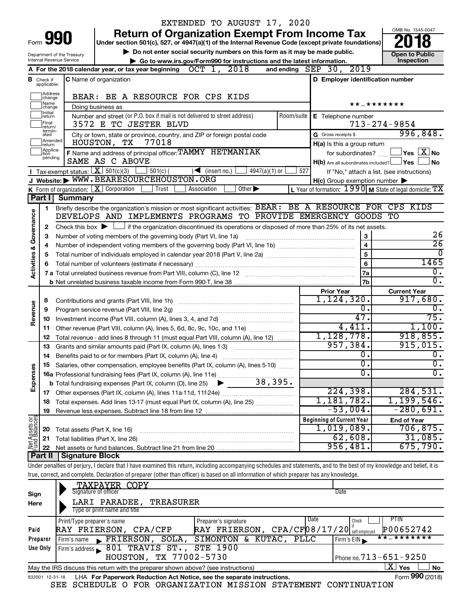|                         |                               |                            | EXTENDED TO AUGUST 17, 2020                                                                                                                                                 |             |                                                     |                                                                            |
|-------------------------|-------------------------------|----------------------------|-----------------------------------------------------------------------------------------------------------------------------------------------------------------------------|-------------|-----------------------------------------------------|----------------------------------------------------------------------------|
|                         |                               | Form <b>990</b>            | <b>Return of Organization Exempt From Income Tax</b>                                                                                                                        |             |                                                     | OMB No. 1545-0047                                                          |
|                         |                               |                            | Under section 501(c), 527, or 4947(a)(1) of the Internal Revenue Code (except private foundations)                                                                          |             |                                                     |                                                                            |
|                         |                               | Department of the Treasury | Do not enter social security numbers on this form as it may be made public.                                                                                                 |             |                                                     | <b>Open to Public</b>                                                      |
|                         |                               | Internal Revenue Service   | Go to www.irs.gov/Form990 for instructions and the latest information.<br>OCT 1, 2018                                                                                       |             | 2019                                                | Inspection                                                                 |
|                         |                               |                            | A For the 2018 calendar year, or tax year beginning                                                                                                                         |             | and ending $SEP$ 30,                                |                                                                            |
|                         | <b>B</b> Check if applicable: |                            | <b>C</b> Name of organization                                                                                                                                               |             | D Employer identification number                    |                                                                            |
|                         | Address<br>change             |                            | BEAR: BE A RESOURCE FOR CPS KIDS                                                                                                                                            |             |                                                     |                                                                            |
|                         | Name<br>change                |                            | Doing business as                                                                                                                                                           |             |                                                     | * * _ * * * * * * *                                                        |
|                         | Initial<br> return            |                            |                                                                                                                                                                             |             |                                                     |                                                                            |
|                         | Final<br>return/              |                            | Number and street (or P.O. box if mail is not delivered to street address)<br>3572 E TC JESTER BLVD                                                                         | Room/suite  | E Telephone number                                  | $713 - 274 - 9854$                                                         |
|                         | termin-<br>ated               |                            | City or town, state or province, country, and ZIP or foreign postal code                                                                                                    |             | G Gross receipts \$                                 | 996,848.                                                                   |
|                         | Amended<br>Ireturn            |                            | HOUSTON,<br>77018<br>TХ                                                                                                                                                     |             | H(a) Is this a group return                         |                                                                            |
|                         | Applica-<br>ltion             |                            | F Name and address of principal officer: TAMMY HETMANIAK                                                                                                                    |             | for subordinates?                                   | $\,$ Yes $\,$ $\,$ $\rm X$ $\,$ No $\,$                                    |
|                         | pending                       |                            | SAME AS C ABOVE                                                                                                                                                             |             | $H(b)$ Are all subordinates included? $\Box$ Yes    | No                                                                         |
|                         |                               |                            | Tax-exempt status: $X \over 301(c)(3)$<br>$501(c)$ (<br>$\sqrt{\frac{1}{1}}$ (insert no.)<br>$4947(a)(1)$ or                                                                | 527         |                                                     | If "No," attach a list. (see instructions)                                 |
|                         |                               |                            | J Website: WWW.BEARESOURCEHOUSTON.ORG                                                                                                                                       |             | $H(c)$ Group exemption number $\blacktriangleright$ |                                                                            |
|                         |                               |                            | <b>K</b> Form of organization: $\boxed{\mathbf{X}}$ Corporation<br>Other $\blacktriangleright$<br>Association<br>Trust                                                      |             |                                                     | L Year of formation: $1990 \text{ m}$ State of legal domicile: $\text{TX}$ |
|                         | Part I                        | <b>Summary</b>             |                                                                                                                                                                             |             |                                                     |                                                                            |
|                         | 1                             |                            | Briefly describe the organization's mission or most significant activities: BEAR: BE A RESOURCE FOR CPS KIDS<br>DEVELOPS AND IMPLEMENTS PROGRAMS TO PROVIDE EMERGENCY GOODS |             |                                                     | TО                                                                         |
| Governance              |                               |                            |                                                                                                                                                                             |             |                                                     |                                                                            |
|                         | 2                             |                            | Check this box $\blacktriangleright$ $\Box$ if the organization discontinued its operations or disposed of more than 25% of its net assets.                                 |             | 3                                                   | 26                                                                         |
|                         | 3                             |                            | Number of voting members of the governing body (Part VI, line 1a)                                                                                                           |             | $\overline{\mathbf{4}}$                             | $\overline{26}$                                                            |
| <b>Activities &amp;</b> | 4<br>5                        |                            |                                                                                                                                                                             |             | 5                                                   | $\overline{0}$                                                             |
|                         | 6                             |                            | Total number of volunteers (estimate if necessary)                                                                                                                          |             | $\bf 6$                                             | 1465                                                                       |
|                         |                               |                            |                                                                                                                                                                             | 7a          | $\overline{0}$ .                                    |                                                                            |
|                         |                               |                            |                                                                                                                                                                             |             | <b>7b</b>                                           | σ.                                                                         |
|                         |                               |                            |                                                                                                                                                                             |             | <b>Prior Year</b>                                   | <b>Current Year</b>                                                        |
|                         | 8                             |                            |                                                                                                                                                                             |             | 1,124,320.                                          | 917,680.                                                                   |
| Revenue                 | 9                             |                            | Program service revenue (Part VIII, line 2g)                                                                                                                                |             | 0.                                                  | $\overline{0}$ .                                                           |
|                         | 10                            |                            |                                                                                                                                                                             |             | 47.                                                 | 75.                                                                        |
|                         | 11                            |                            | Other revenue (Part VIII, column (A), lines 5, 6d, 8c, 9c, 10c, and 11e)                                                                                                    |             | 4,411.                                              | 1,100.                                                                     |
|                         | 12                            |                            | Total revenue - add lines 8 through 11 (must equal Part VIII, column (A), line 12)                                                                                          |             | 1,128,778.                                          | 918,855.                                                                   |
|                         | 13                            |                            | Grants and similar amounts paid (Part IX, column (A), lines 1-3)                                                                                                            |             | 957,384.                                            | 915,015.                                                                   |
|                         |                               |                            |                                                                                                                                                                             |             | 0.<br>$\overline{0}$ .                              | $\overline{0}$ .                                                           |
|                         |                               |                            | Salaries, other compensation, employee benefits (Part IX, column (A), lines 5-10)                                                                                           |             | 0                                                   | $\overline{\mathbf{0}}$ .<br>$\overline{\mathfrak{o}}$ .                   |
| Expenses                |                               |                            | 38,395.                                                                                                                                                                     |             |                                                     |                                                                            |
|                         |                               |                            | <b>b</b> Total fundraising expenses (Part IX, column (D), line 25)                                                                                                          |             | 224,398.                                            | 284,531.                                                                   |
|                         | 18                            |                            | Total expenses. Add lines 13-17 (must equal Part IX, column (A), line 25)                                                                                                   |             | 1,181,782.                                          | 1,199,546.                                                                 |
|                         | 19                            |                            |                                                                                                                                                                             |             | $-53,004$ .                                         | $-280,691.$                                                                |
|                         |                               |                            |                                                                                                                                                                             |             | <b>Beginning of Current Year</b>                    | <b>End of Year</b>                                                         |
| Net Assets or           | 20                            |                            | Total assets (Part X, line 16)                                                                                                                                              |             | $\overline{1,019,089}$ .                            | 706,875.                                                                   |
|                         | 21                            |                            | Total liabilities (Part X, line 26)                                                                                                                                         |             | 62,608.                                             | 31,085.                                                                    |
|                         | 22                            |                            |                                                                                                                                                                             |             | 956,481.                                            | 675,790.                                                                   |
|                         | Part II                       | <b>Signature Block</b>     |                                                                                                                                                                             |             |                                                     |                                                                            |
|                         |                               |                            | Under penalties of perjury, I declare that I have examined this return, including accompanying schedules and statements, and to the best of my knowledge and belief, it is  |             |                                                     |                                                                            |
|                         |                               |                            | true, correct, and complete. Declaration of preparer (other than officer) is based on all information of which preparer has any knowledge.                                  |             |                                                     |                                                                            |
|                         |                               |                            | <b>TAXPAYER COPY</b>                                                                                                                                                        |             |                                                     |                                                                            |
| Sign                    |                               |                            | Signature of officer                                                                                                                                                        |             | Date                                                |                                                                            |
| Here                    |                               |                            | LARI PARADEE,<br><b>TREASURER</b><br>Type or print name and title                                                                                                           |             |                                                     |                                                                            |
|                         |                               |                            |                                                                                                                                                                             |             | Date                                                | <b>PTIN</b>                                                                |
| Paid                    |                               | Print/Type preparer's name | Preparer's signature<br>RAY FRIERSON, CPA/CF $ 08/17/20 $ <sup>r</sup> self-employed<br>RAY FRIERSON, CPA/CFP                                                               |             | Check                                               | P00652742                                                                  |
|                         | Preparer                      | Firm's name                | SIMONTON & KUTAC,<br>$\blacktriangleright$ FRIERSON,<br>SOLA,                                                                                                               | <b>PLLC</b> | Firm's EIN                                          | * * _ * * * * * * *                                                        |
|                         | Use Only                      |                            | Firm's address 801 TRAVIS ST.,<br><b>STE 1900</b>                                                                                                                           |             |                                                     |                                                                            |
|                         |                               |                            | HOUSTON, TX 77002-5730                                                                                                                                                      |             |                                                     | Phone no. 713-651-9250                                                     |
|                         |                               |                            | May the IRS discuss this return with the preparer shown above? (see instructions)                                                                                           |             |                                                     | $\overline{\mathrm{X}}$ Yes<br>No                                          |

| May the IRS discuss this return with the preparer shown above? (see instructions)      | <b>Yes</b>      | <b>No</b> |
|----------------------------------------------------------------------------------------|-----------------|-----------|
| 832001 12-31-18 LHA For Paperwork Reduction Act Notice, see the separate instructions. | Form 990 (2018) |           |

SEE SCHEDULE O FOR ORGANIZATION MISSION STATEMENT CONTINUATION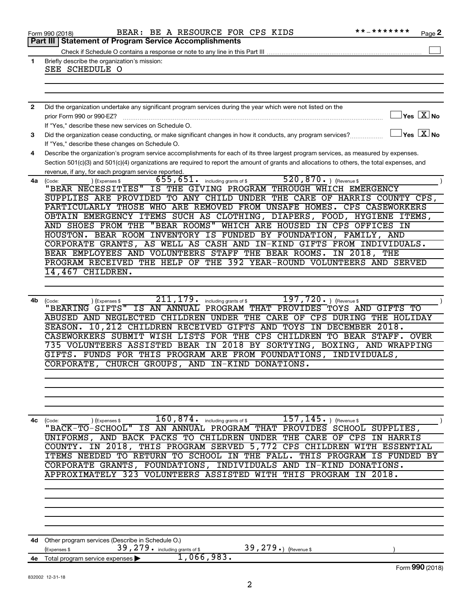| 1              | Part III   Statement of Program Service Accomplishments<br>Briefly describe the organization's mission:                                                 |
|----------------|---------------------------------------------------------------------------------------------------------------------------------------------------------|
|                |                                                                                                                                                         |
|                |                                                                                                                                                         |
|                |                                                                                                                                                         |
|                | SEE SCHEDULE O                                                                                                                                          |
|                |                                                                                                                                                         |
|                |                                                                                                                                                         |
|                |                                                                                                                                                         |
| $\overline{2}$ | Did the organization undertake any significant program services during the year which were not listed on the                                            |
|                | $\sqrt{}$ Yes $\boxed{\text{X}}$ No<br>prior Form 990 or 990-EZ?                                                                                        |
|                | If "Yes," describe these new services on Schedule O.                                                                                                    |
| 3              | $\Box$ Yes $[\overline{\mathrm{X}}]$ No<br>Did the organization cease conducting, or make significant changes in how it conducts, any program services? |
|                | If "Yes," describe these changes on Schedule O.                                                                                                         |
| 4              | Describe the organization's program service accomplishments for each of its three largest program services, as measured by expenses.                    |
|                |                                                                                                                                                         |
|                | Section 501(c)(3) and 501(c)(4) organizations are required to report the amount of grants and allocations to others, the total expenses, and            |
|                | revenue, if any, for each program service reported.                                                                                                     |
| 4a             | 520, 870. $ $ (Revenue \$<br>655,651.<br>including grants of \$<br>(Code:<br>(Expenses \$                                                               |
|                | "BEAR NECESSITIES"<br>IS THE GIVING PROGRAM THROUGH WHICH EMERGENCY                                                                                     |
|                | SUPPLIES ARE PROVIDED TO ANY CHILD UNDER THE CARE OF HARRIS COUNTY CPS,                                                                                 |
|                | PARTICULARLY THOSE WHO ARE REMOVED FROM UNSAFE HOMES. CPS CASEWORKERS                                                                                   |
|                | OBTAIN EMERGENCY ITEMS SUCH AS CLOTHING, DIAPERS, FOOD, HYGIENE ITEMS,                                                                                  |
|                | "BEAR ROOMS" WHICH ARE HOUSED IN CPS OFFICES IN<br>AND SHOES FROM THE                                                                                   |
|                | HOUSTON. BEAR ROOM INVENTORY IS FUNDED BY FOUNDATION, FAMILY, AND                                                                                       |
|                | CORPORATE GRANTS, AS WELL AS CASH AND IN-KIND GIFTS FROM INDIVIDUALS.                                                                                   |
|                | BEAR EMPLOYEES AND VOLUNTEERS STAFF THE BEAR ROOMS. IN 2018, THE                                                                                        |
|                | PROGRAM RECEIVED THE HELP OF THE 392 YEAR-ROUND VOLUNTEERS AND SERVED                                                                                   |
|                | 14,467 CHILDREN.                                                                                                                                        |
|                |                                                                                                                                                         |
|                |                                                                                                                                                         |
|                | 211, 179.<br>$197, 720.$ (Revenue \$                                                                                                                    |
| 4b             | including grants of \$<br>(Code:<br>(Expenses \$<br>"BEARING GIFTS"<br>IS AN ANNUAL PROGRAM THAT PROVIDES TOYS AND GIFTS TO                             |
|                |                                                                                                                                                         |
|                | ABUSED AND NEGLECTED CHILDREN UNDER THE CARE OF CPS DURING THE HOLIDAY                                                                                  |
|                | SEASON. 10, 212 CHILDREN RECEIVED GIFTS AND TOYS IN DECEMBER 2018.                                                                                      |
|                | CASEWORKERS SUBMIT WISH LISTS FOR THE CPS CHILDREN TO BEAR STAFF. OVER                                                                                  |
|                | 735 VOLUNTEERS ASSISTED BEAR IN 2018 BY SORTYING, BOXING, AND WRAPPING                                                                                  |
|                | GIFTS. FUNDS FOR THIS PROGRAM ARE FROM FOUNDATIONS, INDIVIDUALS,                                                                                        |
|                | CORPORATE, CHURCH GROUPS, AND IN-KIND DONATIONS.                                                                                                        |
|                |                                                                                                                                                         |
|                |                                                                                                                                                         |
|                |                                                                                                                                                         |
|                |                                                                                                                                                         |
|                |                                                                                                                                                         |
| 4c             | 160,874.<br>$157, 145.$ (Revenue \$)<br>including grants of \$                                                                                          |
|                | (Expenses \$<br>(Code:<br>$"$ BACK-TO-SCHOOL"<br>IS AN ANNUAL PROGRAM THAT PROVIDES<br>SCHOOL<br>SUPPLIES,                                              |
|                | UNIFORMS, AND BACK PACKS TO CHILDREN UNDER<br>THE CARE OF CPS IN HARRIS                                                                                 |
|                |                                                                                                                                                         |
|                | IN 2018, THIS PROGRAM SERVED 5,772 CPS CHILDREN WITH ESSENTIAL<br>COUNTY.                                                                               |
|                | ITEMS NEEDED TO RETURN TO SCHOOL IN THE FALL.<br>THIS PROGRAM IS FUNDED BY                                                                              |
|                | CORPORATE GRANTS, FOUNDATIONS, INDIVIDUALS AND IN-KIND DONATIONS.                                                                                       |
|                | APPROXIMATELY 323 VOLUNTEERS ASSISTED WITH<br>THIS PROGRAM<br>2018.<br>$\overline{\texttt{IN}}$                                                         |
|                |                                                                                                                                                         |
|                |                                                                                                                                                         |
|                |                                                                                                                                                         |
|                |                                                                                                                                                         |
|                |                                                                                                                                                         |
|                |                                                                                                                                                         |
|                |                                                                                                                                                         |
|                | Other program services (Describe in Schedule O.)                                                                                                        |
| 4d             |                                                                                                                                                         |
|                | 39, 279. including grants of \$<br>39, 279.) (Revenue \$<br>Expenses \$                                                                                 |
| 4e             | 1,066,983.<br>Total program service expenses<br>Form 990 (2018)                                                                                         |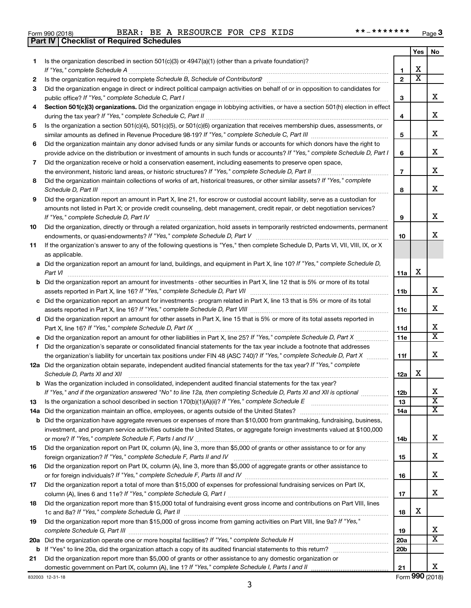| Form 990 (2018) |  |  |
|-----------------|--|--|

**Part IV Checklist of Required Schedules**

|     |                                                                                                                                                                                                                  |                 | Yes                     | No                      |
|-----|------------------------------------------------------------------------------------------------------------------------------------------------------------------------------------------------------------------|-----------------|-------------------------|-------------------------|
| 1   | Is the organization described in section $501(c)(3)$ or $4947(a)(1)$ (other than a private foundation)?                                                                                                          |                 |                         |                         |
|     | If "Yes," complete Schedule A                                                                                                                                                                                    | 1               | x                       |                         |
| 2   |                                                                                                                                                                                                                  | $\mathbf{2}$    | $\overline{\textbf{x}}$ |                         |
| 3   | Did the organization engage in direct or indirect political campaign activities on behalf of or in opposition to candidates for                                                                                  |                 |                         |                         |
|     | public office? If "Yes," complete Schedule C, Part I                                                                                                                                                             | 3               |                         | x                       |
| 4   | Section 501(c)(3) organizations. Did the organization engage in lobbying activities, or have a section 501(h) election in effect                                                                                 |                 |                         | x                       |
|     | Is the organization a section 501(c)(4), 501(c)(5), or 501(c)(6) organization that receives membership dues, assessments, or                                                                                     | 4               |                         |                         |
| 5   |                                                                                                                                                                                                                  | 5               |                         | x                       |
| 6   | Did the organization maintain any donor advised funds or any similar funds or accounts for which donors have the right to                                                                                        |                 |                         |                         |
|     | provide advice on the distribution or investment of amounts in such funds or accounts? If "Yes," complete Schedule D, Part I                                                                                     | 6               |                         | x                       |
| 7   | Did the organization receive or hold a conservation easement, including easements to preserve open space,                                                                                                        |                 |                         |                         |
|     | the environment, historic land areas, or historic structures? If "Yes," complete Schedule D, Part II                                                                                                             | $\overline{7}$  |                         | x                       |
| 8   | Did the organization maintain collections of works of art, historical treasures, or other similar assets? If "Yes," complete                                                                                     |                 |                         |                         |
|     | Schedule D, Part III <b>www.communications.communications.communications.communications</b>                                                                                                                      | 8               |                         | X.                      |
| 9   | Did the organization report an amount in Part X, line 21, for escrow or custodial account liability, serve as a custodian for                                                                                    |                 |                         |                         |
|     | amounts not listed in Part X; or provide credit counseling, debt management, credit repair, or debt negotiation services?                                                                                        |                 |                         |                         |
|     | If "Yes," complete Schedule D, Part IV                                                                                                                                                                           | 9               |                         | x                       |
| 10  | Did the organization, directly or through a related organization, hold assets in temporarily restricted endowments, permanent                                                                                    |                 |                         |                         |
|     |                                                                                                                                                                                                                  | 10              |                         | x.                      |
| 11  | If the organization's answer to any of the following questions is "Yes," then complete Schedule D, Parts VI, VII, VIII, IX, or X                                                                                 |                 |                         |                         |
|     | as applicable.                                                                                                                                                                                                   |                 |                         |                         |
|     | a Did the organization report an amount for land, buildings, and equipment in Part X, line 10? If "Yes," complete Schedule D,                                                                                    |                 |                         |                         |
|     | Part VI                                                                                                                                                                                                          | 11a             | х                       |                         |
| b   | Did the organization report an amount for investments - other securities in Part X, line 12 that is 5% or more of its total                                                                                      |                 |                         | x                       |
|     |                                                                                                                                                                                                                  | 11b             |                         |                         |
|     | Did the organization report an amount for investments - program related in Part X, line 13 that is 5% or more of its total                                                                                       | 11c             |                         | x                       |
|     | d Did the organization report an amount for other assets in Part X, line 15 that is 5% or more of its total assets reported in                                                                                   |                 |                         |                         |
|     |                                                                                                                                                                                                                  | 11d             |                         | x                       |
|     | Did the organization report an amount for other liabilities in Part X, line 25? If "Yes," complete Schedule D, Part X                                                                                            | 11e             |                         | $\overline{\mathtt{x}}$ |
| f   | Did the organization's separate or consolidated financial statements for the tax year include a footnote that addresses                                                                                          |                 |                         |                         |
|     | the organization's liability for uncertain tax positions under FIN 48 (ASC 740)? If "Yes," complete Schedule D, Part X                                                                                           | 11f             |                         | x                       |
|     | 12a Did the organization obtain separate, independent audited financial statements for the tax year? If "Yes," complete                                                                                          |                 |                         |                         |
|     | Schedule D, Parts XI and XII                                                                                                                                                                                     | 12a             | x                       |                         |
|     | b Was the organization included in consolidated, independent audited financial statements for the tax year?                                                                                                      |                 |                         |                         |
|     | If "Yes," and if the organization answered "No" to line 12a, then completing Schedule D, Parts XI and XII is optional                                                                                            | 12 <sub>b</sub> |                         | X                       |
| 13  |                                                                                                                                                                                                                  | 13              |                         | $\overline{\textbf{x}}$ |
| 14a |                                                                                                                                                                                                                  | 14a             |                         | X                       |
| b   | Did the organization have aggregate revenues or expenses of more than \$10,000 from grantmaking, fundraising, business,                                                                                          |                 |                         |                         |
|     | investment, and program service activities outside the United States, or aggregate foreign investments valued at \$100,000                                                                                       | 14b             |                         | x                       |
| 15  | Did the organization report on Part IX, column (A), line 3, more than \$5,000 of grants or other assistance to or for any                                                                                        |                 |                         |                         |
|     |                                                                                                                                                                                                                  | 15              |                         | x                       |
| 16  | Did the organization report on Part IX, column (A), line 3, more than \$5,000 of aggregate grants or other assistance to                                                                                         |                 |                         |                         |
|     |                                                                                                                                                                                                                  | 16              |                         | x                       |
| 17  | Did the organization report a total of more than \$15,000 of expenses for professional fundraising services on Part IX,                                                                                          |                 |                         |                         |
|     |                                                                                                                                                                                                                  | 17              |                         | x                       |
| 18  | Did the organization report more than \$15,000 total of fundraising event gross income and contributions on Part VIII, lines                                                                                     |                 |                         |                         |
|     |                                                                                                                                                                                                                  | 18              | x                       |                         |
| 19  | Did the organization report more than \$15,000 of gross income from gaming activities on Part VIII, line 9a? If "Yes,"                                                                                           |                 |                         |                         |
|     |                                                                                                                                                                                                                  | 19              |                         | x                       |
| 20a | Did the organization operate one or more hospital facilities? If "Yes," complete Schedule H                                                                                                                      | 20a             |                         | $\overline{\mathbf{X}}$ |
| b   |                                                                                                                                                                                                                  | 20 <sub>b</sub> |                         |                         |
| 21  | Did the organization report more than \$5,000 of grants or other assistance to any domestic organization or<br>domestic government on Part IX, column (A), line 1? If "Yes," complete Schedule I, Parts I and II | 21              |                         | x                       |
|     |                                                                                                                                                                                                                  |                 |                         |                         |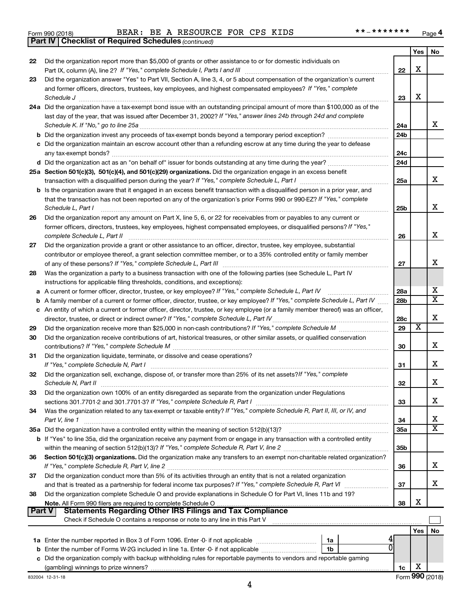|  | Form 990 (2018) |
|--|-----------------|
|  |                 |

*(continued)* **Part IV Checklist of Required Schedules**

Form 990 (2018) BEAR: BE A RESOURCE FOR CPS KIDS \*\*\_\*\*\*\*\*\*\*\* <sub>Page</sub>

|        |                                                                                                                                                        |                 | Yes | No                      |
|--------|--------------------------------------------------------------------------------------------------------------------------------------------------------|-----------------|-----|-------------------------|
| 22     | Did the organization report more than \$5,000 of grants or other assistance to or for domestic individuals on                                          |                 |     |                         |
|        |                                                                                                                                                        | 22              | X   |                         |
| 23     | Did the organization answer "Yes" to Part VII, Section A, line 3, 4, or 5 about compensation of the organization's current                             |                 |     |                         |
|        | and former officers, directors, trustees, key employees, and highest compensated employees? If "Yes," complete                                         |                 |     |                         |
|        | Schedule J                                                                                                                                             | 23              | X   |                         |
|        | 24a Did the organization have a tax-exempt bond issue with an outstanding principal amount of more than \$100,000 as of the                            |                 |     |                         |
|        | last day of the year, that was issued after December 31, 2002? If "Yes," answer lines 24b through 24d and complete                                     |                 |     |                         |
|        | Schedule K. If "No," go to line 25a                                                                                                                    | 24a             |     | x                       |
|        |                                                                                                                                                        | 24 <sub>b</sub> |     |                         |
|        | c Did the organization maintain an escrow account other than a refunding escrow at any time during the year to defease                                 |                 |     |                         |
|        |                                                                                                                                                        | 24c             |     |                         |
|        |                                                                                                                                                        | 24 <sub>d</sub> |     |                         |
|        | 25a Section 501(c)(3), 501(c)(4), and 501(c)(29) organizations. Did the organization engage in an excess benefit                                       |                 |     | x                       |
|        |                                                                                                                                                        | 25a             |     |                         |
|        | b Is the organization aware that it engaged in an excess benefit transaction with a disqualified person in a prior year, and                           |                 |     |                         |
|        | that the transaction has not been reported on any of the organization's prior Forms 990 or 990-EZ? If "Yes," complete                                  |                 |     | x                       |
|        | Schedule L, Part I                                                                                                                                     | 25b             |     |                         |
| 26     | Did the organization report any amount on Part X, line 5, 6, or 22 for receivables from or payables to any current or                                  |                 |     |                         |
|        | former officers, directors, trustees, key employees, highest compensated employees, or disqualified persons? If "Yes,"<br>complete Schedule L, Part II | 26              |     | х                       |
| 27     | Did the organization provide a grant or other assistance to an officer, director, trustee, key employee, substantial                                   |                 |     |                         |
|        | contributor or employee thereof, a grant selection committee member, or to a 35% controlled entity or family member                                    |                 |     |                         |
|        |                                                                                                                                                        | 27              |     | x                       |
| 28     | Was the organization a party to a business transaction with one of the following parties (see Schedule L, Part IV                                      |                 |     |                         |
|        | instructions for applicable filing thresholds, conditions, and exceptions):                                                                            |                 |     |                         |
| а      | A current or former officer, director, trustee, or key employee? If "Yes," complete Schedule L, Part IV                                                | 28a             |     | х                       |
| b      | A family member of a current or former officer, director, trustee, or key employee? If "Yes," complete Schedule L, Part IV                             | 28 <sub>b</sub> |     | $\overline{\texttt{x}}$ |
|        | c An entity of which a current or former officer, director, trustee, or key employee (or a family member thereof) was an officer,                      |                 |     |                         |
|        |                                                                                                                                                        | 28c             |     | х                       |
| 29     |                                                                                                                                                        | 29              | X   |                         |
| 30     | Did the organization receive contributions of art, historical treasures, or other similar assets, or qualified conservation                            |                 |     |                         |
|        |                                                                                                                                                        | 30              |     | x                       |
| 31     | Did the organization liquidate, terminate, or dissolve and cease operations?                                                                           |                 |     |                         |
|        | If "Yes," complete Schedule N, Part I                                                                                                                  | 31              |     | x                       |
| 32     | Did the organization sell, exchange, dispose of, or transfer more than 25% of its net assets? If "Yes," complete                                       |                 |     |                         |
|        | Schedule N, Part II                                                                                                                                    | 32              |     | x                       |
| 33     | Did the organization own 100% of an entity disregarded as separate from the organization under Regulations                                             |                 |     |                         |
|        |                                                                                                                                                        | 33              |     | х                       |
| 34     | Was the organization related to any tax-exempt or taxable entity? If "Yes," complete Schedule R, Part II, III, or IV, and                              |                 |     |                         |
|        | Part V, line 1                                                                                                                                         | 34              |     | х                       |
|        |                                                                                                                                                        | 35a             |     | $\overline{\texttt{X}}$ |
|        | b If "Yes" to line 35a, did the organization receive any payment from or engage in any transaction with a controlled entity                            |                 |     |                         |
|        |                                                                                                                                                        | 35 <sub>b</sub> |     |                         |
| 36     | Section 501(c)(3) organizations. Did the organization make any transfers to an exempt non-charitable related organization?                             |                 |     |                         |
|        |                                                                                                                                                        | 36              |     | x                       |
| 37     | Did the organization conduct more than 5% of its activities through an entity that is not a related organization                                       |                 |     |                         |
|        | and that is treated as a partnership for federal income tax purposes? If "Yes," complete Schedule R, Part VI                                           | 37              |     | x                       |
| 38     | Did the organization complete Schedule O and provide explanations in Schedule O for Part VI, lines 11b and 19?                                         | 38              | х   |                         |
| Part V | <b>Statements Regarding Other IRS Filings and Tax Compliance</b>                                                                                       |                 |     |                         |
|        | Check if Schedule O contains a response or note to any line in this Part V                                                                             |                 |     |                         |
|        |                                                                                                                                                        |                 | Yes | No                      |
|        | 1a                                                                                                                                                     |                 |     |                         |
|        | ŋ<br>b Enter the number of Forms W-2G included in line 1a. Enter -0- if not applicable<br>1b                                                           |                 |     |                         |
| с      | Did the organization comply with backup withholding rules for reportable payments to vendors and reportable gaming                                     |                 |     |                         |
|        |                                                                                                                                                        | 1c              | х   |                         |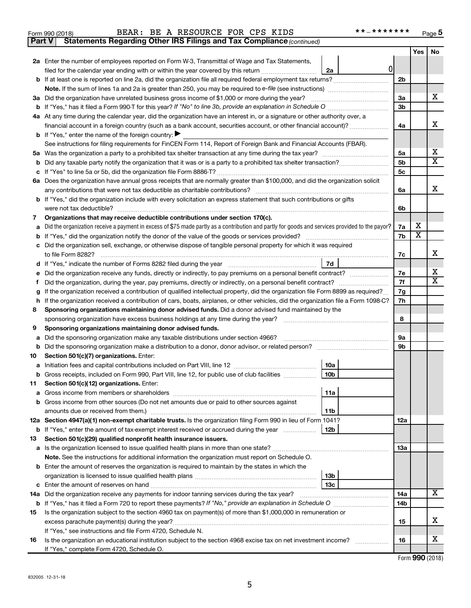# Form 990 (2018) BEAR: BE A RESOURCE FOR CPS KIDS \*\*\_\*\*\*\*\*\*\*\* <sub>Page</sub>

**Part V** Statements Regarding Other IRS Filings and Tax Compliance (continued)

|     |                                                                                                                                                                                                                                     |                 | Yes | No                      |  |  |  |  |  |
|-----|-------------------------------------------------------------------------------------------------------------------------------------------------------------------------------------------------------------------------------------|-----------------|-----|-------------------------|--|--|--|--|--|
|     | 2a Enter the number of employees reported on Form W-3, Transmittal of Wage and Tax Statements,                                                                                                                                      |                 |     |                         |  |  |  |  |  |
|     | 0<br>filed for the calendar year ending with or within the year covered by this return <i></i><br>2a                                                                                                                                |                 |     |                         |  |  |  |  |  |
|     |                                                                                                                                                                                                                                     | 2b              |     |                         |  |  |  |  |  |
|     |                                                                                                                                                                                                                                     |                 |     |                         |  |  |  |  |  |
|     | 3a Did the organization have unrelated business gross income of \$1,000 or more during the year?                                                                                                                                    |                 |     |                         |  |  |  |  |  |
|     |                                                                                                                                                                                                                                     | 3b              |     |                         |  |  |  |  |  |
|     | 4a At any time during the calendar year, did the organization have an interest in, or a signature or other authority over, a                                                                                                        |                 |     |                         |  |  |  |  |  |
|     | financial account in a foreign country (such as a bank account, securities account, or other financial account)?                                                                                                                    | 4a              |     | х                       |  |  |  |  |  |
|     | <b>b</b> If "Yes," enter the name of the foreign country:                                                                                                                                                                           |                 |     |                         |  |  |  |  |  |
|     | See instructions for filing requirements for FinCEN Form 114, Report of Foreign Bank and Financial Accounts (FBAR).                                                                                                                 |                 |     | x                       |  |  |  |  |  |
| 5а  |                                                                                                                                                                                                                                     | 5a<br>5b        |     | $\overline{\texttt{x}}$ |  |  |  |  |  |
| b   |                                                                                                                                                                                                                                     | 5c              |     |                         |  |  |  |  |  |
| c   | 6a Does the organization have annual gross receipts that are normally greater than \$100,000, and did the organization solicit                                                                                                      |                 |     |                         |  |  |  |  |  |
|     | any contributions that were not tax deductible as charitable contributions?                                                                                                                                                         | 6a              |     | х                       |  |  |  |  |  |
|     | <b>b</b> If "Yes," did the organization include with every solicitation an express statement that such contributions or gifts                                                                                                       |                 |     |                         |  |  |  |  |  |
|     | were not tax deductible?                                                                                                                                                                                                            | 6b              |     |                         |  |  |  |  |  |
| 7   | Organizations that may receive deductible contributions under section 170(c).                                                                                                                                                       |                 |     |                         |  |  |  |  |  |
| a   | Did the organization receive a payment in excess of \$75 made partly as a contribution and partly for goods and services provided to the payor?                                                                                     | 7a              | x   |                         |  |  |  |  |  |
| b   |                                                                                                                                                                                                                                     | 7b              | X   |                         |  |  |  |  |  |
|     | c Did the organization sell, exchange, or otherwise dispose of tangible personal property for which it was required                                                                                                                 |                 |     |                         |  |  |  |  |  |
|     | to file Form 8282?                                                                                                                                                                                                                  | 7c              |     | х                       |  |  |  |  |  |
| d   | 7d                                                                                                                                                                                                                                  |                 |     |                         |  |  |  |  |  |
| е   |                                                                                                                                                                                                                                     | 7e              |     | x                       |  |  |  |  |  |
| f.  | Did the organization, during the year, pay premiums, directly or indirectly, on a personal benefit contract?                                                                                                                        |                 |     |                         |  |  |  |  |  |
| g   | If the organization received a contribution of qualified intellectual property, did the organization file Form 8899 as required?                                                                                                    | 7g              |     |                         |  |  |  |  |  |
| h   | If the organization received a contribution of cars, boats, airplanes, or other vehicles, did the organization file a Form 1098-C?                                                                                                  | 7h              |     |                         |  |  |  |  |  |
| 8   | Sponsoring organizations maintaining donor advised funds. Did a donor advised fund maintained by the                                                                                                                                |                 |     |                         |  |  |  |  |  |
|     | sponsoring organization have excess business holdings at any time during the year?                                                                                                                                                  | 8               |     |                         |  |  |  |  |  |
| 9   | Sponsoring organizations maintaining donor advised funds.                                                                                                                                                                           |                 |     |                         |  |  |  |  |  |
| a   | Did the sponsoring organization make any taxable distributions under section 4966?                                                                                                                                                  | 9а              |     |                         |  |  |  |  |  |
| b   |                                                                                                                                                                                                                                     | 9b              |     |                         |  |  |  |  |  |
| 10  | Section 501(c)(7) organizations. Enter:                                                                                                                                                                                             |                 |     |                         |  |  |  |  |  |
| а   | 10a                                                                                                                                                                                                                                 |                 |     |                         |  |  |  |  |  |
| b   | 10 <sub>b</sub><br>Gross receipts, included on Form 990, Part VIII, line 12, for public use of club facilities                                                                                                                      |                 |     |                         |  |  |  |  |  |
| 11. | Section 501(c)(12) organizations. Enter:                                                                                                                                                                                            |                 |     |                         |  |  |  |  |  |
|     | 11a<br>a Gross income from members or shareholders                                                                                                                                                                                  |                 |     |                         |  |  |  |  |  |
|     | <b>b</b> Gross income from other sources (Do not net amounts due or paid to other sources against                                                                                                                                   |                 |     |                         |  |  |  |  |  |
|     | 11 <sub>b</sub>                                                                                                                                                                                                                     |                 |     |                         |  |  |  |  |  |
|     | 12a Section 4947(a)(1) non-exempt charitable trusts. Is the organization filing Form 990 in lieu of Form 1041?<br>12 <sub>b</sub><br><b>b</b> If "Yes," enter the amount of tax-exempt interest received or accrued during the year | 12a             |     |                         |  |  |  |  |  |
| 13  | Section 501(c)(29) qualified nonprofit health insurance issuers.                                                                                                                                                                    |                 |     |                         |  |  |  |  |  |
|     |                                                                                                                                                                                                                                     | 13a             |     |                         |  |  |  |  |  |
|     | Note. See the instructions for additional information the organization must report on Schedule O.                                                                                                                                   |                 |     |                         |  |  |  |  |  |
|     | <b>b</b> Enter the amount of reserves the organization is required to maintain by the states in which the                                                                                                                           |                 |     |                         |  |  |  |  |  |
|     | 13 <sub>b</sub>                                                                                                                                                                                                                     |                 |     |                         |  |  |  |  |  |
|     | 13с                                                                                                                                                                                                                                 |                 |     |                         |  |  |  |  |  |
|     | 14a Did the organization receive any payments for indoor tanning services during the tax year?                                                                                                                                      | 14a             |     | X                       |  |  |  |  |  |
|     |                                                                                                                                                                                                                                     | 14 <sub>b</sub> |     |                         |  |  |  |  |  |
| 15  | Is the organization subject to the section 4960 tax on payment(s) of more than \$1,000,000 in remuneration or                                                                                                                       |                 |     |                         |  |  |  |  |  |
|     | excess parachute payment(s) during the year?                                                                                                                                                                                        | 15              |     | х                       |  |  |  |  |  |
|     | If "Yes," see instructions and file Form 4720, Schedule N.                                                                                                                                                                          |                 |     |                         |  |  |  |  |  |
| 16  | Is the organization an educational institution subject to the section 4968 excise tax on net investment income?                                                                                                                     | 16              |     | x                       |  |  |  |  |  |
|     | If "Yes," complete Form 4720, Schedule O.                                                                                                                                                                                           |                 |     |                         |  |  |  |  |  |

Form (2018) **990**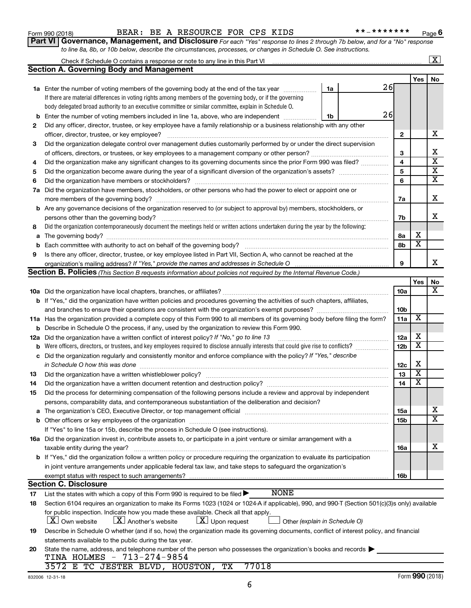| 832006 12-31-18 |  |
|-----------------|--|
|                 |  |

| body delegated broad authority to an executive committee or similar committee, explain in Schedule O.<br>26<br>Enter the number of voting members included in line 1a, above, who are independent<br>1b<br>Did any officer, director, trustee, or key employee have a family relationship or a business relationship with any other<br>officer, director, trustee, or key employee?<br>Did the organization delegate control over management duties customarily performed by or under the direct supervision<br>Did the organization make any significant changes to its governing documents since the prior Form 990 was filed?<br>Did the organization have members, stockholders, or other persons who had the power to elect or appoint one or<br><b>b</b> Are any governance decisions of the organization reserved to (or subject to approval by) members, stockholders, or<br>Did the organization contemporaneously document the meetings held or written actions undertaken during the year by the following:<br>Is there any officer, director, trustee, or key employee listed in Part VII, Section A, who cannot be reached at the<br>Section B. Policies (This Section B requests information about policies not required by the Internal Revenue Code.) | $\mathbf{2}$<br>3<br>4<br>5<br>6<br>7a<br>7b<br>8а<br>8b<br>9                                                                                                                                                                                                                                                                                                                                                                                                                                                                                                                                                                                                                                                                                                                                                                                                                                                                                                                                                                                                                                                                                                                                                                                                                                                                                                                        | х<br>$\overline{\textbf{x}}$                                        | х<br>Χ<br>$\overline{\mathtt{x}}$<br>$\overline{\text{x}}$<br>$\overline{\text{x}}$<br>x<br>х                                                                                                                                                                                                                                                                       |
|-----------------------------------------------------------------------------------------------------------------------------------------------------------------------------------------------------------------------------------------------------------------------------------------------------------------------------------------------------------------------------------------------------------------------------------------------------------------------------------------------------------------------------------------------------------------------------------------------------------------------------------------------------------------------------------------------------------------------------------------------------------------------------------------------------------------------------------------------------------------------------------------------------------------------------------------------------------------------------------------------------------------------------------------------------------------------------------------------------------------------------------------------------------------------------------------------------------------------------------------------------------------------|--------------------------------------------------------------------------------------------------------------------------------------------------------------------------------------------------------------------------------------------------------------------------------------------------------------------------------------------------------------------------------------------------------------------------------------------------------------------------------------------------------------------------------------------------------------------------------------------------------------------------------------------------------------------------------------------------------------------------------------------------------------------------------------------------------------------------------------------------------------------------------------------------------------------------------------------------------------------------------------------------------------------------------------------------------------------------------------------------------------------------------------------------------------------------------------------------------------------------------------------------------------------------------------------------------------------------------------------------------------------------------------|---------------------------------------------------------------------|---------------------------------------------------------------------------------------------------------------------------------------------------------------------------------------------------------------------------------------------------------------------------------------------------------------------------------------------------------------------|
|                                                                                                                                                                                                                                                                                                                                                                                                                                                                                                                                                                                                                                                                                                                                                                                                                                                                                                                                                                                                                                                                                                                                                                                                                                                                       |                                                                                                                                                                                                                                                                                                                                                                                                                                                                                                                                                                                                                                                                                                                                                                                                                                                                                                                                                                                                                                                                                                                                                                                                                                                                                                                                                                                      |                                                                     |                                                                                                                                                                                                                                                                                                                                                                     |
|                                                                                                                                                                                                                                                                                                                                                                                                                                                                                                                                                                                                                                                                                                                                                                                                                                                                                                                                                                                                                                                                                                                                                                                                                                                                       |                                                                                                                                                                                                                                                                                                                                                                                                                                                                                                                                                                                                                                                                                                                                                                                                                                                                                                                                                                                                                                                                                                                                                                                                                                                                                                                                                                                      |                                                                     |                                                                                                                                                                                                                                                                                                                                                                     |
|                                                                                                                                                                                                                                                                                                                                                                                                                                                                                                                                                                                                                                                                                                                                                                                                                                                                                                                                                                                                                                                                                                                                                                                                                                                                       |                                                                                                                                                                                                                                                                                                                                                                                                                                                                                                                                                                                                                                                                                                                                                                                                                                                                                                                                                                                                                                                                                                                                                                                                                                                                                                                                                                                      |                                                                     |                                                                                                                                                                                                                                                                                                                                                                     |
|                                                                                                                                                                                                                                                                                                                                                                                                                                                                                                                                                                                                                                                                                                                                                                                                                                                                                                                                                                                                                                                                                                                                                                                                                                                                       |                                                                                                                                                                                                                                                                                                                                                                                                                                                                                                                                                                                                                                                                                                                                                                                                                                                                                                                                                                                                                                                                                                                                                                                                                                                                                                                                                                                      |                                                                     |                                                                                                                                                                                                                                                                                                                                                                     |
|                                                                                                                                                                                                                                                                                                                                                                                                                                                                                                                                                                                                                                                                                                                                                                                                                                                                                                                                                                                                                                                                                                                                                                                                                                                                       |                                                                                                                                                                                                                                                                                                                                                                                                                                                                                                                                                                                                                                                                                                                                                                                                                                                                                                                                                                                                                                                                                                                                                                                                                                                                                                                                                                                      |                                                                     |                                                                                                                                                                                                                                                                                                                                                                     |
|                                                                                                                                                                                                                                                                                                                                                                                                                                                                                                                                                                                                                                                                                                                                                                                                                                                                                                                                                                                                                                                                                                                                                                                                                                                                       |                                                                                                                                                                                                                                                                                                                                                                                                                                                                                                                                                                                                                                                                                                                                                                                                                                                                                                                                                                                                                                                                                                                                                                                                                                                                                                                                                                                      |                                                                     |                                                                                                                                                                                                                                                                                                                                                                     |
|                                                                                                                                                                                                                                                                                                                                                                                                                                                                                                                                                                                                                                                                                                                                                                                                                                                                                                                                                                                                                                                                                                                                                                                                                                                                       |                                                                                                                                                                                                                                                                                                                                                                                                                                                                                                                                                                                                                                                                                                                                                                                                                                                                                                                                                                                                                                                                                                                                                                                                                                                                                                                                                                                      |                                                                     |                                                                                                                                                                                                                                                                                                                                                                     |
|                                                                                                                                                                                                                                                                                                                                                                                                                                                                                                                                                                                                                                                                                                                                                                                                                                                                                                                                                                                                                                                                                                                                                                                                                                                                       |                                                                                                                                                                                                                                                                                                                                                                                                                                                                                                                                                                                                                                                                                                                                                                                                                                                                                                                                                                                                                                                                                                                                                                                                                                                                                                                                                                                      |                                                                     |                                                                                                                                                                                                                                                                                                                                                                     |
|                                                                                                                                                                                                                                                                                                                                                                                                                                                                                                                                                                                                                                                                                                                                                                                                                                                                                                                                                                                                                                                                                                                                                                                                                                                                       |                                                                                                                                                                                                                                                                                                                                                                                                                                                                                                                                                                                                                                                                                                                                                                                                                                                                                                                                                                                                                                                                                                                                                                                                                                                                                                                                                                                      |                                                                     |                                                                                                                                                                                                                                                                                                                                                                     |
|                                                                                                                                                                                                                                                                                                                                                                                                                                                                                                                                                                                                                                                                                                                                                                                                                                                                                                                                                                                                                                                                                                                                                                                                                                                                       |                                                                                                                                                                                                                                                                                                                                                                                                                                                                                                                                                                                                                                                                                                                                                                                                                                                                                                                                                                                                                                                                                                                                                                                                                                                                                                                                                                                      |                                                                     |                                                                                                                                                                                                                                                                                                                                                                     |
|                                                                                                                                                                                                                                                                                                                                                                                                                                                                                                                                                                                                                                                                                                                                                                                                                                                                                                                                                                                                                                                                                                                                                                                                                                                                       |                                                                                                                                                                                                                                                                                                                                                                                                                                                                                                                                                                                                                                                                                                                                                                                                                                                                                                                                                                                                                                                                                                                                                                                                                                                                                                                                                                                      |                                                                     |                                                                                                                                                                                                                                                                                                                                                                     |
|                                                                                                                                                                                                                                                                                                                                                                                                                                                                                                                                                                                                                                                                                                                                                                                                                                                                                                                                                                                                                                                                                                                                                                                                                                                                       |                                                                                                                                                                                                                                                                                                                                                                                                                                                                                                                                                                                                                                                                                                                                                                                                                                                                                                                                                                                                                                                                                                                                                                                                                                                                                                                                                                                      |                                                                     |                                                                                                                                                                                                                                                                                                                                                                     |
|                                                                                                                                                                                                                                                                                                                                                                                                                                                                                                                                                                                                                                                                                                                                                                                                                                                                                                                                                                                                                                                                                                                                                                                                                                                                       |                                                                                                                                                                                                                                                                                                                                                                                                                                                                                                                                                                                                                                                                                                                                                                                                                                                                                                                                                                                                                                                                                                                                                                                                                                                                                                                                                                                      |                                                                     |                                                                                                                                                                                                                                                                                                                                                                     |
|                                                                                                                                                                                                                                                                                                                                                                                                                                                                                                                                                                                                                                                                                                                                                                                                                                                                                                                                                                                                                                                                                                                                                                                                                                                                       |                                                                                                                                                                                                                                                                                                                                                                                                                                                                                                                                                                                                                                                                                                                                                                                                                                                                                                                                                                                                                                                                                                                                                                                                                                                                                                                                                                                      |                                                                     |                                                                                                                                                                                                                                                                                                                                                                     |
|                                                                                                                                                                                                                                                                                                                                                                                                                                                                                                                                                                                                                                                                                                                                                                                                                                                                                                                                                                                                                                                                                                                                                                                                                                                                       |                                                                                                                                                                                                                                                                                                                                                                                                                                                                                                                                                                                                                                                                                                                                                                                                                                                                                                                                                                                                                                                                                                                                                                                                                                                                                                                                                                                      |                                                                     |                                                                                                                                                                                                                                                                                                                                                                     |
|                                                                                                                                                                                                                                                                                                                                                                                                                                                                                                                                                                                                                                                                                                                                                                                                                                                                                                                                                                                                                                                                                                                                                                                                                                                                       |                                                                                                                                                                                                                                                                                                                                                                                                                                                                                                                                                                                                                                                                                                                                                                                                                                                                                                                                                                                                                                                                                                                                                                                                                                                                                                                                                                                      |                                                                     |                                                                                                                                                                                                                                                                                                                                                                     |
|                                                                                                                                                                                                                                                                                                                                                                                                                                                                                                                                                                                                                                                                                                                                                                                                                                                                                                                                                                                                                                                                                                                                                                                                                                                                       |                                                                                                                                                                                                                                                                                                                                                                                                                                                                                                                                                                                                                                                                                                                                                                                                                                                                                                                                                                                                                                                                                                                                                                                                                                                                                                                                                                                      |                                                                     |                                                                                                                                                                                                                                                                                                                                                                     |
|                                                                                                                                                                                                                                                                                                                                                                                                                                                                                                                                                                                                                                                                                                                                                                                                                                                                                                                                                                                                                                                                                                                                                                                                                                                                       |                                                                                                                                                                                                                                                                                                                                                                                                                                                                                                                                                                                                                                                                                                                                                                                                                                                                                                                                                                                                                                                                                                                                                                                                                                                                                                                                                                                      |                                                                     | x                                                                                                                                                                                                                                                                                                                                                                   |
|                                                                                                                                                                                                                                                                                                                                                                                                                                                                                                                                                                                                                                                                                                                                                                                                                                                                                                                                                                                                                                                                                                                                                                                                                                                                       |                                                                                                                                                                                                                                                                                                                                                                                                                                                                                                                                                                                                                                                                                                                                                                                                                                                                                                                                                                                                                                                                                                                                                                                                                                                                                                                                                                                      |                                                                     |                                                                                                                                                                                                                                                                                                                                                                     |
|                                                                                                                                                                                                                                                                                                                                                                                                                                                                                                                                                                                                                                                                                                                                                                                                                                                                                                                                                                                                                                                                                                                                                                                                                                                                       |                                                                                                                                                                                                                                                                                                                                                                                                                                                                                                                                                                                                                                                                                                                                                                                                                                                                                                                                                                                                                                                                                                                                                                                                                                                                                                                                                                                      | Yes                                                                 | No                                                                                                                                                                                                                                                                                                                                                                  |
|                                                                                                                                                                                                                                                                                                                                                                                                                                                                                                                                                                                                                                                                                                                                                                                                                                                                                                                                                                                                                                                                                                                                                                                                                                                                       | 10a                                                                                                                                                                                                                                                                                                                                                                                                                                                                                                                                                                                                                                                                                                                                                                                                                                                                                                                                                                                                                                                                                                                                                                                                                                                                                                                                                                                  |                                                                     | х                                                                                                                                                                                                                                                                                                                                                                   |
| b If "Yes," did the organization have written policies and procedures governing the activities of such chapters, affiliates,                                                                                                                                                                                                                                                                                                                                                                                                                                                                                                                                                                                                                                                                                                                                                                                                                                                                                                                                                                                                                                                                                                                                          |                                                                                                                                                                                                                                                                                                                                                                                                                                                                                                                                                                                                                                                                                                                                                                                                                                                                                                                                                                                                                                                                                                                                                                                                                                                                                                                                                                                      |                                                                     |                                                                                                                                                                                                                                                                                                                                                                     |
|                                                                                                                                                                                                                                                                                                                                                                                                                                                                                                                                                                                                                                                                                                                                                                                                                                                                                                                                                                                                                                                                                                                                                                                                                                                                       |                                                                                                                                                                                                                                                                                                                                                                                                                                                                                                                                                                                                                                                                                                                                                                                                                                                                                                                                                                                                                                                                                                                                                                                                                                                                                                                                                                                      |                                                                     |                                                                                                                                                                                                                                                                                                                                                                     |
|                                                                                                                                                                                                                                                                                                                                                                                                                                                                                                                                                                                                                                                                                                                                                                                                                                                                                                                                                                                                                                                                                                                                                                                                                                                                       |                                                                                                                                                                                                                                                                                                                                                                                                                                                                                                                                                                                                                                                                                                                                                                                                                                                                                                                                                                                                                                                                                                                                                                                                                                                                                                                                                                                      |                                                                     |                                                                                                                                                                                                                                                                                                                                                                     |
|                                                                                                                                                                                                                                                                                                                                                                                                                                                                                                                                                                                                                                                                                                                                                                                                                                                                                                                                                                                                                                                                                                                                                                                                                                                                       |                                                                                                                                                                                                                                                                                                                                                                                                                                                                                                                                                                                                                                                                                                                                                                                                                                                                                                                                                                                                                                                                                                                                                                                                                                                                                                                                                                                      |                                                                     |                                                                                                                                                                                                                                                                                                                                                                     |
|                                                                                                                                                                                                                                                                                                                                                                                                                                                                                                                                                                                                                                                                                                                                                                                                                                                                                                                                                                                                                                                                                                                                                                                                                                                                       |                                                                                                                                                                                                                                                                                                                                                                                                                                                                                                                                                                                                                                                                                                                                                                                                                                                                                                                                                                                                                                                                                                                                                                                                                                                                                                                                                                                      |                                                                     |                                                                                                                                                                                                                                                                                                                                                                     |
|                                                                                                                                                                                                                                                                                                                                                                                                                                                                                                                                                                                                                                                                                                                                                                                                                                                                                                                                                                                                                                                                                                                                                                                                                                                                       |                                                                                                                                                                                                                                                                                                                                                                                                                                                                                                                                                                                                                                                                                                                                                                                                                                                                                                                                                                                                                                                                                                                                                                                                                                                                                                                                                                                      |                                                                     |                                                                                                                                                                                                                                                                                                                                                                     |
|                                                                                                                                                                                                                                                                                                                                                                                                                                                                                                                                                                                                                                                                                                                                                                                                                                                                                                                                                                                                                                                                                                                                                                                                                                                                       |                                                                                                                                                                                                                                                                                                                                                                                                                                                                                                                                                                                                                                                                                                                                                                                                                                                                                                                                                                                                                                                                                                                                                                                                                                                                                                                                                                                      |                                                                     |                                                                                                                                                                                                                                                                                                                                                                     |
|                                                                                                                                                                                                                                                                                                                                                                                                                                                                                                                                                                                                                                                                                                                                                                                                                                                                                                                                                                                                                                                                                                                                                                                                                                                                       | 12c                                                                                                                                                                                                                                                                                                                                                                                                                                                                                                                                                                                                                                                                                                                                                                                                                                                                                                                                                                                                                                                                                                                                                                                                                                                                                                                                                                                  |                                                                     |                                                                                                                                                                                                                                                                                                                                                                     |
|                                                                                                                                                                                                                                                                                                                                                                                                                                                                                                                                                                                                                                                                                                                                                                                                                                                                                                                                                                                                                                                                                                                                                                                                                                                                       |                                                                                                                                                                                                                                                                                                                                                                                                                                                                                                                                                                                                                                                                                                                                                                                                                                                                                                                                                                                                                                                                                                                                                                                                                                                                                                                                                                                      |                                                                     |                                                                                                                                                                                                                                                                                                                                                                     |
|                                                                                                                                                                                                                                                                                                                                                                                                                                                                                                                                                                                                                                                                                                                                                                                                                                                                                                                                                                                                                                                                                                                                                                                                                                                                       |                                                                                                                                                                                                                                                                                                                                                                                                                                                                                                                                                                                                                                                                                                                                                                                                                                                                                                                                                                                                                                                                                                                                                                                                                                                                                                                                                                                      |                                                                     |                                                                                                                                                                                                                                                                                                                                                                     |
|                                                                                                                                                                                                                                                                                                                                                                                                                                                                                                                                                                                                                                                                                                                                                                                                                                                                                                                                                                                                                                                                                                                                                                                                                                                                       |                                                                                                                                                                                                                                                                                                                                                                                                                                                                                                                                                                                                                                                                                                                                                                                                                                                                                                                                                                                                                                                                                                                                                                                                                                                                                                                                                                                      |                                                                     |                                                                                                                                                                                                                                                                                                                                                                     |
| persons, comparability data, and contemporaneous substantiation of the deliberation and decision?                                                                                                                                                                                                                                                                                                                                                                                                                                                                                                                                                                                                                                                                                                                                                                                                                                                                                                                                                                                                                                                                                                                                                                     |                                                                                                                                                                                                                                                                                                                                                                                                                                                                                                                                                                                                                                                                                                                                                                                                                                                                                                                                                                                                                                                                                                                                                                                                                                                                                                                                                                                      |                                                                     |                                                                                                                                                                                                                                                                                                                                                                     |
|                                                                                                                                                                                                                                                                                                                                                                                                                                                                                                                                                                                                                                                                                                                                                                                                                                                                                                                                                                                                                                                                                                                                                                                                                                                                       | <b>15a</b>                                                                                                                                                                                                                                                                                                                                                                                                                                                                                                                                                                                                                                                                                                                                                                                                                                                                                                                                                                                                                                                                                                                                                                                                                                                                                                                                                                           |                                                                     | x                                                                                                                                                                                                                                                                                                                                                                   |
|                                                                                                                                                                                                                                                                                                                                                                                                                                                                                                                                                                                                                                                                                                                                                                                                                                                                                                                                                                                                                                                                                                                                                                                                                                                                       | 15b                                                                                                                                                                                                                                                                                                                                                                                                                                                                                                                                                                                                                                                                                                                                                                                                                                                                                                                                                                                                                                                                                                                                                                                                                                                                                                                                                                                  |                                                                     | $\overline{\textbf{x}}$                                                                                                                                                                                                                                                                                                                                             |
| If "Yes" to line 15a or 15b, describe the process in Schedule O (see instructions).                                                                                                                                                                                                                                                                                                                                                                                                                                                                                                                                                                                                                                                                                                                                                                                                                                                                                                                                                                                                                                                                                                                                                                                   |                                                                                                                                                                                                                                                                                                                                                                                                                                                                                                                                                                                                                                                                                                                                                                                                                                                                                                                                                                                                                                                                                                                                                                                                                                                                                                                                                                                      |                                                                     |                                                                                                                                                                                                                                                                                                                                                                     |
| 16a Did the organization invest in, contribute assets to, or participate in a joint venture or similar arrangement with a                                                                                                                                                                                                                                                                                                                                                                                                                                                                                                                                                                                                                                                                                                                                                                                                                                                                                                                                                                                                                                                                                                                                             |                                                                                                                                                                                                                                                                                                                                                                                                                                                                                                                                                                                                                                                                                                                                                                                                                                                                                                                                                                                                                                                                                                                                                                                                                                                                                                                                                                                      |                                                                     |                                                                                                                                                                                                                                                                                                                                                                     |
| taxable entity during the year?                                                                                                                                                                                                                                                                                                                                                                                                                                                                                                                                                                                                                                                                                                                                                                                                                                                                                                                                                                                                                                                                                                                                                                                                                                       | 16a                                                                                                                                                                                                                                                                                                                                                                                                                                                                                                                                                                                                                                                                                                                                                                                                                                                                                                                                                                                                                                                                                                                                                                                                                                                                                                                                                                                  |                                                                     | x                                                                                                                                                                                                                                                                                                                                                                   |
| b If "Yes," did the organization follow a written policy or procedure requiring the organization to evaluate its participation                                                                                                                                                                                                                                                                                                                                                                                                                                                                                                                                                                                                                                                                                                                                                                                                                                                                                                                                                                                                                                                                                                                                        |                                                                                                                                                                                                                                                                                                                                                                                                                                                                                                                                                                                                                                                                                                                                                                                                                                                                                                                                                                                                                                                                                                                                                                                                                                                                                                                                                                                      |                                                                     |                                                                                                                                                                                                                                                                                                                                                                     |
|                                                                                                                                                                                                                                                                                                                                                                                                                                                                                                                                                                                                                                                                                                                                                                                                                                                                                                                                                                                                                                                                                                                                                                                                                                                                       |                                                                                                                                                                                                                                                                                                                                                                                                                                                                                                                                                                                                                                                                                                                                                                                                                                                                                                                                                                                                                                                                                                                                                                                                                                                                                                                                                                                      |                                                                     |                                                                                                                                                                                                                                                                                                                                                                     |
| exempt status with respect to such arrangements?                                                                                                                                                                                                                                                                                                                                                                                                                                                                                                                                                                                                                                                                                                                                                                                                                                                                                                                                                                                                                                                                                                                                                                                                                      | 16b                                                                                                                                                                                                                                                                                                                                                                                                                                                                                                                                                                                                                                                                                                                                                                                                                                                                                                                                                                                                                                                                                                                                                                                                                                                                                                                                                                                  |                                                                     |                                                                                                                                                                                                                                                                                                                                                                     |
|                                                                                                                                                                                                                                                                                                                                                                                                                                                                                                                                                                                                                                                                                                                                                                                                                                                                                                                                                                                                                                                                                                                                                                                                                                                                       |                                                                                                                                                                                                                                                                                                                                                                                                                                                                                                                                                                                                                                                                                                                                                                                                                                                                                                                                                                                                                                                                                                                                                                                                                                                                                                                                                                                      |                                                                     |                                                                                                                                                                                                                                                                                                                                                                     |
| List the states with which a copy of this Form 990 is required to be filed $\blacktriangleright$                                                                                                                                                                                                                                                                                                                                                                                                                                                                                                                                                                                                                                                                                                                                                                                                                                                                                                                                                                                                                                                                                                                                                                      |                                                                                                                                                                                                                                                                                                                                                                                                                                                                                                                                                                                                                                                                                                                                                                                                                                                                                                                                                                                                                                                                                                                                                                                                                                                                                                                                                                                      |                                                                     |                                                                                                                                                                                                                                                                                                                                                                     |
|                                                                                                                                                                                                                                                                                                                                                                                                                                                                                                                                                                                                                                                                                                                                                                                                                                                                                                                                                                                                                                                                                                                                                                                                                                                                       |                                                                                                                                                                                                                                                                                                                                                                                                                                                                                                                                                                                                                                                                                                                                                                                                                                                                                                                                                                                                                                                                                                                                                                                                                                                                                                                                                                                      |                                                                     |                                                                                                                                                                                                                                                                                                                                                                     |
|                                                                                                                                                                                                                                                                                                                                                                                                                                                                                                                                                                                                                                                                                                                                                                                                                                                                                                                                                                                                                                                                                                                                                                                                                                                                       |                                                                                                                                                                                                                                                                                                                                                                                                                                                                                                                                                                                                                                                                                                                                                                                                                                                                                                                                                                                                                                                                                                                                                                                                                                                                                                                                                                                      |                                                                     |                                                                                                                                                                                                                                                                                                                                                                     |
| <b>X</b> Own website<br>Other (explain in Schedule O)                                                                                                                                                                                                                                                                                                                                                                                                                                                                                                                                                                                                                                                                                                                                                                                                                                                                                                                                                                                                                                                                                                                                                                                                                 |                                                                                                                                                                                                                                                                                                                                                                                                                                                                                                                                                                                                                                                                                                                                                                                                                                                                                                                                                                                                                                                                                                                                                                                                                                                                                                                                                                                      |                                                                     |                                                                                                                                                                                                                                                                                                                                                                     |
|                                                                                                                                                                                                                                                                                                                                                                                                                                                                                                                                                                                                                                                                                                                                                                                                                                                                                                                                                                                                                                                                                                                                                                                                                                                                       |                                                                                                                                                                                                                                                                                                                                                                                                                                                                                                                                                                                                                                                                                                                                                                                                                                                                                                                                                                                                                                                                                                                                                                                                                                                                                                                                                                                      |                                                                     |                                                                                                                                                                                                                                                                                                                                                                     |
| statements available to the public during the tax year.                                                                                                                                                                                                                                                                                                                                                                                                                                                                                                                                                                                                                                                                                                                                                                                                                                                                                                                                                                                                                                                                                                                                                                                                               |                                                                                                                                                                                                                                                                                                                                                                                                                                                                                                                                                                                                                                                                                                                                                                                                                                                                                                                                                                                                                                                                                                                                                                                                                                                                                                                                                                                      |                                                                     |                                                                                                                                                                                                                                                                                                                                                                     |
| State the name, address, and telephone number of the person who possesses the organization's books and records                                                                                                                                                                                                                                                                                                                                                                                                                                                                                                                                                                                                                                                                                                                                                                                                                                                                                                                                                                                                                                                                                                                                                        |                                                                                                                                                                                                                                                                                                                                                                                                                                                                                                                                                                                                                                                                                                                                                                                                                                                                                                                                                                                                                                                                                                                                                                                                                                                                                                                                                                                      |                                                                     |                                                                                                                                                                                                                                                                                                                                                                     |
| TINA HOLMES -                                                                                                                                                                                                                                                                                                                                                                                                                                                                                                                                                                                                                                                                                                                                                                                                                                                                                                                                                                                                                                                                                                                                                                                                                                                         |                                                                                                                                                                                                                                                                                                                                                                                                                                                                                                                                                                                                                                                                                                                                                                                                                                                                                                                                                                                                                                                                                                                                                                                                                                                                                                                                                                                      |                                                                     |                                                                                                                                                                                                                                                                                                                                                                     |
|                                                                                                                                                                                                                                                                                                                                                                                                                                                                                                                                                                                                                                                                                                                                                                                                                                                                                                                                                                                                                                                                                                                                                                                                                                                                       |                                                                                                                                                                                                                                                                                                                                                                                                                                                                                                                                                                                                                                                                                                                                                                                                                                                                                                                                                                                                                                                                                                                                                                                                                                                                                                                                                                                      |                                                                     |                                                                                                                                                                                                                                                                                                                                                                     |
|                                                                                                                                                                                                                                                                                                                                                                                                                                                                                                                                                                                                                                                                                                                                                                                                                                                                                                                                                                                                                                                                                                                                                                                                                                                                       | 11a Has the organization provided a complete copy of this Form 990 to all members of its governing body before filing the form?<br>Describe in Schedule O the process, if any, used by the organization to review this Form 990.<br>Did the organization have a written conflict of interest policy? If "No," go to line 13<br>Were officers, directors, or trustees, and key employees required to disclose annually interests that could give rise to conflicts?<br>Did the organization regularly and consistently monitor and enforce compliance with the policy? If "Yes," describe<br>in Schedule O how this was done<br>Did the process for determining compensation of the following persons include a review and approval by independent<br>The organization's CEO, Executive Director, or top management official manufactured content of the organization's CEO, Executive Director, or top management official manufactured content of the organization's<br>in joint venture arrangements under applicable federal tax law, and take steps to safeguard the organization's<br><b>Section C. Disclosure</b><br><b>NONE</b><br>for public inspection. Indicate how you made these available. Check all that apply.<br>$\underline{X}$ Another's website<br>$\lfloor \underline{X} \rfloor$ Upon request<br>713-274-9854<br>3572 E TC JESTER BLVD, HOUSTON,<br>77018<br>TХ | 10b<br>11a<br>12a<br>12 <sub>b</sub><br>13<br>14<br>832006 12-31-18 | X<br>х<br>$\overline{\textbf{x}}$<br>х<br>х<br>х<br>Section 6104 requires an organization to make its Forms 1023 (1024 or 1024 A if applicable), 990, and 990 T (Section 501(c)(3)s only) available<br>Describe in Schedule O whether (and if so, how) the organization made its governing documents, conflict of interest policy, and financial<br>Form 990 (2018) |

6

**1a** Enter the number of voting members of the governing body at the end of the tax year *www.www.* 

Check if Schedule O contains a response or note to any line in this Part VI

**Section A. Governing Body and Management**

If there are material differences in voting rights among members of the governing body, or if the governing

**6** \* \* - \* \* \* \* \* \* \*

26

**1a**

**Yes No**

 $\boxed{\text{X}}$ 

| Form 990 (2018) |  |  | BEAR: BE A RESOURCE FOR CPS KIDS |  | **_*******                                                                                                                    | Pag |
|-----------------|--|--|----------------------------------|--|-------------------------------------------------------------------------------------------------------------------------------|-----|
|                 |  |  |                                  |  | Part VI   Governance, Management, and Disclosure For each "Yes" response to lines 2 through 7b below, and for a "No" response |     |
|                 |  |  |                                  |  | to line 8a, 8b, or 10b below, describe the circumstances, processes, or changes in Schedule O. See instructions.              |     |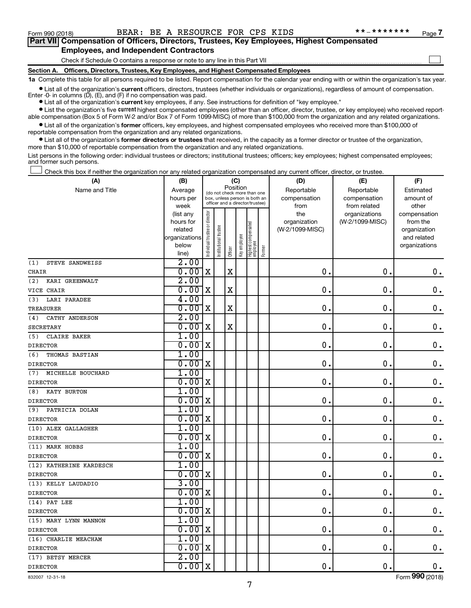$\Box$ 

| Part VII Compensation of Officers, Directors, Trustees, Key Employees, Highest Compensated |
|--------------------------------------------------------------------------------------------|
| <b>Employees, and Independent Contractors</b>                                              |

#### Check if Schedule O contains a response or note to any line in this Part VII

**Section A. Officers, Directors, Trustees, Key Employees, and Highest Compensated Employees**

**1a**  Complete this table for all persons required to be listed. Report compensation for the calendar year ending with or within the organization's tax year.

**•** List all of the organization's current officers, directors, trustees (whether individuals or organizations), regardless of amount of compensation.

**•** List all of the organization's **current** key employees, if any. See instructions for definition of "key employee." Enter -0- in columns  $(D)$ ,  $(E)$ , and  $(F)$  if no compensation was paid.

**•** List the organization's five current highest compensated employees (other than an officer, director, trustee, or key employee) who received reportable compensation (Box 5 of Form W-2 and/or Box 7 of Form 1099-MISC) of more than \$100,000 from the organization and any related organizations.

**•** List all of the organization's former officers, key employees, and highest compensated employees who received more than \$100,000 of reportable compensation from the organization and any related organizations.

**•** List all of the organization's former directors or trustees that received, in the capacity as a former director or trustee of the organization, more than \$10,000 of reportable compensation from the organization and any related organizations.

List persons in the following order: individual trustees or directors; institutional trustees; officers; key employees; highest compensated employees; and former such persons.

Check this box if neither the organization nor any related organization compensated any current officer, director, or trustee.  $\Box$ 

| (A)                      | (B)                    |                               |                                                                  |             | (C)          |                                 |        | (D)             | (E)             | (F)                |
|--------------------------|------------------------|-------------------------------|------------------------------------------------------------------|-------------|--------------|---------------------------------|--------|-----------------|-----------------|--------------------|
| Name and Title           | Average                |                               | (do not check more than one                                      | Position    |              |                                 |        | Reportable      | Reportable      | Estimated          |
|                          | hours per              |                               | box, unless person is both an<br>officer and a director/trustee) |             |              |                                 |        | compensation    | compensation    | amount of          |
|                          | week                   |                               |                                                                  |             |              |                                 |        | from            | from related    | other              |
|                          | (list any              |                               |                                                                  |             |              |                                 |        | the             | organizations   | compensation       |
|                          | hours for              |                               |                                                                  |             |              |                                 |        | organization    | (W-2/1099-MISC) | from the           |
|                          | related                |                               |                                                                  |             |              |                                 |        | (W-2/1099-MISC) |                 | organization       |
|                          | organizations<br>below |                               |                                                                  |             |              |                                 |        |                 |                 | and related        |
|                          | line)                  | ndividual trustee or director | Institutional trustee                                            | Officer     | Key employee | Highest compensated<br>employee | Former |                 |                 | organizations      |
| STEVE SANDWEISS<br>(1)   | 2.00                   |                               |                                                                  |             |              |                                 |        |                 |                 |                    |
| <b>CHAIR</b>             | 0.00                   | $\mathbf X$                   |                                                                  | $\mathbf X$ |              |                                 |        | $\mathbf 0$     | $\mathbf 0$ .   | 0.                 |
|                          | 2.00                   |                               |                                                                  |             |              |                                 |        |                 |                 |                    |
| (2)<br>KARI GREENWALT    |                        |                               |                                                                  |             |              |                                 |        |                 |                 |                    |
| VICE CHAIR               | 0.00                   | X                             |                                                                  | $\mathbf X$ |              |                                 |        | 0               | $\mathbf 0$     | $\mathbf 0$ .      |
| LARI PARADEE<br>(3)      | 4.00                   |                               |                                                                  |             |              |                                 |        |                 |                 |                    |
| <b>TREASURER</b>         | 0.00                   | $\mathbf X$                   |                                                                  | $\mathbf X$ |              |                                 |        | 0               | $\mathbf 0$ .   | $\mathbf 0$ .      |
| CATHY ANDERSON<br>(4)    | 2.00                   |                               |                                                                  |             |              |                                 |        |                 |                 |                    |
| <b>SECRETARY</b>         | 0.00                   | X                             |                                                                  | $\mathbf X$ |              |                                 |        | $\mathbf 0$ .   | $\mathbf 0$ .   | $\mathbf 0$ .      |
| CLAIRE BAKER<br>(5)      | 1.00                   |                               |                                                                  |             |              |                                 |        |                 |                 |                    |
| <b>DIRECTOR</b>          | 0.00                   | X                             |                                                                  |             |              |                                 |        | $\mathbf 0$ .   | $\mathbf 0$ .   | $\boldsymbol{0}$ . |
| (6)<br>THOMAS BASTIAN    | 1.00                   |                               |                                                                  |             |              |                                 |        |                 |                 |                    |
| <b>DIRECTOR</b>          | 0.00                   | X                             |                                                                  |             |              |                                 |        | $\mathbf 0$ .   | $\mathbf 0$ .   | 0.                 |
| MICHELLE BOUCHARD<br>(7) | 1.00                   |                               |                                                                  |             |              |                                 |        |                 |                 |                    |
| <b>DIRECTOR</b>          | 0.00                   | $\mathbf X$                   |                                                                  |             |              |                                 |        | $\mathbf 0$ .   | $\mathbf 0$ .   | $0$ .              |
| KATY BURTON<br>(8)       | 1.00                   |                               |                                                                  |             |              |                                 |        |                 |                 |                    |
| <b>DIRECTOR</b>          | 0.00                   | $\mathbf X$                   |                                                                  |             |              |                                 |        | $\mathbf 0$ .   | $\mathbf 0$ .   | $\mathbf 0$ .      |
| PATRICIA DOLAN<br>(9)    | 1.00                   |                               |                                                                  |             |              |                                 |        |                 |                 |                    |
| <b>DIRECTOR</b>          | 0.00                   | $\mathbf X$                   |                                                                  |             |              |                                 |        | 0.              | $\mathbf 0$ .   | $\mathbf 0$ .      |
| (10) ALEX GALLAGHER      | 1.00                   |                               |                                                                  |             |              |                                 |        |                 |                 |                    |
| <b>DIRECTOR</b>          | 0.00                   | $\mathbf X$                   |                                                                  |             |              |                                 |        | $\mathbf 0$ .   | $\mathbf 0$ .   | $\mathbf 0$ .      |
| (11) MARK HOBBS          | 1.00                   |                               |                                                                  |             |              |                                 |        |                 |                 |                    |
| <b>DIRECTOR</b>          | 0.00                   | $\mathbf X$                   |                                                                  |             |              |                                 |        | 0.              | $\mathbf 0$ .   | $\mathbf 0$ .      |
| (12) KATHERINE KARDESCH  | 1.00                   |                               |                                                                  |             |              |                                 |        |                 |                 |                    |
| <b>DIRECTOR</b>          | 0.00                   | $\mathbf X$                   |                                                                  |             |              |                                 |        | 0.              | $\mathbf 0$ .   | $\mathbf 0$ .      |
| (13) KELLY LAUDADIO      | 3.00                   |                               |                                                                  |             |              |                                 |        |                 |                 |                    |
| <b>DIRECTOR</b>          | 0.00                   | $\mathbf X$                   |                                                                  |             |              |                                 |        | 0.              | 0.              | $\mathbf 0$ .      |
| $(14)$ PAT LEE           | 1.00                   |                               |                                                                  |             |              |                                 |        |                 |                 |                    |
| <b>DIRECTOR</b>          | 0.00                   | X                             |                                                                  |             |              |                                 |        | $\mathbf 0$ .   | $\mathbf 0$ .   | $\mathbf 0$ .      |
| (15) MARY LYNN MANNON    | 1.00                   |                               |                                                                  |             |              |                                 |        |                 |                 |                    |
| <b>DIRECTOR</b>          | 0.00                   | $\mathbf X$                   |                                                                  |             |              |                                 |        | $\mathbf{0}$ .  | $\mathbf 0$ .   | $\mathbf 0$ .      |
| (16) CHARLIE MEACHAM     | 1.00                   |                               |                                                                  |             |              |                                 |        |                 |                 |                    |
| <b>DIRECTOR</b>          | 0.00                   | $\mathbf X$                   |                                                                  |             |              |                                 |        | $\mathbf 0$ .   | $\mathbf 0$ .   | 0.                 |
| (17) BETSY MERCER        | 2.00                   |                               |                                                                  |             |              |                                 |        |                 |                 |                    |
| <b>DIRECTOR</b>          | 0.00                   | $\mathbf X$                   |                                                                  |             |              |                                 |        | $\mathbf{0}$ .  | 0.              | $\mathbf 0$ .      |

832007 12-31-18

Form (2018) **990**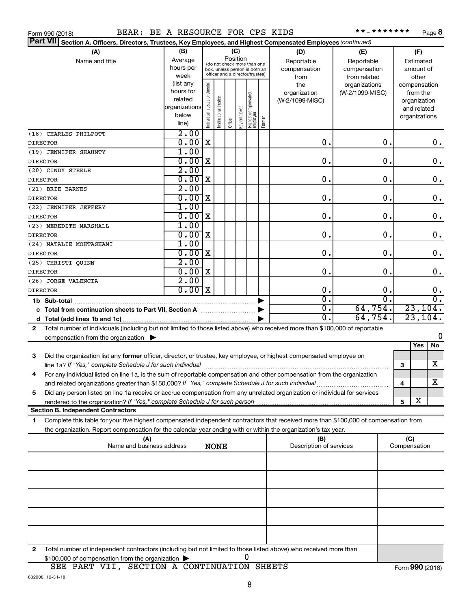| Form 990 (2018) |  |  |
|-----------------|--|--|
|                 |  |  |

Form 990 (2018) BEAR: BE A RESOURCE FOR CPS KIDS \*\*\_\*\*\*\*\*\*\*\* Page

\*\*\_\*\*\*\*\*\*\* Page 8

| Part VII Section A. Officers, Directors, Trustees, Key Employees, and Highest Compensated Employees (continued)                                                                                                                                   |                          |                                |                       |         |              |                                                              |        |                             |                  |                              |
|---------------------------------------------------------------------------------------------------------------------------------------------------------------------------------------------------------------------------------------------------|--------------------------|--------------------------------|-----------------------|---------|--------------|--------------------------------------------------------------|--------|-----------------------------|------------------|------------------------------|
| (A)                                                                                                                                                                                                                                               | (B)                      | (C)                            |                       |         |              |                                                              |        | (D)                         | (E)              | (F)                          |
| Name and title                                                                                                                                                                                                                                    | Average                  |                                |                       |         | Position     |                                                              |        | Reportable                  | Reportable       | Estimated                    |
|                                                                                                                                                                                                                                                   | hours per                |                                |                       |         |              | (do not check more than one<br>box, unless person is both an |        | compensation                | compensation     | amount of                    |
|                                                                                                                                                                                                                                                   | week                     |                                |                       |         |              | officer and a director/trustee)                              |        | from                        | from related     | other                        |
|                                                                                                                                                                                                                                                   | (list any                |                                |                       |         |              |                                                              |        | the                         | organizations    | compensation                 |
|                                                                                                                                                                                                                                                   | hours for                |                                |                       |         |              |                                                              |        | organization                | (W-2/1099-MISC)  | from the                     |
|                                                                                                                                                                                                                                                   | related<br>organizations |                                |                       |         |              |                                                              |        | (W-2/1099-MISC)             |                  | organization                 |
|                                                                                                                                                                                                                                                   | below                    |                                |                       |         |              |                                                              |        |                             |                  | and related<br>organizations |
|                                                                                                                                                                                                                                                   | line)                    | Individual trustee or director | Institutional trustee | Officer | key employee | Highest compensated<br>employee                              | Former |                             |                  |                              |
| (18) CHARLES PHILPOTT                                                                                                                                                                                                                             | 2.00                     |                                |                       |         |              |                                                              |        |                             |                  |                              |
| <b>DIRECTOR</b>                                                                                                                                                                                                                                   | 0.00                     | X                              |                       |         |              |                                                              |        | $\mathbf 0$ .               | 0.               | 0.                           |
| (19) JENNIFER SHAUNTY                                                                                                                                                                                                                             | 1.00                     |                                |                       |         |              |                                                              |        |                             |                  |                              |
| <b>DIRECTOR</b>                                                                                                                                                                                                                                   | 0.00                     | X                              |                       |         |              |                                                              |        | 0.                          | 0.               | $\mathbf 0$ .                |
| (20) CINDY STEELE                                                                                                                                                                                                                                 | 2.00                     |                                |                       |         |              |                                                              |        |                             |                  |                              |
| <b>DIRECTOR</b>                                                                                                                                                                                                                                   | 0.00                     | X                              |                       |         |              |                                                              |        | 0.                          | 0.               | $\mathbf 0$ .                |
| (21) BRIE BARNES                                                                                                                                                                                                                                  | 2.00<br>0.00             | X                              |                       |         |              |                                                              |        | 0.                          | 0.               |                              |
| <b>DIRECTOR</b><br>(22) JENNIFER JEFFERY                                                                                                                                                                                                          | 1.00                     |                                |                       |         |              |                                                              |        |                             |                  | $\mathbf 0$ .                |
| <b>DIRECTOR</b>                                                                                                                                                                                                                                   | 0.00                     | X                              |                       |         |              |                                                              |        | 0.                          | 0.               | $\mathbf 0$ .                |
| (23) MEREDITH MARSHALL                                                                                                                                                                                                                            | 1.00                     |                                |                       |         |              |                                                              |        |                             |                  |                              |
| <b>DIRECTOR</b>                                                                                                                                                                                                                                   | 0.00                     | X                              |                       |         |              |                                                              |        | 0.                          | 0.               | $\mathbf 0$ .                |
| (24) NATALIE MOHTASHAMI                                                                                                                                                                                                                           | 1.00                     |                                |                       |         |              |                                                              |        |                             |                  |                              |
| <b>DIRECTOR</b>                                                                                                                                                                                                                                   | 0.00                     | X                              |                       |         |              |                                                              |        | 0.                          | 0.               | 0.                           |
| (25) CHRISTI QUINN                                                                                                                                                                                                                                | 2.00                     |                                |                       |         |              |                                                              |        | 0.                          |                  |                              |
| <b>DIRECTOR</b><br>(26) JORGE VALENCIA                                                                                                                                                                                                            | 0.00<br>2.00             | X                              |                       |         |              |                                                              |        |                             | 0.               | $\boldsymbol{0}$ .           |
| <b>DIRECTOR</b>                                                                                                                                                                                                                                   | 0.00x                    |                                |                       |         |              |                                                              |        | 0.                          | 0.               | 0.                           |
| 1b Sub-total                                                                                                                                                                                                                                      |                          |                                |                       |         |              |                                                              |        | σ.                          | $\overline{0}$ . | $\overline{0}$ .             |
|                                                                                                                                                                                                                                                   |                          |                                |                       |         |              |                                                              |        | $\overline{0}$ .            | 64,754.          | 23, 104.                     |
|                                                                                                                                                                                                                                                   |                          |                                |                       |         |              |                                                              |        | $\overline{\mathfrak{o}}$ . | 64,754.          | 23, 104.                     |
| Total number of individuals (including but not limited to those listed above) who received more than \$100,000 of reportable<br>$\mathbf{2}$                                                                                                      |                          |                                |                       |         |              |                                                              |        |                             |                  |                              |
| compensation from the organization $\blacktriangleright$                                                                                                                                                                                          |                          |                                |                       |         |              |                                                              |        |                             |                  | 0                            |
|                                                                                                                                                                                                                                                   |                          |                                |                       |         |              |                                                              |        |                             |                  | No<br>Yes                    |
| Did the organization list any former officer, director, or trustee, key employee, or highest compensated employee on<br>3                                                                                                                         |                          |                                |                       |         |              |                                                              |        |                             |                  |                              |
| line 1a? If "Yes," complete Schedule J for such individual                                                                                                                                                                                        |                          |                                |                       |         |              |                                                              |        |                             |                  | x<br>3                       |
| For any individual listed on line 1a, is the sum of reportable compensation and other compensation from the organization<br>4                                                                                                                     |                          |                                |                       |         |              |                                                              |        |                             |                  | $\overline{\textbf{X}}$      |
|                                                                                                                                                                                                                                                   |                          |                                |                       |         |              |                                                              |        |                             |                  | 4                            |
| Did any person listed on line 1a receive or accrue compensation from any unrelated organization or individual for services<br>5<br>rendered to the organization? If "Yes," complete Schedule J for such person manufaction contains and contained |                          |                                |                       |         |              |                                                              |        |                             |                  | х<br>5                       |
| <b>Section B. Independent Contractors</b>                                                                                                                                                                                                         |                          |                                |                       |         |              |                                                              |        |                             |                  |                              |
| Complete this table for your five highest compensated independent contractors that received more than \$100,000 of compensation from<br>1                                                                                                         |                          |                                |                       |         |              |                                                              |        |                             |                  |                              |
| the organization. Report compensation for the calendar year ending with or within the organization's tax year.                                                                                                                                    |                          |                                |                       |         |              |                                                              |        |                             |                  |                              |
| (A)                                                                                                                                                                                                                                               |                          |                                |                       |         |              |                                                              |        | (B)                         |                  | (C)                          |
| Name and business address                                                                                                                                                                                                                         |                          |                                | <b>NONE</b>           |         |              |                                                              |        | Description of services     |                  | Compensation                 |
|                                                                                                                                                                                                                                                   |                          |                                |                       |         |              |                                                              |        |                             |                  |                              |
|                                                                                                                                                                                                                                                   |                          |                                |                       |         |              |                                                              |        |                             |                  |                              |
|                                                                                                                                                                                                                                                   |                          |                                |                       |         |              |                                                              |        |                             |                  |                              |
|                                                                                                                                                                                                                                                   |                          |                                |                       |         |              |                                                              |        |                             |                  |                              |
|                                                                                                                                                                                                                                                   |                          |                                |                       |         |              |                                                              |        |                             |                  |                              |
|                                                                                                                                                                                                                                                   |                          |                                |                       |         |              |                                                              |        |                             |                  |                              |
|                                                                                                                                                                                                                                                   |                          |                                |                       |         |              |                                                              |        |                             |                  |                              |
| Total number of independent contractors (including but not limited to those listed above) who received more than<br>2                                                                                                                             |                          |                                |                       |         |              |                                                              |        |                             |                  |                              |

**2** \$100,000 of compensation from the organization 0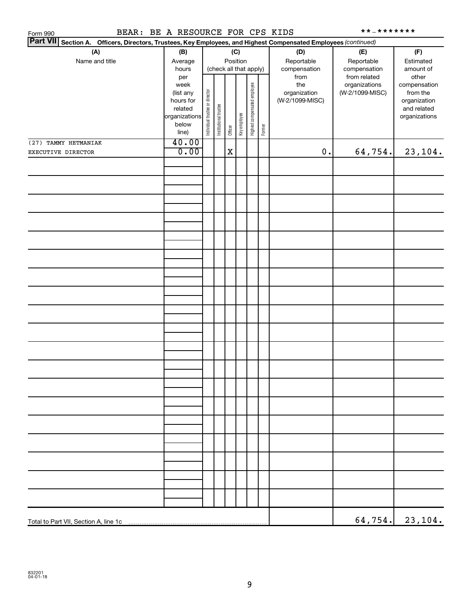| BEAR: BE A RESOURCE FOR CPS KIDS<br>Form 990                                                                    |                                                                                     |                                |                       |             |              |                              |        |                                                | **_*******                                        |                                                                          |
|-----------------------------------------------------------------------------------------------------------------|-------------------------------------------------------------------------------------|--------------------------------|-----------------------|-------------|--------------|------------------------------|--------|------------------------------------------------|---------------------------------------------------|--------------------------------------------------------------------------|
| Part VII Section A. Officers, Directors, Trustees, Key Employees, and Highest Compensated Employees (continued) |                                                                                     |                                |                       |             |              |                              |        |                                                |                                                   |                                                                          |
| (A)<br>Name and title                                                                                           | (B)<br>Average<br>hours                                                             |                                |                       | Position    | (C)          | (check all that apply)       |        | (D)<br>Reportable<br>compensation              | (E)<br>Reportable<br>compensation<br>from related | (F)<br>Estimated<br>amount of<br>other                                   |
|                                                                                                                 | per<br>week<br>(list any<br>hours for<br>related<br>organizations<br>below<br>line) | Individual trustee or director | Institutional trustee | Officer     | Key employee | Highest compensated employee | Former | from<br>the<br>organization<br>(W-2/1099-MISC) | organizations<br>(W-2/1099-MISC)                  | compensation<br>from the<br>organization<br>and related<br>organizations |
| (27) TAMMY HETMANIAK                                                                                            | 40.00                                                                               |                                |                       |             |              |                              |        |                                                |                                                   |                                                                          |
| EXECUTIVE DIRECTOR                                                                                              | 0.00                                                                                |                                |                       | $\mathbf X$ |              |                              |        | $0$ .                                          | 64,754.                                           | 23,104.                                                                  |
|                                                                                                                 |                                                                                     |                                |                       |             |              |                              |        |                                                |                                                   |                                                                          |
|                                                                                                                 |                                                                                     |                                |                       |             |              |                              |        |                                                |                                                   |                                                                          |
|                                                                                                                 |                                                                                     |                                |                       |             |              |                              |        |                                                |                                                   |                                                                          |
|                                                                                                                 |                                                                                     |                                |                       |             |              |                              |        |                                                |                                                   |                                                                          |
|                                                                                                                 |                                                                                     |                                |                       |             |              |                              |        |                                                |                                                   |                                                                          |
|                                                                                                                 |                                                                                     |                                |                       |             |              |                              |        |                                                |                                                   |                                                                          |
|                                                                                                                 |                                                                                     |                                |                       |             |              |                              |        |                                                |                                                   |                                                                          |
|                                                                                                                 |                                                                                     |                                |                       |             |              |                              |        |                                                |                                                   |                                                                          |
|                                                                                                                 |                                                                                     |                                |                       |             |              |                              |        |                                                |                                                   |                                                                          |
|                                                                                                                 |                                                                                     |                                |                       |             |              |                              |        |                                                |                                                   |                                                                          |
|                                                                                                                 |                                                                                     |                                |                       |             |              |                              |        |                                                |                                                   |                                                                          |
|                                                                                                                 |                                                                                     |                                |                       |             |              |                              |        |                                                |                                                   |                                                                          |
|                                                                                                                 |                                                                                     |                                |                       |             |              |                              |        |                                                |                                                   |                                                                          |
|                                                                                                                 |                                                                                     |                                |                       |             |              |                              |        |                                                |                                                   |                                                                          |
|                                                                                                                 |                                                                                     |                                |                       |             |              |                              |        |                                                |                                                   |                                                                          |
|                                                                                                                 |                                                                                     |                                |                       |             |              |                              |        |                                                |                                                   |                                                                          |
|                                                                                                                 |                                                                                     |                                |                       |             |              |                              |        |                                                |                                                   | $64, 754.$ 23, 104.                                                      |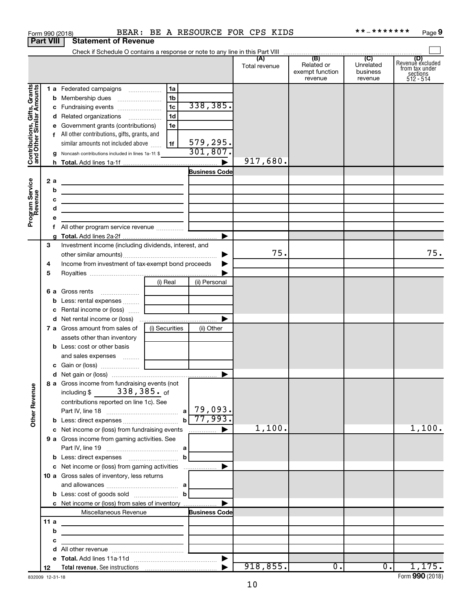|                                                           |                  |   | Form 990 (2018)                                                                                                     |                |                             | BEAR: BE A RESOURCE FOR CPS KIDS |                                          | * * _ * * * * * * *              | Page 9                                                             |
|-----------------------------------------------------------|------------------|---|---------------------------------------------------------------------------------------------------------------------|----------------|-----------------------------|----------------------------------|------------------------------------------|----------------------------------|--------------------------------------------------------------------|
|                                                           | <b>Part VIII</b> |   | <b>Statement of Revenue</b>                                                                                         |                |                             |                                  |                                          |                                  |                                                                    |
|                                                           |                  |   |                                                                                                                     |                |                             |                                  |                                          |                                  |                                                                    |
|                                                           |                  |   |                                                                                                                     |                |                             | Total revenue                    | Related or<br>exempt function<br>revenue | Unrelated<br>business<br>revenue | (D)<br>Revenue excluded<br>from tax under<br>sections<br>512 - 514 |
|                                                           |                  |   | 1 a Federated campaigns                                                                                             | 1a             |                             |                                  |                                          |                                  |                                                                    |
|                                                           |                  |   |                                                                                                                     |                |                             |                                  |                                          |                                  |                                                                    |
|                                                           |                  |   |                                                                                                                     | 1 <sub>b</sub> | 338,385.                    |                                  |                                          |                                  |                                                                    |
|                                                           |                  |   | c Fundraising events                                                                                                | 1c             |                             |                                  |                                          |                                  |                                                                    |
|                                                           |                  |   | d Related organizations                                                                                             | 1d             |                             |                                  |                                          |                                  |                                                                    |
|                                                           |                  |   | e Government grants (contributions)                                                                                 | 1e             |                             |                                  |                                          |                                  |                                                                    |
|                                                           |                  |   | f All other contributions, gifts, grants, and                                                                       |                |                             |                                  |                                          |                                  |                                                                    |
| Contributions, Gifts, Grants<br>and Other Similar Amounts |                  |   | similar amounts not included above                                                                                  | 1f             | 579,295.                    |                                  |                                          |                                  |                                                                    |
|                                                           |                  |   | g Noncash contributions included in lines 1a-1f: \$                                                                 |                | 301,807.                    |                                  |                                          |                                  |                                                                    |
|                                                           |                  |   |                                                                                                                     |                | ▶                           | 917,680.                         |                                          |                                  |                                                                    |
|                                                           |                  |   |                                                                                                                     |                | <b>Business Code</b>        |                                  |                                          |                                  |                                                                    |
|                                                           | 2a               |   | the control of the control of the control of the control of the control of                                          |                |                             |                                  |                                          |                                  |                                                                    |
|                                                           |                  | b | the control of the control of the control of the control of the control of                                          |                |                             |                                  |                                          |                                  |                                                                    |
|                                                           |                  | с | <u> 1989 - Johann Barbara, martxa alemaniar arg</u>                                                                 |                |                             |                                  |                                          |                                  |                                                                    |
|                                                           |                  | d | the control of the control of the control of the control of the control of                                          |                |                             |                                  |                                          |                                  |                                                                    |
| Program Service<br>Revenue                                |                  |   |                                                                                                                     |                |                             |                                  |                                          |                                  |                                                                    |
|                                                           |                  |   |                                                                                                                     |                |                             |                                  |                                          |                                  |                                                                    |
|                                                           |                  |   |                                                                                                                     |                | ▶                           |                                  |                                          |                                  |                                                                    |
|                                                           | 3                |   | Investment income (including dividends, interest, and                                                               |                |                             |                                  |                                          |                                  |                                                                    |
|                                                           |                  |   |                                                                                                                     |                |                             | 75.                              |                                          |                                  | 75.                                                                |
|                                                           | 4                |   | Income from investment of tax-exempt bond proceeds                                                                  |                |                             |                                  |                                          |                                  |                                                                    |
|                                                           | 5                |   |                                                                                                                     |                |                             |                                  |                                          |                                  |                                                                    |
|                                                           |                  |   |                                                                                                                     | (i) Real       | (ii) Personal               |                                  |                                          |                                  |                                                                    |
|                                                           |                  |   | 6 a Gross rents                                                                                                     |                |                             |                                  |                                          |                                  |                                                                    |
|                                                           |                  |   | b Less: rental expenses                                                                                             |                |                             |                                  |                                          |                                  |                                                                    |
|                                                           |                  |   | c Rental income or (loss)                                                                                           |                |                             |                                  |                                          |                                  |                                                                    |
|                                                           |                  |   |                                                                                                                     |                | ▶                           |                                  |                                          |                                  |                                                                    |
|                                                           |                  |   | <b>7 a</b> Gross amount from sales of                                                                               | (i) Securities | (ii) Other                  |                                  |                                          |                                  |                                                                    |
|                                                           |                  |   | assets other than inventory                                                                                         |                |                             |                                  |                                          |                                  |                                                                    |
|                                                           |                  |   | <b>b</b> Less: cost or other basis                                                                                  |                |                             |                                  |                                          |                                  |                                                                    |
|                                                           |                  |   |                                                                                                                     |                |                             |                                  |                                          |                                  |                                                                    |
|                                                           |                  |   | and sales expenses                                                                                                  |                |                             |                                  |                                          |                                  |                                                                    |
|                                                           |                  |   |                                                                                                                     |                |                             |                                  |                                          |                                  |                                                                    |
|                                                           |                  |   |                                                                                                                     |                |                             |                                  |                                          |                                  |                                                                    |
| <b>Other Revenue</b>                                      |                  |   | 8 a Gross income from fundraising events (not<br>including $$338,385.$ of                                           |                |                             |                                  |                                          |                                  |                                                                    |
|                                                           |                  |   |                                                                                                                     |                |                             |                                  |                                          |                                  |                                                                    |
|                                                           |                  |   | contributions reported on line 1c). See                                                                             |                |                             |                                  |                                          |                                  |                                                                    |
|                                                           |                  |   |                                                                                                                     |                | $b \ 77,993.$               |                                  |                                          |                                  |                                                                    |
|                                                           |                  |   |                                                                                                                     |                |                             |                                  |                                          |                                  |                                                                    |
|                                                           |                  |   | c Net income or (loss) from fundraising events                                                                      |                | ▶<br>$\ldots \ldots \ldots$ | 1,100.                           |                                          |                                  | 1,100.                                                             |
|                                                           |                  |   | 9 a Gross income from gaming activities. See                                                                        |                |                             |                                  |                                          |                                  |                                                                    |
|                                                           |                  |   |                                                                                                                     |                |                             |                                  |                                          |                                  |                                                                    |
|                                                           |                  |   | <b>b</b> Less: direct expenses <b>manually contained</b>                                                            | b              |                             |                                  |                                          |                                  |                                                                    |
|                                                           |                  |   | c Net income or (loss) from gaming activities                                                                       |                | ▶                           |                                  |                                          |                                  |                                                                    |
|                                                           |                  |   | 10 a Gross sales of inventory, less returns                                                                         |                |                             |                                  |                                          |                                  |                                                                    |
|                                                           |                  |   |                                                                                                                     |                |                             |                                  |                                          |                                  |                                                                    |
|                                                           |                  |   | <b>b</b> Less: cost of goods sold $\ldots$ <b>b</b>                                                                 |                |                             |                                  |                                          |                                  |                                                                    |
|                                                           |                  |   | c Net income or (loss) from sales of inventory                                                                      |                | ▶                           |                                  |                                          |                                  |                                                                    |
|                                                           |                  |   | Miscellaneous Revenue                                                                                               |                | <b>Business Code</b>        |                                  |                                          |                                  |                                                                    |
|                                                           | 11 a             |   |                                                                                                                     |                |                             |                                  |                                          |                                  |                                                                    |
|                                                           |                  | b | <u> 1989 - Johann Stein, markin fan it ferstjer fan de ferstjer fan it ferstjer fan it ferstjer fan it ferstjer</u> |                |                             |                                  |                                          |                                  |                                                                    |
|                                                           |                  | с | the control of the control of the control of the                                                                    |                |                             |                                  |                                          |                                  |                                                                    |
|                                                           |                  | d |                                                                                                                     |                |                             |                                  |                                          |                                  |                                                                    |
|                                                           |                  |   |                                                                                                                     |                |                             |                                  |                                          |                                  |                                                                    |
|                                                           | 12               |   |                                                                                                                     |                |                             | 918,855.                         | $\overline{0}$ .                         | $\overline{0}$ .                 | 1,175.                                                             |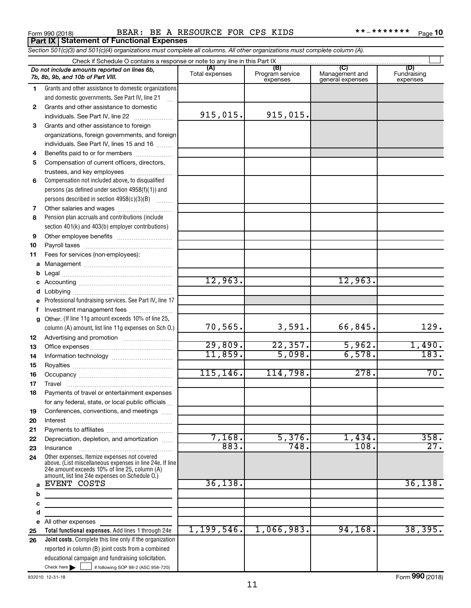**Part IX Statement of Functional Expenses**

Form 990 (2018) BEAR: BE A KESOURCE FOR CPS KIDS \* \* = \* \* \* \* \* \* \* Page BEAR: BE A RESOURCE FOR CPS KIDS \*\*-\*\*\*\*\*\*\*

|              | Section 501(c)(3) and 501(c)(4) organizations must complete all columns. All other organizations must complete column (A).                                                                                  |                |                             |                                    |                         |
|--------------|-------------------------------------------------------------------------------------------------------------------------------------------------------------------------------------------------------------|----------------|-----------------------------|------------------------------------|-------------------------|
|              | Check if Schedule O contains a response or note to any line in this Part IX                                                                                                                                 | (A)            | (B)                         | (C)                                | (D)                     |
|              | Do not include amounts reported on lines 6b,<br>7b, 8b, 9b, and 10b of Part VIII.                                                                                                                           | Total expenses | Program service<br>expenses | Management and<br>general expenses | Fundraising<br>expenses |
| 1            | Grants and other assistance to domestic organizations                                                                                                                                                       |                |                             |                                    |                         |
|              | and domestic governments. See Part IV, line 21                                                                                                                                                              |                |                             |                                    |                         |
| $\mathbf{2}$ | Grants and other assistance to domestic                                                                                                                                                                     |                |                             |                                    |                         |
|              | individuals. See Part IV, line 22<br>.                                                                                                                                                                      | 915,015.       | 915,015.                    |                                    |                         |
| 3            | Grants and other assistance to foreign                                                                                                                                                                      |                |                             |                                    |                         |
|              | organizations, foreign governments, and foreign                                                                                                                                                             |                |                             |                                    |                         |
|              | individuals. See Part IV, lines 15 and 16                                                                                                                                                                   |                |                             |                                    |                         |
| 4            | Benefits paid to or for members                                                                                                                                                                             |                |                             |                                    |                         |
| 5            | Compensation of current officers, directors,                                                                                                                                                                |                |                             |                                    |                         |
|              | trustees, and key employees                                                                                                                                                                                 |                |                             |                                    |                         |
| 6            | Compensation not included above, to disqualified                                                                                                                                                            |                |                             |                                    |                         |
|              | persons (as defined under section $4958(f)(1)$ ) and                                                                                                                                                        |                |                             |                                    |                         |
|              | persons described in section 4958(c)(3)(B)                                                                                                                                                                  |                |                             |                                    |                         |
| 7            |                                                                                                                                                                                                             |                |                             |                                    |                         |
| 8            | Pension plan accruals and contributions (include                                                                                                                                                            |                |                             |                                    |                         |
|              | section 401(k) and 403(b) employer contributions)                                                                                                                                                           |                |                             |                                    |                         |
| 9            |                                                                                                                                                                                                             |                |                             |                                    |                         |
| 10           |                                                                                                                                                                                                             |                |                             |                                    |                         |
| 11           | Fees for services (non-employees):                                                                                                                                                                          |                |                             |                                    |                         |
| а            |                                                                                                                                                                                                             |                |                             |                                    |                         |
| b            |                                                                                                                                                                                                             |                |                             |                                    |                         |
| с            |                                                                                                                                                                                                             | 12,963.        |                             | 12,963.                            |                         |
| d            |                                                                                                                                                                                                             |                |                             |                                    |                         |
|              | Professional fundraising services. See Part IV, line 17                                                                                                                                                     |                |                             |                                    |                         |
| f            | Investment management fees                                                                                                                                                                                  |                |                             |                                    |                         |
| g            | Other. (If line 11g amount exceeds 10% of line 25,                                                                                                                                                          |                |                             |                                    |                         |
|              | column (A) amount, list line 11g expenses on Sch O.)                                                                                                                                                        | 70,565.        | 3,591.                      | 66,845.                            | 129.                    |
| 12           |                                                                                                                                                                                                             |                |                             |                                    |                         |
| 13           |                                                                                                                                                                                                             | 29,809.        | 22, 357.                    | 5,962.                             | 1,490.                  |
| 14           |                                                                                                                                                                                                             | 11,859.        | 5,098.                      | 6,578.                             | $\overline{183}$ .      |
| 15           |                                                                                                                                                                                                             |                |                             |                                    |                         |
| 16           |                                                                                                                                                                                                             | 115, 146.      | 114,798.                    | 278.                               | 70.                     |
| 17           |                                                                                                                                                                                                             |                |                             |                                    |                         |
|              | Payments of travel or entertainment expenses                                                                                                                                                                |                |                             |                                    |                         |
|              | for any federal, state, or local public officials                                                                                                                                                           |                |                             |                                    |                         |
| 19           | Conferences, conventions, and meetings                                                                                                                                                                      |                |                             |                                    |                         |
| 20           | Interest                                                                                                                                                                                                    |                |                             |                                    |                         |
| 21           |                                                                                                                                                                                                             |                |                             |                                    |                         |
| 22           | Depreciation, depletion, and amortization                                                                                                                                                                   | 7,168.         | 5,376.                      | 1,434.                             | 358.                    |
| 23           | Insurance                                                                                                                                                                                                   | 883.           | 748.                        | 108.                               | 27.                     |
| 24           | Other expenses. Itemize expenses not covered<br>above. (List miscellaneous expenses in line 24e. If line<br>24e amount exceeds 10% of line 25, column (A)<br>amount, list line 24e expenses on Schedule O.) |                |                             |                                    |                         |
| a            | EVENT COSTS                                                                                                                                                                                                 | 36, 138.       |                             |                                    | 36, 138.                |
| b            |                                                                                                                                                                                                             |                |                             |                                    |                         |
| c            | the control of the control of the control of the control of the control of                                                                                                                                  |                |                             |                                    |                         |
| d            |                                                                                                                                                                                                             |                |                             |                                    |                         |
|              | e All other expenses                                                                                                                                                                                        |                |                             |                                    |                         |
| 25           | Total functional expenses. Add lines 1 through 24e                                                                                                                                                          | 1,199,546.     | 1,066,983.                  | 94,168.                            | 38,395.                 |
| 26           | Joint costs. Complete this line only if the organization                                                                                                                                                    |                |                             |                                    |                         |
|              | reported in column (B) joint costs from a combined                                                                                                                                                          |                |                             |                                    |                         |
|              | educational campaign and fundraising solicitation.                                                                                                                                                          |                |                             |                                    |                         |
|              | Check here       if following SOP 98-2 (ASC 958-720)                                                                                                                                                        |                |                             |                                    |                         |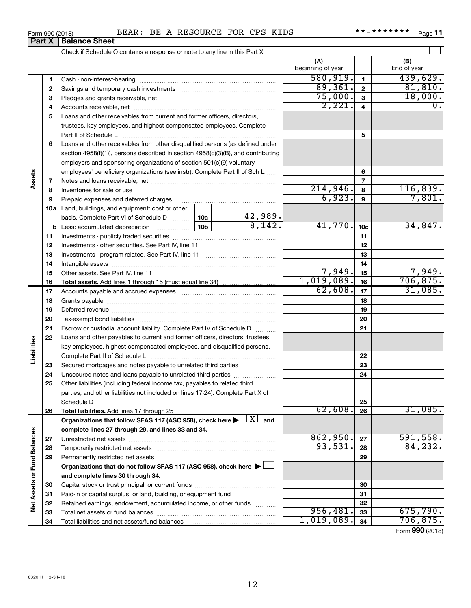| ВE<br>BEAR<br>*******<br><b>CPS</b><br>KIDS<br><b>FOR</b><br><b>RESOURCE</b><br>**<br>$\mathbf{r}$<br>Form 990 (2018)<br>A | Page |  |
|----------------------------------------------------------------------------------------------------------------------------|------|--|
|----------------------------------------------------------------------------------------------------------------------------|------|--|

|                             |    |                                                                                                                         |                 |                        | (A)<br>Beginning of year |                 | (B)<br>End of year |
|-----------------------------|----|-------------------------------------------------------------------------------------------------------------------------|-----------------|------------------------|--------------------------|-----------------|--------------------|
|                             | 1  |                                                                                                                         |                 |                        | 580, 919.                | $\mathbf{1}$    | 439,629.           |
|                             | 2  |                                                                                                                         |                 |                        | 89,361.                  | $\mathbf{2}$    | 81,810.            |
|                             | з  |                                                                                                                         |                 |                        | 75,000.                  | 3               | 18,000.            |
|                             | 4  |                                                                                                                         |                 |                        | 2,221.                   | $\overline{4}$  | $\overline{0}$ .   |
|                             | 5  | Loans and other receivables from current and former officers, directors,                                                |                 |                        |                          |                 |                    |
|                             |    | trustees, key employees, and highest compensated employees. Complete                                                    |                 |                        |                          |                 |                    |
|                             |    |                                                                                                                         |                 |                        |                          | 5               |                    |
|                             | 6  | Loans and other receivables from other disqualified persons (as defined under                                           |                 |                        |                          |                 |                    |
|                             |    | section 4958(f)(1)), persons described in section 4958(c)(3)(B), and contributing                                       |                 |                        |                          |                 |                    |
|                             |    | employers and sponsoring organizations of section 501(c)(9) voluntary                                                   |                 |                        |                          |                 |                    |
|                             |    | employees' beneficiary organizations (see instr). Complete Part II of Sch L                                             |                 |                        |                          | 6               |                    |
| Assets                      | 7  |                                                                                                                         |                 |                        |                          | $\overline{7}$  |                    |
|                             | 8  |                                                                                                                         |                 |                        | 214,946.                 | 8               | 116,839.           |
|                             | 9  | Prepaid expenses and deferred charges                                                                                   |                 |                        | 6,923.                   | 9               | 7,801.             |
|                             |    | <b>10a</b> Land, buildings, and equipment: cost or other                                                                |                 |                        |                          |                 |                    |
|                             |    | basis. Complete Part VI of Schedule D    10a                                                                            |                 | $\frac{42,989}{8,142}$ |                          |                 |                    |
|                             |    | <b>b</b> Less: accumulated depreciation                                                                                 | 10 <sub>b</sub> |                        | 41,770.                  | 10 <sub>c</sub> | 34,847.            |
|                             | 11 |                                                                                                                         |                 |                        |                          | 11              |                    |
|                             | 12 |                                                                                                                         |                 |                        |                          | 12              |                    |
|                             | 13 |                                                                                                                         |                 |                        |                          | 13              |                    |
|                             | 14 |                                                                                                                         |                 |                        |                          | 14              |                    |
|                             | 15 |                                                                                                                         |                 |                        | 7,949.                   | 15              | 7,949.             |
|                             | 16 |                                                                                                                         |                 |                        | 1,019,089.               | 16              | 706,875.           |
|                             | 17 |                                                                                                                         |                 |                        | 62,608.                  | 17              | 31,085.            |
|                             | 18 |                                                                                                                         |                 |                        |                          | 18              |                    |
|                             | 19 |                                                                                                                         |                 |                        |                          | 19              |                    |
|                             | 20 |                                                                                                                         |                 |                        |                          | 20              |                    |
|                             | 21 | Escrow or custodial account liability. Complete Part IV of Schedule D                                                   |                 |                        |                          | 21              |                    |
| Liabilities                 | 22 | Loans and other payables to current and former officers, directors, trustees,                                           |                 |                        |                          |                 |                    |
|                             |    | key employees, highest compensated employees, and disqualified persons.                                                 |                 |                        |                          |                 |                    |
|                             |    |                                                                                                                         |                 |                        |                          | 22              |                    |
|                             | 23 | Secured mortgages and notes payable to unrelated third parties                                                          |                 |                        |                          | 23              |                    |
|                             | 24 | Unsecured notes and loans payable to unrelated third parties                                                            |                 |                        |                          | 24              |                    |
|                             | 25 | Other liabilities (including federal income tax, payables to related third                                              |                 |                        |                          |                 |                    |
|                             |    | parties, and other liabilities not included on lines 17-24). Complete Part X of                                         |                 |                        |                          |                 |                    |
|                             |    | Schedule D<br>Total liabilities. Add lines 17 through 25                                                                |                 |                        | 62,608.                  | 25              | 31,085.            |
|                             | 26 | Organizations that follow SFAS 117 (ASC 958), check here $\blacktriangleright \begin{array}{c} \perp X \end{array}$ and |                 |                        |                          | 26              |                    |
|                             |    | complete lines 27 through 29, and lines 33 and 34.                                                                      |                 |                        |                          |                 |                    |
|                             | 27 |                                                                                                                         |                 |                        | 862,950.                 | 27              | 591,558.           |
|                             | 28 |                                                                                                                         |                 |                        | 93,531.                  | 28              | 84, 232.           |
|                             | 29 | Permanently restricted net assets                                                                                       |                 |                        |                          | 29              |                    |
|                             |    | Organizations that do not follow SFAS 117 (ASC 958), check here ▶                                                       |                 |                        |                          |                 |                    |
|                             |    | and complete lines 30 through 34.                                                                                       |                 |                        |                          |                 |                    |
| Net Assets or Fund Balances | 30 |                                                                                                                         |                 |                        |                          | 30              |                    |
|                             | 31 | Paid-in or capital surplus, or land, building, or equipment fund                                                        |                 |                        |                          | 31              |                    |
|                             | 32 | Retained earnings, endowment, accumulated income, or other funds                                                        |                 |                        |                          | 32              |                    |
|                             | 33 |                                                                                                                         |                 |                        | 956, 481.                | 33              | 675,790.           |
|                             | 34 |                                                                                                                         |                 |                        | 1,019,089.               | 34              | 706, 875.          |

Form (2018) **990**

| Form 990 (2018) |                               |  |
|-----------------|-------------------------------|--|
|                 | <b>Part X   Balance Sheet</b> |  |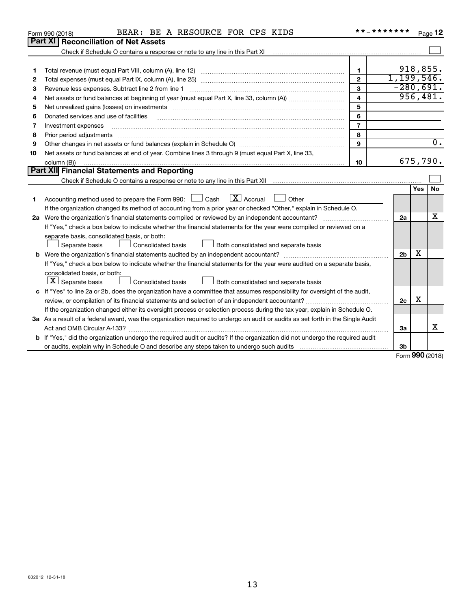| Part XI<br><b>Reconciliation of Net Assets</b><br>Check if Schedule O contains a response or note to any line in this Part XI                                       |                     |
|---------------------------------------------------------------------------------------------------------------------------------------------------------------------|---------------------|
|                                                                                                                                                                     |                     |
|                                                                                                                                                                     |                     |
|                                                                                                                                                                     |                     |
| 918,855.<br>1<br>1                                                                                                                                                  |                     |
| 1, 199, 546.<br>$\mathbf{2}$<br>2                                                                                                                                   |                     |
| $-280,691.$<br>3<br>Revenue less expenses. Subtract line 2 from line 1<br>3                                                                                         |                     |
| 956,481.<br>4<br>4                                                                                                                                                  |                     |
| 5<br>Net unrealized gains (losses) on investments [111] www.martime.community.community.community.community.communi<br>5                                            |                     |
| 6<br>Donated services and use of facilities<br>6                                                                                                                    |                     |
| $\overline{\phantom{a}}$<br>Investment expenses<br>7                                                                                                                |                     |
| 8<br>Prior period adjustments<br>8                                                                                                                                  |                     |
| 9<br>9                                                                                                                                                              | 0.                  |
| Net assets or fund balances at end of year. Combine lines 3 through 9 (must equal Part X, line 33,<br>10                                                            |                     |
| 675,790.<br>10<br>column (B))                                                                                                                                       |                     |
| <b>Part XII Financial Statements and Reporting</b>                                                                                                                  |                     |
| Check if Schedule O contains a response or note to any line in this Part XII [11] [11] Check if Schedule O contains a response or note to any line in this Part XII |                     |
| Yes                                                                                                                                                                 | No                  |
| $X$ Accrual<br>Accounting method used to prepare the Form 990: $\Box$ Cash<br>Other<br>1.                                                                           |                     |
| If the organization changed its method of accounting from a prior year or checked "Other," explain in Schedule O.                                                   |                     |
| 2a Were the organization's financial statements compiled or reviewed by an independent accountant?<br>2a                                                            | x                   |
| If "Yes," check a box below to indicate whether the financial statements for the year were compiled or reviewed on a                                                |                     |
| separate basis, consolidated basis, or both:                                                                                                                        |                     |
| Separate basis<br>Consolidated basis<br>Both consolidated and separate basis                                                                                        |                     |
| х<br>2 <sub>b</sub><br>b                                                                                                                                            |                     |
| If "Yes," check a box below to indicate whether the financial statements for the year were audited on a separate basis,                                             |                     |
| consolidated basis, or both:                                                                                                                                        |                     |
| $ \mathbf{X} $ Separate basis<br>Consolidated basis<br>Both consolidated and separate basis                                                                         |                     |
| c If "Yes" to line 2a or 2b, does the organization have a committee that assumes responsibility for oversight of the audit,                                         |                     |
| х<br>2c                                                                                                                                                             |                     |
| If the organization changed either its oversight process or selection process during the tax year, explain in Schedule O.                                           |                     |
| 3a As a result of a federal award, was the organization required to undergo an audit or audits as set forth in the Single Audit                                     |                     |
| Act and OMB Circular A-133?<br>За                                                                                                                                   | x                   |
| b If "Yes," did the organization undergo the required audit or audits? If the organization did not undergo the required audit                                       |                     |
| 3b                                                                                                                                                                  | $000 \text{ hours}$ |

Form (2018) **990**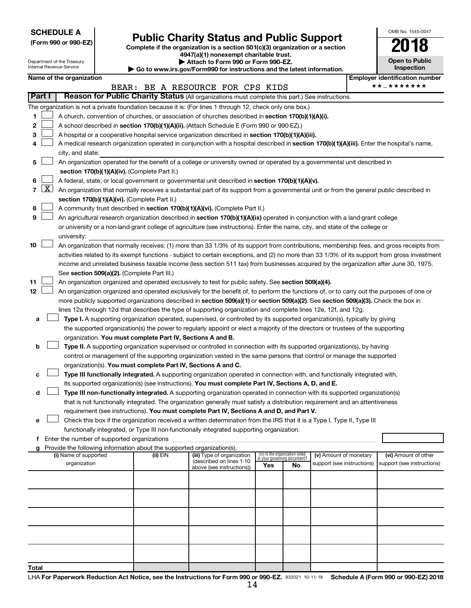**SCHEDULE A**

# Form 990 or 990-EZ) **Public Charity Status and Public Support**<br>
Complete if the organization is a section 501(c)(3) organization or a section<br> **2018**

**4947(a)(1) nonexempt charitable trust. | Attach to Form 990 or Form 990-EZ.** 

| OMB No 1545-0047                    |
|-------------------------------------|
|                                     |
| <b>Open to Public</b><br>Inspection |

|       | Attach to Form 990 or Form 990-EZ.<br><b>Open to Public</b><br>Department of the Treasury<br><b>Internal Revenue Service</b><br>Inspection<br>Go to www.irs.gov/Form990 for instructions and the latest information. |                                                                                                                                                                                            |  |                                                                        |                                                                                                                                                                                             |                                 |    |                                                      |  |                                                    |
|-------|----------------------------------------------------------------------------------------------------------------------------------------------------------------------------------------------------------------------|--------------------------------------------------------------------------------------------------------------------------------------------------------------------------------------------|--|------------------------------------------------------------------------|---------------------------------------------------------------------------------------------------------------------------------------------------------------------------------------------|---------------------------------|----|------------------------------------------------------|--|----------------------------------------------------|
|       |                                                                                                                                                                                                                      | Name of the organization                                                                                                                                                                   |  |                                                                        |                                                                                                                                                                                             |                                 |    |                                                      |  | <b>Employer identification number</b>              |
|       |                                                                                                                                                                                                                      |                                                                                                                                                                                            |  |                                                                        | BEAR: BE A RESOURCE FOR CPS KIDS                                                                                                                                                            |                                 |    |                                                      |  | **_*******                                         |
|       | Part I                                                                                                                                                                                                               |                                                                                                                                                                                            |  |                                                                        | Reason for Public Charity Status (All organizations must complete this part.) See instructions.                                                                                             |                                 |    |                                                      |  |                                                    |
|       |                                                                                                                                                                                                                      |                                                                                                                                                                                            |  |                                                                        | The organization is not a private foundation because it is: (For lines 1 through 12, check only one box.)                                                                                   |                                 |    |                                                      |  |                                                    |
| 1     |                                                                                                                                                                                                                      |                                                                                                                                                                                            |  |                                                                        | A church, convention of churches, or association of churches described in section 170(b)(1)(A)(i).                                                                                          |                                 |    |                                                      |  |                                                    |
| 2     |                                                                                                                                                                                                                      |                                                                                                                                                                                            |  |                                                                        | A school described in section 170(b)(1)(A)(ii). (Attach Schedule E (Form 990 or 990-EZ).)                                                                                                   |                                 |    |                                                      |  |                                                    |
| з     |                                                                                                                                                                                                                      |                                                                                                                                                                                            |  |                                                                        | A hospital or a cooperative hospital service organization described in section 170(b)(1)(A)(iii).                                                                                           |                                 |    |                                                      |  |                                                    |
| 4     |                                                                                                                                                                                                                      |                                                                                                                                                                                            |  |                                                                        | A medical research organization operated in conjunction with a hospital described in section 170(b)(1)(A)(iii). Enter the hospital's name,                                                  |                                 |    |                                                      |  |                                                    |
|       |                                                                                                                                                                                                                      | city, and state:                                                                                                                                                                           |  |                                                                        |                                                                                                                                                                                             |                                 |    |                                                      |  |                                                    |
| 5     |                                                                                                                                                                                                                      |                                                                                                                                                                                            |  |                                                                        | An organization operated for the benefit of a college or university owned or operated by a governmental unit described in                                                                   |                                 |    |                                                      |  |                                                    |
|       |                                                                                                                                                                                                                      |                                                                                                                                                                                            |  | section 170(b)(1)(A)(iv). (Complete Part II.)                          |                                                                                                                                                                                             |                                 |    |                                                      |  |                                                    |
| 6     |                                                                                                                                                                                                                      | A federal, state, or local government or governmental unit described in section 170(b)(1)(A)(v).                                                                                           |  |                                                                        |                                                                                                                                                                                             |                                 |    |                                                      |  |                                                    |
|       | $7 \mid X \mid$                                                                                                                                                                                                      | An organization that normally receives a substantial part of its support from a governmental unit or from the general public described in<br>section 170(b)(1)(A)(vi). (Complete Part II.) |  |                                                                        |                                                                                                                                                                                             |                                 |    |                                                      |  |                                                    |
|       |                                                                                                                                                                                                                      |                                                                                                                                                                                            |  |                                                                        |                                                                                                                                                                                             |                                 |    |                                                      |  |                                                    |
| 8     |                                                                                                                                                                                                                      |                                                                                                                                                                                            |  |                                                                        | A community trust described in section 170(b)(1)(A)(vi). (Complete Part II.)                                                                                                                |                                 |    |                                                      |  |                                                    |
| 9     |                                                                                                                                                                                                                      |                                                                                                                                                                                            |  |                                                                        | An agricultural research organization described in section 170(b)(1)(A)(ix) operated in conjunction with a land-grant college                                                               |                                 |    |                                                      |  |                                                    |
|       |                                                                                                                                                                                                                      | university:                                                                                                                                                                                |  |                                                                        | or university or a non-land-grant college of agriculture (see instructions). Enter the name, city, and state of the college or                                                              |                                 |    |                                                      |  |                                                    |
| 10    |                                                                                                                                                                                                                      |                                                                                                                                                                                            |  |                                                                        | An organization that normally receives: (1) more than 33 1/3% of its support from contributions, membership fees, and gross receipts from                                                   |                                 |    |                                                      |  |                                                    |
|       |                                                                                                                                                                                                                      |                                                                                                                                                                                            |  |                                                                        | activities related to its exempt functions - subject to certain exceptions, and (2) no more than 33 1/3% of its support from gross investment                                               |                                 |    |                                                      |  |                                                    |
|       |                                                                                                                                                                                                                      |                                                                                                                                                                                            |  |                                                                        | income and unrelated business taxable income (less section 511 tax) from businesses acquired by the organization after June 30, 1975.                                                       |                                 |    |                                                      |  |                                                    |
|       |                                                                                                                                                                                                                      |                                                                                                                                                                                            |  | See section 509(a)(2). (Complete Part III.)                            |                                                                                                                                                                                             |                                 |    |                                                      |  |                                                    |
| 11    |                                                                                                                                                                                                                      |                                                                                                                                                                                            |  |                                                                        | An organization organized and operated exclusively to test for public safety. See section 509(a)(4).                                                                                        |                                 |    |                                                      |  |                                                    |
| 12    |                                                                                                                                                                                                                      |                                                                                                                                                                                            |  |                                                                        | An organization organized and operated exclusively for the benefit of, to perform the functions of, or to carry out the purposes of one or                                                  |                                 |    |                                                      |  |                                                    |
|       |                                                                                                                                                                                                                      |                                                                                                                                                                                            |  |                                                                        | more publicly supported organizations described in section 509(a)(1) or section 509(a)(2). See section 509(a)(3). Check the box in                                                          |                                 |    |                                                      |  |                                                    |
|       |                                                                                                                                                                                                                      |                                                                                                                                                                                            |  |                                                                        | lines 12a through 12d that describes the type of supporting organization and complete lines 12e, 12f, and 12g.                                                                              |                                 |    |                                                      |  |                                                    |
| а     |                                                                                                                                                                                                                      |                                                                                                                                                                                            |  |                                                                        | Type I. A supporting organization operated, supervised, or controlled by its supported organization(s), typically by giving                                                                 |                                 |    |                                                      |  |                                                    |
|       |                                                                                                                                                                                                                      |                                                                                                                                                                                            |  |                                                                        | the supported organization(s) the power to regularly appoint or elect a majority of the directors or trustees of the supporting                                                             |                                 |    |                                                      |  |                                                    |
|       |                                                                                                                                                                                                                      |                                                                                                                                                                                            |  | organization. You must complete Part IV, Sections A and B.             |                                                                                                                                                                                             |                                 |    |                                                      |  |                                                    |
| b     |                                                                                                                                                                                                                      |                                                                                                                                                                                            |  |                                                                        | Type II. A supporting organization supervised or controlled in connection with its supported organization(s), by having                                                                     |                                 |    |                                                      |  |                                                    |
|       |                                                                                                                                                                                                                      |                                                                                                                                                                                            |  |                                                                        | control or management of the supporting organization vested in the same persons that control or manage the supported                                                                        |                                 |    |                                                      |  |                                                    |
| c     |                                                                                                                                                                                                                      |                                                                                                                                                                                            |  |                                                                        | organization(s). You must complete Part IV, Sections A and C.<br>Type III functionally integrated. A supporting organization operated in connection with, and functionally integrated with, |                                 |    |                                                      |  |                                                    |
|       |                                                                                                                                                                                                                      |                                                                                                                                                                                            |  |                                                                        | its supported organization(s) (see instructions). You must complete Part IV, Sections A, D, and E.                                                                                          |                                 |    |                                                      |  |                                                    |
| d     |                                                                                                                                                                                                                      |                                                                                                                                                                                            |  |                                                                        | Type III non-functionally integrated. A supporting organization operated in connection with its supported organization(s)                                                                   |                                 |    |                                                      |  |                                                    |
|       |                                                                                                                                                                                                                      |                                                                                                                                                                                            |  |                                                                        | that is not functionally integrated. The organization generally must satisfy a distribution requirement and an attentiveness                                                                |                                 |    |                                                      |  |                                                    |
|       |                                                                                                                                                                                                                      |                                                                                                                                                                                            |  |                                                                        | requirement (see instructions). You must complete Part IV, Sections A and D, and Part V.                                                                                                    |                                 |    |                                                      |  |                                                    |
| е     |                                                                                                                                                                                                                      |                                                                                                                                                                                            |  |                                                                        | Check this box if the organization received a written determination from the IRS that it is a Type I, Type II, Type III                                                                     |                                 |    |                                                      |  |                                                    |
|       |                                                                                                                                                                                                                      |                                                                                                                                                                                            |  |                                                                        | functionally integrated, or Type III non-functionally integrated supporting organization.                                                                                                   |                                 |    |                                                      |  |                                                    |
|       |                                                                                                                                                                                                                      | Enter the number of supported organizations                                                                                                                                                |  |                                                                        |                                                                                                                                                                                             |                                 |    |                                                      |  |                                                    |
|       |                                                                                                                                                                                                                      |                                                                                                                                                                                            |  | Provide the following information about the supported organization(s). |                                                                                                                                                                                             | (iv) Is the organization listed |    |                                                      |  |                                                    |
|       |                                                                                                                                                                                                                      | (i) Name of supported<br>organization                                                                                                                                                      |  | (ii) EIN                                                               | (iii) Type of organization<br>(described on lines 1-10                                                                                                                                      | in your governing document?     |    | (v) Amount of monetary<br>support (see instructions) |  | (vi) Amount of other<br>support (see instructions) |
|       |                                                                                                                                                                                                                      |                                                                                                                                                                                            |  |                                                                        | above (see instructions))                                                                                                                                                                   | Yes                             | No |                                                      |  |                                                    |
|       |                                                                                                                                                                                                                      |                                                                                                                                                                                            |  |                                                                        |                                                                                                                                                                                             |                                 |    |                                                      |  |                                                    |
|       |                                                                                                                                                                                                                      |                                                                                                                                                                                            |  |                                                                        |                                                                                                                                                                                             |                                 |    |                                                      |  |                                                    |
|       |                                                                                                                                                                                                                      |                                                                                                                                                                                            |  |                                                                        |                                                                                                                                                                                             |                                 |    |                                                      |  |                                                    |
|       |                                                                                                                                                                                                                      |                                                                                                                                                                                            |  |                                                                        |                                                                                                                                                                                             |                                 |    |                                                      |  |                                                    |
|       |                                                                                                                                                                                                                      |                                                                                                                                                                                            |  |                                                                        |                                                                                                                                                                                             |                                 |    |                                                      |  |                                                    |
|       |                                                                                                                                                                                                                      |                                                                                                                                                                                            |  |                                                                        |                                                                                                                                                                                             |                                 |    |                                                      |  |                                                    |
|       |                                                                                                                                                                                                                      |                                                                                                                                                                                            |  |                                                                        |                                                                                                                                                                                             |                                 |    |                                                      |  |                                                    |
|       |                                                                                                                                                                                                                      |                                                                                                                                                                                            |  |                                                                        |                                                                                                                                                                                             |                                 |    |                                                      |  |                                                    |
|       |                                                                                                                                                                                                                      |                                                                                                                                                                                            |  |                                                                        |                                                                                                                                                                                             |                                 |    |                                                      |  |                                                    |
| Total |                                                                                                                                                                                                                      |                                                                                                                                                                                            |  |                                                                        |                                                                                                                                                                                             |                                 |    |                                                      |  |                                                    |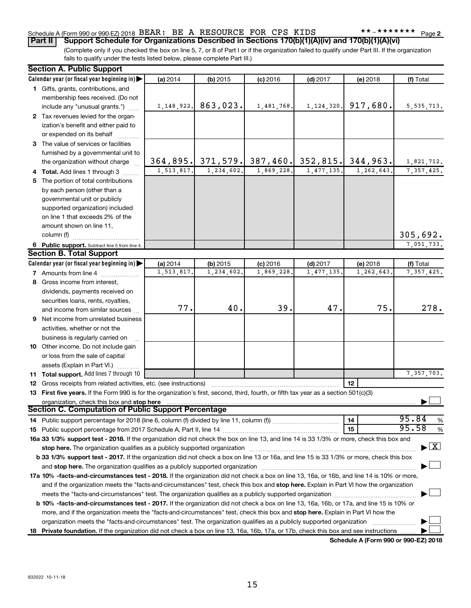# Schedule A (Form 990 or 990-EZ) 2018 BEAR: BE A RESOURCE FOR CPS KIDS \*\*-\*\*\*\*\*\*\*\*\* Page

(Complete only if you checked the box on line 5, 7, or 8 of Part I or if the organization failed to qualify under Part III. If the organization fails to qualify under the tests listed below, please complete Part III.) **Part II Support Schedule for Organizations Described in Sections 170(b)(1)(A)(iv) and 170(b)(1)(A)(vi)**

| <b>Section A. Public Support</b>                                                                                                                                                                                              |            |              |                       |              |            |                                    |
|-------------------------------------------------------------------------------------------------------------------------------------------------------------------------------------------------------------------------------|------------|--------------|-----------------------|--------------|------------|------------------------------------|
| Calendar year (or fiscal year beginning in)                                                                                                                                                                                   | (a) 2014   | (b) 2015     | $(c)$ 2016            | $(d)$ 2017   | (e) 2018   | (f) Total                          |
| 1 Gifts, grants, contributions, and                                                                                                                                                                                           |            |              |                       |              |            |                                    |
| membership fees received. (Do not                                                                                                                                                                                             |            |              |                       |              |            |                                    |
| include any "unusual grants.")                                                                                                                                                                                                | 1,148,922. | 863,023.     | 1,481,768.            | 1, 124, 320. | 917,680.   | 5, 535, 713.                       |
| 2 Tax revenues levied for the organ-                                                                                                                                                                                          |            |              |                       |              |            |                                    |
| ization's benefit and either paid to                                                                                                                                                                                          |            |              |                       |              |            |                                    |
| or expended on its behalf                                                                                                                                                                                                     |            |              |                       |              |            |                                    |
| 3 The value of services or facilities                                                                                                                                                                                         |            |              |                       |              |            |                                    |
| furnished by a governmental unit to                                                                                                                                                                                           |            |              |                       |              |            |                                    |
| the organization without charge                                                                                                                                                                                               | 364,895.   |              | $371, 579$ . 387,460. | 352,815.     | 344,963.   | 1,821,712.                         |
| 4 Total. Add lines 1 through 3                                                                                                                                                                                                | 1,513,817. | 1, 234, 602. | 1,869,228.            | 1,477,135.   | 1,262,643. | 7, 357, 425.                       |
| 5 The portion of total contributions                                                                                                                                                                                          |            |              |                       |              |            |                                    |
| by each person (other than a                                                                                                                                                                                                  |            |              |                       |              |            |                                    |
| governmental unit or publicly                                                                                                                                                                                                 |            |              |                       |              |            |                                    |
|                                                                                                                                                                                                                               |            |              |                       |              |            |                                    |
| supported organization) included<br>on line 1 that exceeds 2% of the                                                                                                                                                          |            |              |                       |              |            |                                    |
|                                                                                                                                                                                                                               |            |              |                       |              |            |                                    |
| amount shown on line 11,                                                                                                                                                                                                      |            |              |                       |              |            |                                    |
| column (f)                                                                                                                                                                                                                    |            |              |                       |              |            | 305,692.                           |
| 6 Public support. Subtract line 5 from line 4.                                                                                                                                                                                |            |              |                       |              |            | 7,051,733.                         |
| <b>Section B. Total Support</b>                                                                                                                                                                                               |            |              |                       |              |            |                                    |
| Calendar year (or fiscal year beginning in)                                                                                                                                                                                   | (a) 2014   | (b) 2015     | $(c)$ 2016            | $(d)$ 2017   | (e) 2018   | (f) Total                          |
| <b>7</b> Amounts from line 4                                                                                                                                                                                                  | 1,513,817  | 1,234,602.   | 1,869,228             | 1,477,135    | 1,262,643  | 7, 357, 425.                       |
| 8 Gross income from interest,                                                                                                                                                                                                 |            |              |                       |              |            |                                    |
| dividends, payments received on                                                                                                                                                                                               |            |              |                       |              |            |                                    |
| securities loans, rents, royalties,                                                                                                                                                                                           |            |              |                       |              |            |                                    |
| and income from similar sources                                                                                                                                                                                               | 77.        | 40.          | 39.                   | 47.          | 75.        | 278.                               |
| <b>9</b> Net income from unrelated business                                                                                                                                                                                   |            |              |                       |              |            |                                    |
| activities, whether or not the                                                                                                                                                                                                |            |              |                       |              |            |                                    |
| business is regularly carried on                                                                                                                                                                                              |            |              |                       |              |            |                                    |
| 10 Other income. Do not include gain                                                                                                                                                                                          |            |              |                       |              |            |                                    |
| or loss from the sale of capital                                                                                                                                                                                              |            |              |                       |              |            |                                    |
| assets (Explain in Part VI.)                                                                                                                                                                                                  |            |              |                       |              |            |                                    |
| 11 Total support. Add lines 7 through 10                                                                                                                                                                                      |            |              |                       |              |            | 7,357,703.                         |
| <b>12</b> Gross receipts from related activities, etc. (see instructions)                                                                                                                                                     |            |              |                       |              | 12         |                                    |
| 13 First five years. If the Form 990 is for the organization's first, second, third, fourth, or fifth tax year as a section 501(c)(3)                                                                                         |            |              |                       |              |            |                                    |
| organization, check this box and stop here                                                                                                                                                                                    |            |              |                       |              |            |                                    |
| <b>Section C. Computation of Public Support Percentage</b>                                                                                                                                                                    |            |              |                       |              |            |                                    |
|                                                                                                                                                                                                                               |            |              |                       |              | 14         | 95.84<br>%                         |
|                                                                                                                                                                                                                               |            |              |                       |              | 15         | 95.58<br>%                         |
| 16a 33 1/3% support test - 2018. If the organization did not check the box on line 13, and line 14 is 33 1/3% or more, check this box and                                                                                     |            |              |                       |              |            |                                    |
| stop here. The organization qualifies as a publicly supported organization manufactured content and the organization manufactured and the state of the state of the state of the state of the state of the state of the state |            |              |                       |              |            | $\blacktriangleright$ $\mathbf{X}$ |
| b 33 1/3% support test - 2017. If the organization did not check a box on line 13 or 16a, and line 15 is 33 1/3% or more, check this box                                                                                      |            |              |                       |              |            |                                    |
|                                                                                                                                                                                                                               |            |              |                       |              |            |                                    |
| 17a 10% -facts-and-circumstances test - 2018. If the organization did not check a box on line 13, 16a, or 16b, and line 14 is 10% or more,                                                                                    |            |              |                       |              |            |                                    |
| and if the organization meets the "facts-and-circumstances" test, check this box and stop here. Explain in Part VI how the organization                                                                                       |            |              |                       |              |            |                                    |
|                                                                                                                                                                                                                               |            |              |                       |              |            |                                    |
|                                                                                                                                                                                                                               |            |              |                       |              |            |                                    |
| <b>b 10%</b> -facts-and-circumstances test - 2017. If the organization did not check a box on line 13, 16a, 16b, or 17a, and line 15 is 10% or                                                                                |            |              |                       |              |            |                                    |
| more, and if the organization meets the "facts-and-circumstances" test, check this box and stop here. Explain in Part VI how the                                                                                              |            |              |                       |              |            |                                    |
| organization meets the "facts-and-circumstances" test. The organization qualifies as a publicly supported organization                                                                                                        |            |              |                       |              |            |                                    |
| 18 Private foundation. If the organization did not check a box on line 13, 16a, 16b, 17a, or 17b, check this box and see instructions                                                                                         |            |              |                       |              |            |                                    |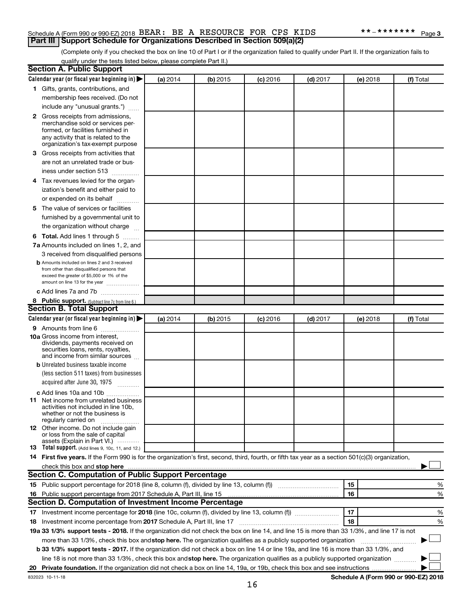## Schedule A (Form 990 or 990-EZ) 2018 BEAR: BE A RESOURCE FOR CPS KIDS \*\*-\*\*\*\*\*\*\*\*\* Page **Part III Support Schedule for Organizations Described in Section 509(a)(2)**

(Complete only if you checked the box on line 10 of Part I or if the organization failed to qualify under Part II. If the organization fails to qualify under the tests listed below, please complete Part II.)

| <b>Section A. Public Support</b>                                                                                                                                                                                               |          |          |            |            |          |                                      |
|--------------------------------------------------------------------------------------------------------------------------------------------------------------------------------------------------------------------------------|----------|----------|------------|------------|----------|--------------------------------------|
| Calendar year (or fiscal year beginning in)                                                                                                                                                                                    | (a) 2014 | (b) 2015 | $(c)$ 2016 | $(d)$ 2017 | (e) 2018 | (f) Total                            |
| 1 Gifts, grants, contributions, and                                                                                                                                                                                            |          |          |            |            |          |                                      |
| membership fees received. (Do not                                                                                                                                                                                              |          |          |            |            |          |                                      |
| include any "unusual grants.")                                                                                                                                                                                                 |          |          |            |            |          |                                      |
| 2 Gross receipts from admissions,<br>merchandise sold or services per-<br>formed, or facilities furnished in<br>any activity that is related to the<br>organization's tax-exempt purpose                                       |          |          |            |            |          |                                      |
| 3 Gross receipts from activities that                                                                                                                                                                                          |          |          |            |            |          |                                      |
| are not an unrelated trade or bus-<br>iness under section 513                                                                                                                                                                  |          |          |            |            |          |                                      |
| 4 Tax revenues levied for the organ-                                                                                                                                                                                           |          |          |            |            |          |                                      |
| ization's benefit and either paid to<br>or expended on its behalf                                                                                                                                                              |          |          |            |            |          |                                      |
| 5 The value of services or facilities                                                                                                                                                                                          |          |          |            |            |          |                                      |
| furnished by a governmental unit to<br>the organization without charge                                                                                                                                                         |          |          |            |            |          |                                      |
| 6 Total. Add lines 1 through 5                                                                                                                                                                                                 |          |          |            |            |          |                                      |
| 7a Amounts included on lines 1, 2, and                                                                                                                                                                                         |          |          |            |            |          |                                      |
| 3 received from disqualified persons                                                                                                                                                                                           |          |          |            |            |          |                                      |
| <b>b</b> Amounts included on lines 2 and 3 received<br>from other than disqualified persons that<br>exceed the greater of \$5,000 or 1% of the<br>amount on line 13 for the year                                               |          |          |            |            |          |                                      |
| c Add lines 7a and 7b                                                                                                                                                                                                          |          |          |            |            |          |                                      |
| 8 Public support. (Subtract line 7c from line 6.)                                                                                                                                                                              |          |          |            |            |          |                                      |
| <b>Section B. Total Support</b>                                                                                                                                                                                                |          |          |            |            |          |                                      |
| Calendar year (or fiscal year beginning in)                                                                                                                                                                                    | (a) 2014 | (b) 2015 | $(c)$ 2016 | $(d)$ 2017 | (e) 2018 | (f) Total                            |
| 9 Amounts from line 6                                                                                                                                                                                                          |          |          |            |            |          |                                      |
| <b>10a</b> Gross income from interest,<br>dividends, payments received on<br>securities loans, rents, royalties,<br>and income from similar sources                                                                            |          |          |            |            |          |                                      |
| <b>b</b> Unrelated business taxable income                                                                                                                                                                                     |          |          |            |            |          |                                      |
| (less section 511 taxes) from businesses<br>acquired after June 30, 1975                                                                                                                                                       |          |          |            |            |          |                                      |
| c Add lines 10a and 10b                                                                                                                                                                                                        |          |          |            |            |          |                                      |
| <b>11</b> Net income from unrelated business<br>activities not included in line 10b,<br>whether or not the business is<br>regularly carried on                                                                                 |          |          |            |            |          |                                      |
| <b>12</b> Other income. Do not include gain<br>or loss from the sale of capital<br>assets (Explain in Part VI.)                                                                                                                |          |          |            |            |          |                                      |
| <b>13</b> Total support. (Add lines 9, 10c, 11, and 12.)                                                                                                                                                                       |          |          |            |            |          |                                      |
| 14 First five years. If the Form 990 is for the organization's first, second, third, fourth, or fifth tax year as a section 501(c)(3) organization,                                                                            |          |          |            |            |          |                                      |
| check this box and stop here measurements and contact the state of the state of the state of the state of the state of the state of the state of the state of the state of the state of the state of the state of the state of |          |          |            |            |          |                                      |
| Section C. Computation of Public Support Percentage                                                                                                                                                                            |          |          |            |            |          |                                      |
|                                                                                                                                                                                                                                |          |          |            |            | 15       | %                                    |
|                                                                                                                                                                                                                                |          |          |            |            | 16       | %                                    |
| Section D. Computation of Investment Income Percentage                                                                                                                                                                         |          |          |            |            |          |                                      |
| 17 Investment income percentage for 2018 (line 10c, column (f), divided by line 13, column (f))                                                                                                                                |          |          |            |            | 17       | %                                    |
| 18 Investment income percentage from 2017 Schedule A, Part III, line 17                                                                                                                                                        |          |          |            |            | 18       | %                                    |
| 19a 33 1/3% support tests - 2018. If the organization did not check the box on line 14, and line 15 is more than 33 1/3%, and line 17 is not                                                                                   |          |          |            |            |          |                                      |
| more than 33 1/3%, check this box and stop here. The organization qualifies as a publicly supported organization                                                                                                               |          |          |            |            |          |                                      |
| b 33 1/3% support tests - 2017. If the organization did not check a box on line 14 or line 19a, and line 16 is more than 33 1/3%, and                                                                                          |          |          |            |            |          |                                      |
| line 18 is not more than 33 1/3%, check this box and stop here. The organization qualifies as a publicly supported organization                                                                                                |          |          |            |            |          |                                      |
|                                                                                                                                                                                                                                |          |          |            |            |          |                                      |
| 832023 10-11-18                                                                                                                                                                                                                |          |          |            |            |          | Schedule A (Form 990 or 990-EZ) 2018 |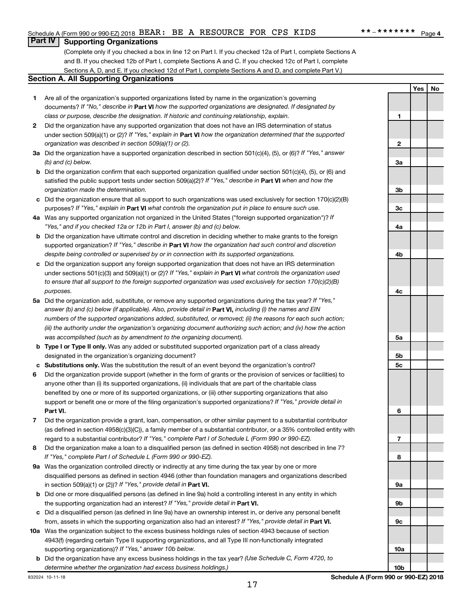**Yes No**

# **Part IV Supporting Organizations**

(Complete only if you checked a box in line 12 on Part I. If you checked 12a of Part I, complete Sections A and B. If you checked 12b of Part I, complete Sections A and C. If you checked 12c of Part I, complete Sections A, D, and E. If you checked 12d of Part I, complete Sections A and D, and complete Part V.)

#### **Section A. All Supporting Organizations**

- **1** Are all of the organization's supported organizations listed by name in the organization's governing documents? If "No," describe in Part VI how the supported organizations are designated. If designated by *class or purpose, describe the designation. If historic and continuing relationship, explain.*
- **2** Did the organization have any supported organization that does not have an IRS determination of status under section 509(a)(1) or (2)? If "Yes," explain in Part **VI** how the organization determined that the supported *organization was described in section 509(a)(1) or (2).*
- **3a** Did the organization have a supported organization described in section 501(c)(4), (5), or (6)? If "Yes," answer *(b) and (c) below.*
- **b** Did the organization confirm that each supported organization qualified under section 501(c)(4), (5), or (6) and satisfied the public support tests under section 509(a)(2)? If "Yes," describe in Part VI when and how the *organization made the determination.*
- **c** Did the organization ensure that all support to such organizations was used exclusively for section 170(c)(2)(B) purposes? If "Yes," explain in Part VI what controls the organization put in place to ensure such use.
- **4 a** *If* Was any supported organization not organized in the United States ("foreign supported organization")? *"Yes," and if you checked 12a or 12b in Part I, answer (b) and (c) below.*
- **b** Did the organization have ultimate control and discretion in deciding whether to make grants to the foreign supported organization? If "Yes," describe in Part VI how the organization had such control and discretion *despite being controlled or supervised by or in connection with its supported organizations.*
- **c** Did the organization support any foreign supported organization that does not have an IRS determination under sections 501(c)(3) and 509(a)(1) or (2)? If "Yes," explain in Part VI what controls the organization used *to ensure that all support to the foreign supported organization was used exclusively for section 170(c)(2)(B) purposes.*
- **5a** Did the organization add, substitute, or remove any supported organizations during the tax year? If "Yes," answer (b) and (c) below (if applicable). Also, provide detail in **Part VI,** including (i) the names and EIN *numbers of the supported organizations added, substituted, or removed; (ii) the reasons for each such action; (iii) the authority under the organization's organizing document authorizing such action; and (iv) how the action was accomplished (such as by amendment to the organizing document).*
- **b Type I or Type II only.** Was any added or substituted supported organization part of a class already designated in the organization's organizing document?
- **c Substitutions only.**  Was the substitution the result of an event beyond the organization's control?
- **6** Did the organization provide support (whether in the form of grants or the provision of services or facilities) to **Part VI.** support or benefit one or more of the filing organization's supported organizations? If "Yes," provide detail in anyone other than (i) its supported organizations, (ii) individuals that are part of the charitable class benefited by one or more of its supported organizations, or (iii) other supporting organizations that also
- **7** Did the organization provide a grant, loan, compensation, or other similar payment to a substantial contributor regard to a substantial contributor? If "Yes," complete Part I of Schedule L (Form 990 or 990-EZ). (as defined in section 4958(c)(3)(C)), a family member of a substantial contributor, or a 35% controlled entity with
- **8** Did the organization make a loan to a disqualified person (as defined in section 4958) not described in line 7? *If "Yes," complete Part I of Schedule L (Form 990 or 990-EZ).*
- **9 a** Was the organization controlled directly or indirectly at any time during the tax year by one or more in section 509(a)(1) or (2))? If "Yes," provide detail in **Part VI.** disqualified persons as defined in section 4946 (other than foundation managers and organizations described
- **b** Did one or more disqualified persons (as defined in line 9a) hold a controlling interest in any entity in which the supporting organization had an interest? If "Yes," provide detail in Part VI.
- **c** Did a disqualified person (as defined in line 9a) have an ownership interest in, or derive any personal benefit from, assets in which the supporting organization also had an interest? If "Yes," provide detail in Part VI.
- **10 a** Was the organization subject to the excess business holdings rules of section 4943 because of section supporting organizations)? If "Yes," answer 10b below. 4943(f) (regarding certain Type II supporting organizations, and all Type III non-functionally integrated
- **b** Did the organization have any excess business holdings in the tax year? (Use Schedule C, Form 4720, to *determine whether the organization had excess business holdings.)*

**1 2 3a 3b 3c 4a 4b 4c 5a 5b 5c 6 7 8 9a 9b 9c 10a**

17

**10b**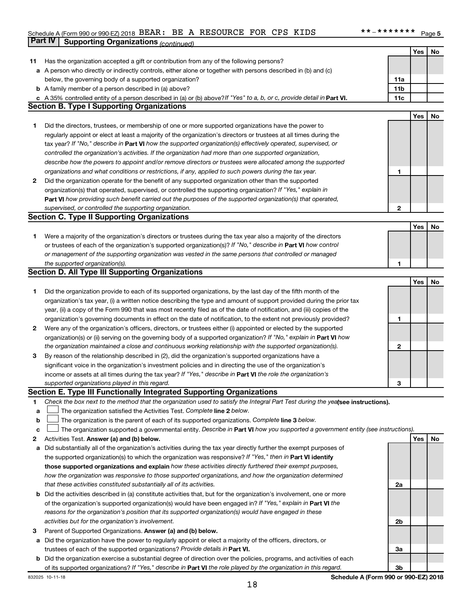# Schedule A (Form 990 or 990-EZ) 2018 BEAR: BE A RESOURCE FOR CPS KIDS \*\*-\*\*\*\*\*\*\*\*\* Page **Part IV** Supporting Organizations *(continued)*

|    |                                                                                                                                 |                 | Yes | No |
|----|---------------------------------------------------------------------------------------------------------------------------------|-----------------|-----|----|
| 11 | Has the organization accepted a gift or contribution from any of the following persons?                                         |                 |     |    |
|    | a A person who directly or indirectly controls, either alone or together with persons described in (b) and (c)                  |                 |     |    |
|    | below, the governing body of a supported organization?                                                                          | 11a             |     |    |
|    | <b>b</b> A family member of a person described in (a) above?                                                                    | 11 <sub>b</sub> |     |    |
|    | c A 35% controlled entity of a person described in (a) or (b) above? If "Yes" to a, b, or c, provide detail in Part VI.         | 11c             |     |    |
|    | <b>Section B. Type I Supporting Organizations</b>                                                                               |                 |     |    |
|    |                                                                                                                                 |                 | Yes | No |
| 1. | Did the directors, trustees, or membership of one or more supported organizations have the power to                             |                 |     |    |
|    | regularly appoint or elect at least a majority of the organization's directors or trustees at all times during the              |                 |     |    |
|    | tax year? If "No," describe in Part VI how the supported organization(s) effectively operated, supervised, or                   |                 |     |    |
|    | controlled the organization's activities. If the organization had more than one supported organization,                         |                 |     |    |
|    | describe how the powers to appoint and/or remove directors or trustees were allocated among the supported                       |                 |     |    |
|    | organizations and what conditions or restrictions, if any, applied to such powers during the tax year.                          | 1               |     |    |
| 2  | Did the organization operate for the benefit of any supported organization other than the supported                             |                 |     |    |
|    | organization(s) that operated, supervised, or controlled the supporting organization? If "Yes," explain in                      |                 |     |    |
|    | Part VI how providing such benefit carried out the purposes of the supported organization(s) that operated,                     |                 |     |    |
|    | supervised, or controlled the supporting organization.                                                                          | 2               |     |    |
|    | <b>Section C. Type II Supporting Organizations</b>                                                                              |                 |     |    |
|    |                                                                                                                                 |                 | Yes | No |
| 1. | Were a majority of the organization's directors or trustees during the tax year also a majority of the directors                |                 |     |    |
|    | or trustees of each of the organization's supported organization(s)? If "No," describe in Part VI how control                   |                 |     |    |
|    | or management of the supporting organization was vested in the same persons that controlled or managed                          |                 |     |    |
|    | the supported organization(s).                                                                                                  | 1               |     |    |
|    | <b>Section D. All Type III Supporting Organizations</b>                                                                         |                 |     |    |
|    |                                                                                                                                 |                 | Yes | No |
| 1. | Did the organization provide to each of its supported organizations, by the last day of the fifth month of the                  |                 |     |    |
|    | organization's tax year, (i) a written notice describing the type and amount of support provided during the prior tax           |                 |     |    |
|    | year, (ii) a copy of the Form 990 that was most recently filed as of the date of notification, and (iii) copies of the          |                 |     |    |
|    | organization's governing documents in effect on the date of notification, to the extent not previously provided?                | 1               |     |    |
| 2  | Were any of the organization's officers, directors, or trustees either (i) appointed or elected by the supported                |                 |     |    |
|    | organization(s) or (ii) serving on the governing body of a supported organization? If "No," explain in Part VI how              |                 |     |    |
|    | the organization maintained a close and continuous working relationship with the supported organization(s).                     | 2               |     |    |
| 3  | By reason of the relationship described in (2), did the organization's supported organizations have a                           |                 |     |    |
|    | significant voice in the organization's investment policies and in directing the use of the organization's                      |                 |     |    |
|    | income or assets at all times during the tax year? If "Yes," describe in Part VI the role the organization's                    |                 |     |    |
|    | supported organizations played in this regard.                                                                                  | з               |     |    |
|    | Section E. Type III Functionally Integrated Supporting Organizations                                                            |                 |     |    |
| 1  | Check the box next to the method that the organization used to satisfy the Integral Part Test during the yealsee instructions). |                 |     |    |
| а  | The organization satisfied the Activities Test. Complete line 2 below.                                                          |                 |     |    |
| b  | The organization is the parent of each of its supported organizations. Complete line 3 below.                                   |                 |     |    |
| с  | The organization supported a governmental entity. Describe in Part VI how you supported a government entity (see instructions). |                 |     |    |
| 2  | Activities Test. Answer (a) and (b) below.                                                                                      |                 | Yes | No |
| а  | Did substantially all of the organization's activities during the tax year directly further the exempt purposes of              |                 |     |    |
|    | the supported organization(s) to which the organization was responsive? If "Yes," then in Part VI identify                      |                 |     |    |
|    | those supported organizations and explain how these activities directly furthered their exempt purposes,                        |                 |     |    |
|    | how the organization was responsive to those supported organizations, and how the organization determined                       |                 |     |    |
|    | that these activities constituted substantially all of its activities.                                                          | 2a              |     |    |
| b  | Did the activities described in (a) constitute activities that, but for the organization's involvement, one or more             |                 |     |    |
|    | of the organization's supported organization(s) would have been engaged in? If "Yes," explain in Part VI the                    |                 |     |    |
|    | reasons for the organization's position that its supported organization(s) would have engaged in these                          |                 |     |    |
|    | activities but for the organization's involvement.                                                                              | 2b              |     |    |
| 3  | Parent of Supported Organizations. Answer (a) and (b) below.                                                                    |                 |     |    |
| а  | Did the organization have the power to regularly appoint or elect a majority of the officers, directors, or                     |                 |     |    |
|    | trustees of each of the supported organizations? Provide details in Part VI.                                                    | За              |     |    |
| b  | Did the organization exercise a substantial degree of direction over the policies, programs, and activities of each             |                 |     |    |
|    | of its supported organizations? If "Yes," describe in Part VI the role played by the organization in this regard.               | 3b              |     |    |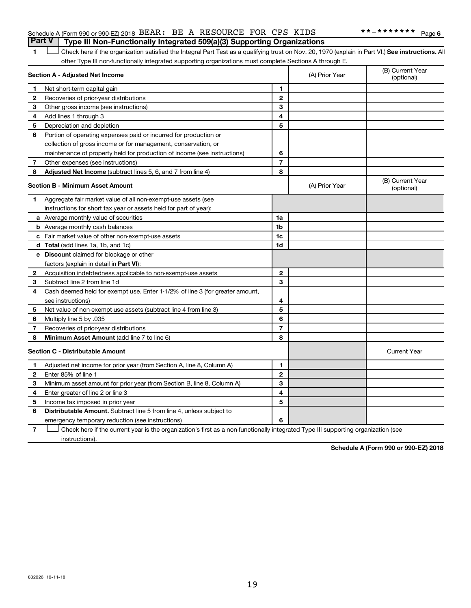|  | Part V   Type III Non-Functionally Integrated 509(a)(3) Supporting Organizations |  |
|--|----------------------------------------------------------------------------------|--|
|  | Schedule A (Form 990 or 990-EZ) 2018 BEAR: BE A RESOURCE FOR CPS KIDS            |  |

1 **Letter See instructions.** All Check here if the organization satisfied the Integral Part Test as a qualifying trust on Nov. 20, 1970 (explain in Part VI.) See instructions. All other Type III non-functionally integrated supporting organizations must complete Sections A through E.

|              | Section A - Adjusted Net Income                                              | (A) Prior Year | (B) Current Year<br>(optional) |                                |
|--------------|------------------------------------------------------------------------------|----------------|--------------------------------|--------------------------------|
| 1            | Net short-term capital gain                                                  | 1              |                                |                                |
| 2            | Recoveries of prior-year distributions                                       | $\overline{2}$ |                                |                                |
| 3            | Other gross income (see instructions)                                        | 3              |                                |                                |
| 4            | Add lines 1 through 3                                                        | 4              |                                |                                |
| 5            | Depreciation and depletion                                                   | 5              |                                |                                |
| 6            | Portion of operating expenses paid or incurred for production or             |                |                                |                                |
|              | collection of gross income or for management, conservation, or               |                |                                |                                |
|              | maintenance of property held for production of income (see instructions)     | 6              |                                |                                |
| 7            | Other expenses (see instructions)                                            | $\overline{7}$ |                                |                                |
| 8            | <b>Adjusted Net Income</b> (subtract lines 5, 6, and 7 from line 4)          | 8              |                                |                                |
|              | <b>Section B - Minimum Asset Amount</b>                                      |                | (A) Prior Year                 | (B) Current Year<br>(optional) |
| 1.           | Aggregate fair market value of all non-exempt-use assets (see                |                |                                |                                |
|              | instructions for short tax year or assets held for part of year):            |                |                                |                                |
|              | a Average monthly value of securities                                        | 1a             |                                |                                |
|              | <b>b</b> Average monthly cash balances                                       | 1 <sub>b</sub> |                                |                                |
|              | c Fair market value of other non-exempt-use assets                           | 1c             |                                |                                |
|              | d Total (add lines 1a, 1b, and 1c)                                           | 1 <sub>d</sub> |                                |                                |
|              | e Discount claimed for blockage or other                                     |                |                                |                                |
|              | factors (explain in detail in <b>Part VI</b> ):                              |                |                                |                                |
| 2            | Acquisition indebtedness applicable to non-exempt-use assets                 | $\mathbf{2}$   |                                |                                |
| 3            | Subtract line 2 from line 1d                                                 | 3              |                                |                                |
| 4            | Cash deemed held for exempt use. Enter 1-1/2% of line 3 (for greater amount, |                |                                |                                |
|              | see instructions)                                                            | 4              |                                |                                |
| 5            | Net value of non-exempt-use assets (subtract line 4 from line 3)             | 5              |                                |                                |
| 6            | Multiply line 5 by .035                                                      | 6              |                                |                                |
| 7            | Recoveries of prior-year distributions                                       | 7              |                                |                                |
| 8            | Minimum Asset Amount (add line 7 to line 6)                                  | 8              |                                |                                |
|              | <b>Section C - Distributable Amount</b>                                      |                |                                | <b>Current Year</b>            |
| 1            | Adjusted net income for prior year (from Section A, line 8, Column A)        | 1              |                                |                                |
| $\mathbf{2}$ | Enter 85% of line 1                                                          | $\overline{2}$ |                                |                                |
| з            | Minimum asset amount for prior year (from Section B, line 8, Column A)       | 3              |                                |                                |
| 4            | Enter greater of line 2 or line 3                                            | 4              |                                |                                |
| 5            | Income tax imposed in prior year                                             | 5              |                                |                                |
| 6            | Distributable Amount. Subtract line 5 from line 4, unless subject to         |                |                                |                                |
|              | emergency temporary reduction (see instructions)                             | 6              |                                |                                |
|              |                                                                              |                |                                |                                |

**7** Check here if the current year is the organization's first as a non-functionally integrated Type III supporting organization (see † instructions).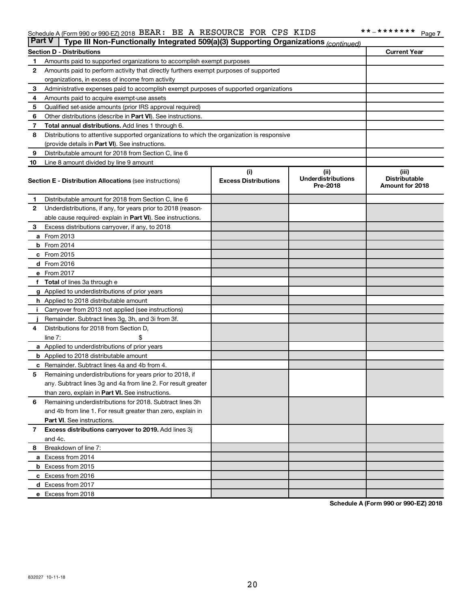#### Schedule A (Form 990 or 990-EZ) 2018 Page BEAR: BE A RESOURCE FOR CPS KIDS \*\*-\*\*\*\*\*\*\*\*

| <b>Part V</b> | Type III Non-Functionally Integrated 509(a)(3) Supporting Organizations (continued)        |                                    |                                               |                                                  |
|---------------|--------------------------------------------------------------------------------------------|------------------------------------|-----------------------------------------------|--------------------------------------------------|
|               | <b>Section D - Distributions</b>                                                           |                                    |                                               | <b>Current Year</b>                              |
| 1             | Amounts paid to supported organizations to accomplish exempt purposes                      |                                    |                                               |                                                  |
| 2             | Amounts paid to perform activity that directly furthers exempt purposes of supported       |                                    |                                               |                                                  |
|               | organizations, in excess of income from activity                                           |                                    |                                               |                                                  |
| 3             | Administrative expenses paid to accomplish exempt purposes of supported organizations      |                                    |                                               |                                                  |
| 4             | Amounts paid to acquire exempt-use assets                                                  |                                    |                                               |                                                  |
| 5             | Qualified set-aside amounts (prior IRS approval required)                                  |                                    |                                               |                                                  |
| 6             | Other distributions (describe in Part VI). See instructions.                               |                                    |                                               |                                                  |
| 7             | Total annual distributions. Add lines 1 through 6.                                         |                                    |                                               |                                                  |
| 8             | Distributions to attentive supported organizations to which the organization is responsive |                                    |                                               |                                                  |
|               | (provide details in Part VI). See instructions.                                            |                                    |                                               |                                                  |
| 9             | Distributable amount for 2018 from Section C, line 6                                       |                                    |                                               |                                                  |
| 10            | Line 8 amount divided by line 9 amount                                                     |                                    |                                               |                                                  |
|               | <b>Section E - Distribution Allocations (see instructions)</b>                             | (i)<br><b>Excess Distributions</b> | (ii)<br><b>Underdistributions</b><br>Pre-2018 | (iii)<br><b>Distributable</b><br>Amount for 2018 |
| 1.            | Distributable amount for 2018 from Section C, line 6                                       |                                    |                                               |                                                  |
| $\mathbf{2}$  | Underdistributions, if any, for years prior to 2018 (reason-                               |                                    |                                               |                                                  |
|               | able cause required- explain in Part VI). See instructions.                                |                                    |                                               |                                                  |
| 3             | Excess distributions carryover, if any, to 2018                                            |                                    |                                               |                                                  |
|               | a From 2013                                                                                |                                    |                                               |                                                  |
|               | <b>b</b> From 2014                                                                         |                                    |                                               |                                                  |
|               | c From 2015                                                                                |                                    |                                               |                                                  |
|               | d From 2016                                                                                |                                    |                                               |                                                  |
|               | e From 2017                                                                                |                                    |                                               |                                                  |
|               | f Total of lines 3a through e                                                              |                                    |                                               |                                                  |
|               | <b>g</b> Applied to underdistributions of prior years                                      |                                    |                                               |                                                  |
|               | <b>h</b> Applied to 2018 distributable amount                                              |                                    |                                               |                                                  |
|               | Carryover from 2013 not applied (see instructions)                                         |                                    |                                               |                                                  |
|               | Remainder. Subtract lines 3g, 3h, and 3i from 3f.                                          |                                    |                                               |                                                  |
| 4             | Distributions for 2018 from Section D,                                                     |                                    |                                               |                                                  |
|               | $line 7$ :                                                                                 |                                    |                                               |                                                  |
|               | a Applied to underdistributions of prior years                                             |                                    |                                               |                                                  |
|               | <b>b</b> Applied to 2018 distributable amount                                              |                                    |                                               |                                                  |
| с             | Remainder. Subtract lines 4a and 4b from 4.                                                |                                    |                                               |                                                  |
| 5             | Remaining underdistributions for years prior to 2018, if                                   |                                    |                                               |                                                  |
|               | any. Subtract lines 3g and 4a from line 2. For result greater                              |                                    |                                               |                                                  |
|               | than zero, explain in Part VI. See instructions.                                           |                                    |                                               |                                                  |
| 6             | Remaining underdistributions for 2018. Subtract lines 3h                                   |                                    |                                               |                                                  |
|               | and 4b from line 1. For result greater than zero, explain in                               |                                    |                                               |                                                  |
|               | <b>Part VI.</b> See instructions.                                                          |                                    |                                               |                                                  |
| $\mathbf{7}$  | Excess distributions carryover to 2019. Add lines 3j                                       |                                    |                                               |                                                  |
|               | and 4c.                                                                                    |                                    |                                               |                                                  |
| 8             | Breakdown of line 7:                                                                       |                                    |                                               |                                                  |
|               | a Excess from 2014                                                                         |                                    |                                               |                                                  |
|               | <b>b</b> Excess from 2015                                                                  |                                    |                                               |                                                  |
|               | c Excess from 2016                                                                         |                                    |                                               |                                                  |
|               | d Excess from 2017                                                                         |                                    |                                               |                                                  |
|               | e Excess from 2018                                                                         |                                    |                                               |                                                  |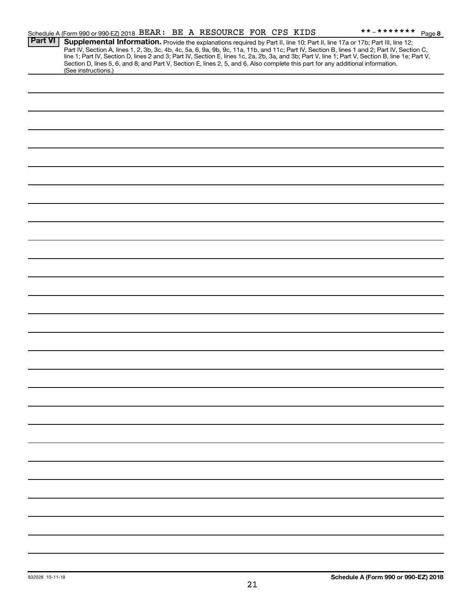| Supplemental Information. Provide the explanations required by Part II, line 10; Part II, line 17a or 17b; Part III, line 12;<br>Part IV, Section A, lines 1, 2, 3b, 3c, 4b, 4c, 5a, 6, 9a, 9b, 9c, 11a, 11b, and 11c; Part IV, Section B, lines 1 and 2; Part IV, Section C,<br>line 1; Part IV, Section D, lines 2 and 3; Part IV, Section E, lines 1c, 2a, 2b, 3a, and 3b; Part V, line 1; Part V, Section B, line 1e; Part V,<br>Section D, lines 5, 6, and 8; and Part V, Section E, lines 2, 5, and 6. Also complete this part for any additional information.<br>(See instructions.) |                | Schedule A (Form 990 or 990-EZ) 2018 BEAR: BE A RESOURCE FOR CPS KIDS |  |  | **_******* Page 8 |
|---------------------------------------------------------------------------------------------------------------------------------------------------------------------------------------------------------------------------------------------------------------------------------------------------------------------------------------------------------------------------------------------------------------------------------------------------------------------------------------------------------------------------------------------------------------------------------------------|----------------|-----------------------------------------------------------------------|--|--|-------------------|
|                                                                                                                                                                                                                                                                                                                                                                                                                                                                                                                                                                                             | <b>Part VI</b> |                                                                       |  |  |                   |
|                                                                                                                                                                                                                                                                                                                                                                                                                                                                                                                                                                                             |                |                                                                       |  |  |                   |
|                                                                                                                                                                                                                                                                                                                                                                                                                                                                                                                                                                                             |                |                                                                       |  |  |                   |
|                                                                                                                                                                                                                                                                                                                                                                                                                                                                                                                                                                                             |                |                                                                       |  |  |                   |
|                                                                                                                                                                                                                                                                                                                                                                                                                                                                                                                                                                                             |                |                                                                       |  |  |                   |
|                                                                                                                                                                                                                                                                                                                                                                                                                                                                                                                                                                                             |                |                                                                       |  |  |                   |
|                                                                                                                                                                                                                                                                                                                                                                                                                                                                                                                                                                                             |                |                                                                       |  |  |                   |
|                                                                                                                                                                                                                                                                                                                                                                                                                                                                                                                                                                                             |                |                                                                       |  |  |                   |
|                                                                                                                                                                                                                                                                                                                                                                                                                                                                                                                                                                                             |                |                                                                       |  |  |                   |
|                                                                                                                                                                                                                                                                                                                                                                                                                                                                                                                                                                                             |                |                                                                       |  |  |                   |
|                                                                                                                                                                                                                                                                                                                                                                                                                                                                                                                                                                                             |                |                                                                       |  |  |                   |
|                                                                                                                                                                                                                                                                                                                                                                                                                                                                                                                                                                                             |                |                                                                       |  |  |                   |
|                                                                                                                                                                                                                                                                                                                                                                                                                                                                                                                                                                                             |                |                                                                       |  |  |                   |
|                                                                                                                                                                                                                                                                                                                                                                                                                                                                                                                                                                                             |                |                                                                       |  |  |                   |
|                                                                                                                                                                                                                                                                                                                                                                                                                                                                                                                                                                                             |                |                                                                       |  |  |                   |
|                                                                                                                                                                                                                                                                                                                                                                                                                                                                                                                                                                                             |                |                                                                       |  |  |                   |
|                                                                                                                                                                                                                                                                                                                                                                                                                                                                                                                                                                                             |                |                                                                       |  |  |                   |
|                                                                                                                                                                                                                                                                                                                                                                                                                                                                                                                                                                                             |                |                                                                       |  |  |                   |
|                                                                                                                                                                                                                                                                                                                                                                                                                                                                                                                                                                                             |                |                                                                       |  |  |                   |
|                                                                                                                                                                                                                                                                                                                                                                                                                                                                                                                                                                                             |                |                                                                       |  |  |                   |
|                                                                                                                                                                                                                                                                                                                                                                                                                                                                                                                                                                                             |                |                                                                       |  |  |                   |
|                                                                                                                                                                                                                                                                                                                                                                                                                                                                                                                                                                                             |                |                                                                       |  |  |                   |
|                                                                                                                                                                                                                                                                                                                                                                                                                                                                                                                                                                                             |                |                                                                       |  |  |                   |
|                                                                                                                                                                                                                                                                                                                                                                                                                                                                                                                                                                                             |                |                                                                       |  |  |                   |
|                                                                                                                                                                                                                                                                                                                                                                                                                                                                                                                                                                                             |                |                                                                       |  |  |                   |
|                                                                                                                                                                                                                                                                                                                                                                                                                                                                                                                                                                                             |                |                                                                       |  |  |                   |
|                                                                                                                                                                                                                                                                                                                                                                                                                                                                                                                                                                                             |                |                                                                       |  |  |                   |
|                                                                                                                                                                                                                                                                                                                                                                                                                                                                                                                                                                                             |                |                                                                       |  |  |                   |
|                                                                                                                                                                                                                                                                                                                                                                                                                                                                                                                                                                                             |                |                                                                       |  |  |                   |
|                                                                                                                                                                                                                                                                                                                                                                                                                                                                                                                                                                                             |                |                                                                       |  |  |                   |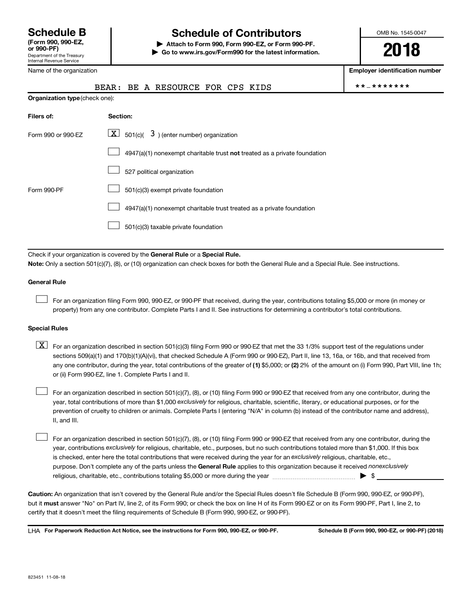# **Schedule B Schedule of Contributors**

**or 990-PF) | Attach to Form 990, Form 990-EZ, or Form 990-PF. | Go to www.irs.gov/Form990 for the latest information.** OMB No. 1545-0047

**2018**

**Employer identification number**

|  | BEAR: BE A RESOURCE FOR CPS KIDS |  |  |  | **_******* |
|--|----------------------------------|--|--|--|------------|
|--|----------------------------------|--|--|--|------------|

| .<br>Department of the Treasury<br>Internal Revenue Service |
|-------------------------------------------------------------|
| Name of the organization                                    |

| <b>Organization type (check one):</b> |                                                                                    |  |  |  |  |  |  |
|---------------------------------------|------------------------------------------------------------------------------------|--|--|--|--|--|--|
| Filers of:                            | Section:                                                                           |  |  |  |  |  |  |
| Form 990 or 990-EZ                    | $\boxed{\textbf{X}}$ 501(c)( 3) (enter number) organization                        |  |  |  |  |  |  |
|                                       | $4947(a)(1)$ nonexempt charitable trust <b>not</b> treated as a private foundation |  |  |  |  |  |  |
|                                       | 527 political organization                                                         |  |  |  |  |  |  |
| Form 990-PF                           | 501(c)(3) exempt private foundation                                                |  |  |  |  |  |  |
|                                       | 4947(a)(1) nonexempt charitable trust treated as a private foundation              |  |  |  |  |  |  |
|                                       | 501(c)(3) taxable private foundation                                               |  |  |  |  |  |  |

Check if your organization is covered by the General Rule or a Special Rule. **Note:**  Only a section 501(c)(7), (8), or (10) organization can check boxes for both the General Rule and a Special Rule. See instructions.

#### **General Rule**

 $\Box$ 

For an organization filing Form 990, 990-EZ, or 990-PF that received, during the year, contributions totaling \$5,000 or more (in money or property) from any one contributor. Complete Parts I and II. See instructions for determining a contributor's total contributions.

#### **Special Rules**

any one contributor, during the year, total contributions of the greater of (1) \$5,000; or (2) 2% of the amount on (i) Form 990, Part VIII, line 1h;  $\boxed{\text{X}}$  For an organization described in section 501(c)(3) filing Form 990 or 990-EZ that met the 33 1/3% support test of the regulations under sections 509(a)(1) and 170(b)(1)(A)(vi), that checked Schedule A (Form 990 or 990-EZ), Part II, line 13, 16a, or 16b, and that received from or (ii) Form 990-EZ, line 1. Complete Parts I and II.

year, total contributions of more than \$1,000 *exclusively* for religious, charitable, scientific, literary, or educational purposes, or for the For an organization described in section 501(c)(7), (8), or (10) filing Form 990 or 990-EZ that received from any one contributor, during the prevention of cruelty to children or animals. Complete Parts I (entering "N/A" in column (b) instead of the contributor name and address), II, and III.  $\Box$ 

purpose. Don't complete any of the parts unless the General Rule applies to this organization because it received nonexclusively year, contributions exclusively for religious, charitable, etc., purposes, but no such contributions totaled more than \$1,000. If this box is checked, enter here the total contributions that were received during the year for an exclusively religious, charitable, etc., For an organization described in section 501(c)(7), (8), or (10) filing Form 990 or 990-EZ that received from any one contributor, during the religious, charitable, etc., contributions totaling \$5,000 or more during the year  $~\ldots\ldots\ldots\ldots\ldots\ldots\ldots\ldots\ldots\blacktriangleright~$ \$  $\Box$ 

**Caution:**  An organization that isn't covered by the General Rule and/or the Special Rules doesn't file Schedule B (Form 990, 990-EZ, or 990-PF),  **must** but it answer "No" on Part IV, line 2, of its Form 990; or check the box on line H of its Form 990-EZ or on its Form 990-PF, Part I, line 2, to certify that it doesn't meet the filing requirements of Schedule B (Form 990, 990-EZ, or 990-PF).

**For Paperwork Reduction Act Notice, see the instructions for Form 990, 990-EZ, or 990-PF. Schedule B (Form 990, 990-EZ, or 990-PF) (2018)** LHA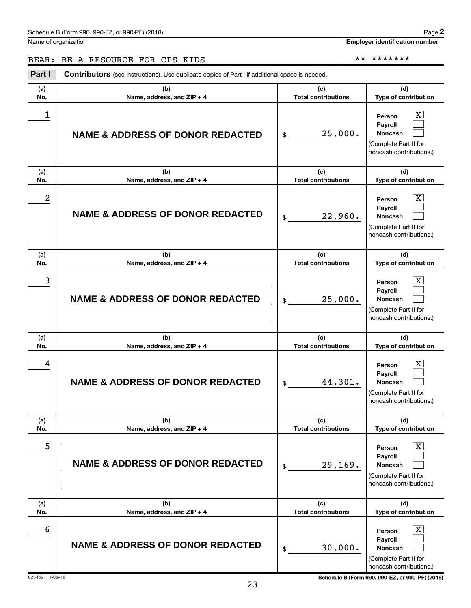Name of organization

**Employer identification number**

# BEAR: BE A RESOURCE FOR CPS KIDS \*\*-\*\*\*\*\*\*\*

| Part I     | <b>Contributors</b> (see instructions). Use duplicate copies of Part I if additional space is needed. |                                   |                                                                                                                          |
|------------|-------------------------------------------------------------------------------------------------------|-----------------------------------|--------------------------------------------------------------------------------------------------------------------------|
| (a)<br>No. | (b)<br>Name, address, and ZIP + 4                                                                     | (c)<br><b>Total contributions</b> | (d)<br>Type of contribution                                                                                              |
| 1          | <b>NAME &amp; ADDRESS OF DONOR REDACTED</b>                                                           | 25,000.<br>\$                     | $\boxed{\textbf{X}}$<br>Person<br>Payroll<br>Noncash<br>(Complete Part II for<br>noncash contributions.)                 |
| (a)<br>No. | (b)<br>Name, address, and ZIP + 4                                                                     | (c)<br><b>Total contributions</b> | (d)<br>Type of contribution                                                                                              |
| 2          | <b>NAME &amp; ADDRESS OF DONOR REDACTED</b>                                                           | 22,960.<br>\$                     | $\boxed{\textbf{X}}$<br>Person<br>Payroll<br>Noncash<br>(Complete Part II for<br>noncash contributions.)                 |
| (a)<br>No. | (b)<br>Name, address, and ZIP + 4                                                                     | (c)<br><b>Total contributions</b> | (d)<br>Type of contribution                                                                                              |
| 3          | <b>NAME &amp; ADDRESS OF DONOR REDACTED</b>                                                           | 25,000.<br>\$                     | $\boxed{\textbf{X}}$<br>Person<br>Payroll<br>Noncash<br>(Complete Part II for<br>noncash contributions.)                 |
| (a)<br>No. | (b)<br>Name, address, and ZIP + 4                                                                     | (c)<br><b>Total contributions</b> | (d)<br>Type of contribution                                                                                              |
| 4          | <b>NAME &amp; ADDRESS OF DONOR REDACTED</b>                                                           | 44,301.<br>\$                     | $\boxed{\textbf{X}}$<br>Person<br>Payroll<br>Noncash<br>(Complete Part II for<br>noncash contributions.)                 |
|            |                                                                                                       |                                   |                                                                                                                          |
| (a)<br>No. | (b)<br>Name, address, and ZIP + 4                                                                     | (c)<br><b>Total contributions</b> | (d)                                                                                                                      |
| 5          | <b>NAME &amp; ADDRESS OF DONOR REDACTED</b>                                                           | 29,169.<br>\$                     | Type of contribution<br>$\mathbf{X}$<br>Person<br>Payroll<br>Noncash<br>(Complete Part II for<br>noncash contributions.) |
| (a)<br>No. | (b)<br>Name, address, and ZIP + 4                                                                     | (c)<br><b>Total contributions</b> | (d)<br>Type of contribution                                                                                              |
| 6          | <b>NAME &amp; ADDRESS OF DONOR REDACTED</b>                                                           | 30,000.<br>\$                     | $\mathbf{X}$<br>Person<br>Payroll<br>Noncash<br>(Complete Part II for<br>noncash contributions.)                         |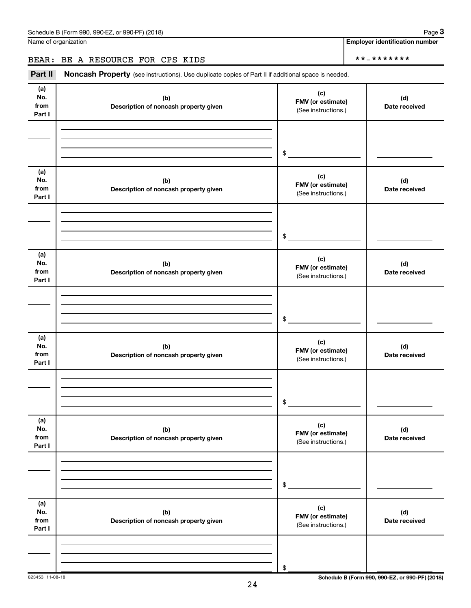**3**

**Employer identification number**

# BEAR: BE A RESOURCE FOR CPS KIDS \*\*-\*\*\*\*\*\*\*

Part II Noncash Property (see instructions). Use duplicate copies of Part II if additional space is needed.

| (a)<br>No.<br>from<br>Part I | (b)<br>Description of noncash property given | (c)<br>FMV (or estimate)<br>(See instructions.) | (d)<br>Date received                            |
|------------------------------|----------------------------------------------|-------------------------------------------------|-------------------------------------------------|
|                              |                                              |                                                 |                                                 |
|                              |                                              | \$                                              |                                                 |
| (a)<br>No.<br>from<br>Part I | (b)<br>Description of noncash property given | (c)<br>FMV (or estimate)<br>(See instructions.) | (d)<br>Date received                            |
|                              |                                              | $\$$                                            |                                                 |
| (a)<br>No.<br>from<br>Part I | (b)<br>Description of noncash property given | (c)<br>FMV (or estimate)<br>(See instructions.) | (d)<br>Date received                            |
|                              |                                              | $\$$                                            |                                                 |
| (a)<br>No.<br>from<br>Part I | (b)<br>Description of noncash property given | (c)<br>FMV (or estimate)<br>(See instructions.) | (d)<br>Date received                            |
|                              |                                              | \$                                              |                                                 |
| (a)<br>No.<br>from<br>Part I | (b)<br>Description of noncash property given | (c)<br>FMV (or estimate)<br>(See instructions.) | (d)<br>Date received                            |
|                              |                                              | \$                                              |                                                 |
| (a)<br>No.<br>from<br>Part I | (b)<br>Description of noncash property given | (c)<br>FMV (or estimate)<br>(See instructions.) | (d)<br>Date received                            |
|                              |                                              | \$                                              |                                                 |
| 823453 11-08-18              |                                              |                                                 | Schedule B (Form 990, 990-EZ, or 990-PF) (2018) |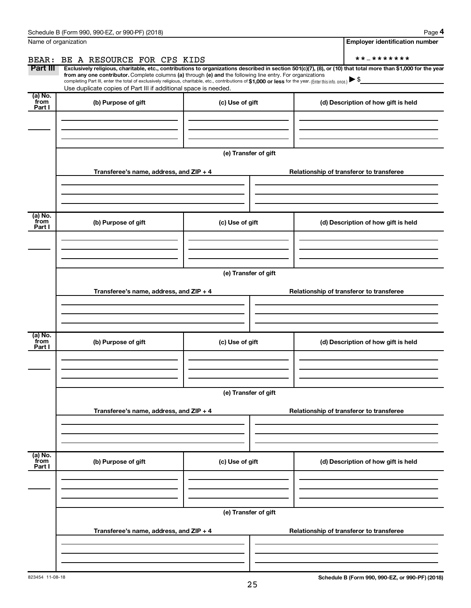|                           | Schedule B (Form 990, 990-EZ, or 990-PF) (2018)                                                                                                                                                                                                                                                                                                                    |                      | Page 4                                                                                                                                                         |  |  |  |  |
|---------------------------|--------------------------------------------------------------------------------------------------------------------------------------------------------------------------------------------------------------------------------------------------------------------------------------------------------------------------------------------------------------------|----------------------|----------------------------------------------------------------------------------------------------------------------------------------------------------------|--|--|--|--|
|                           | Name of organization                                                                                                                                                                                                                                                                                                                                               |                      | <b>Employer identification number</b>                                                                                                                          |  |  |  |  |
| BEAR:                     | BE A RESOURCE FOR CPS KIDS                                                                                                                                                                                                                                                                                                                                         |                      | **_*******                                                                                                                                                     |  |  |  |  |
| Part III                  | from any one contributor. Complete columns (a) through (e) and the following line entry. For organizations<br>completing Part III, enter the total of exclusively religious, charitable, etc., contributions of \$1,000 or less for the year. (Enter this info. once.) $\blacktriangleright$ \$<br>Use duplicate copies of Part III if additional space is needed. |                      | Exclusively religious, charitable, etc., contributions to organizations described in section 501(c)(7), (8), or (10) that total more than \$1,000 for the year |  |  |  |  |
| (a) No.<br>from<br>Part I | (b) Purpose of gift                                                                                                                                                                                                                                                                                                                                                | (c) Use of gift      | (d) Description of how gift is held                                                                                                                            |  |  |  |  |
|                           |                                                                                                                                                                                                                                                                                                                                                                    |                      |                                                                                                                                                                |  |  |  |  |
|                           |                                                                                                                                                                                                                                                                                                                                                                    | (e) Transfer of gift |                                                                                                                                                                |  |  |  |  |
|                           | Transferee's name, address, and ZIP + 4                                                                                                                                                                                                                                                                                                                            |                      | Relationship of transferor to transferee                                                                                                                       |  |  |  |  |
|                           |                                                                                                                                                                                                                                                                                                                                                                    |                      |                                                                                                                                                                |  |  |  |  |
| (a) No.<br>from<br>Part I | (b) Purpose of gift                                                                                                                                                                                                                                                                                                                                                | (c) Use of gift      | (d) Description of how gift is held                                                                                                                            |  |  |  |  |
|                           |                                                                                                                                                                                                                                                                                                                                                                    |                      |                                                                                                                                                                |  |  |  |  |
|                           | (e) Transfer of gift                                                                                                                                                                                                                                                                                                                                               |                      |                                                                                                                                                                |  |  |  |  |
|                           | Transferee's name, address, and ZIP + 4                                                                                                                                                                                                                                                                                                                            |                      | Relationship of transferor to transferee                                                                                                                       |  |  |  |  |
| (a) No.<br>from           | (b) Purpose of gift                                                                                                                                                                                                                                                                                                                                                | (c) Use of gift      | (d) Description of how gift is held                                                                                                                            |  |  |  |  |
| Part I                    |                                                                                                                                                                                                                                                                                                                                                                    |                      |                                                                                                                                                                |  |  |  |  |
|                           |                                                                                                                                                                                                                                                                                                                                                                    | (e) Transfer of gift |                                                                                                                                                                |  |  |  |  |
|                           | Transferee's name, address, and ZIP + 4                                                                                                                                                                                                                                                                                                                            |                      | Relationship of transferor to transferee                                                                                                                       |  |  |  |  |
|                           |                                                                                                                                                                                                                                                                                                                                                                    |                      |                                                                                                                                                                |  |  |  |  |
| (a) No.<br>from<br>Part I | (b) Purpose of gift                                                                                                                                                                                                                                                                                                                                                | (c) Use of gift      | (d) Description of how gift is held                                                                                                                            |  |  |  |  |
|                           |                                                                                                                                                                                                                                                                                                                                                                    |                      |                                                                                                                                                                |  |  |  |  |
|                           | (e) Transfer of gift                                                                                                                                                                                                                                                                                                                                               |                      |                                                                                                                                                                |  |  |  |  |
|                           | Transferee's name, address, and ZIP + 4                                                                                                                                                                                                                                                                                                                            |                      | Relationship of transferor to transferee                                                                                                                       |  |  |  |  |
|                           |                                                                                                                                                                                                                                                                                                                                                                    |                      |                                                                                                                                                                |  |  |  |  |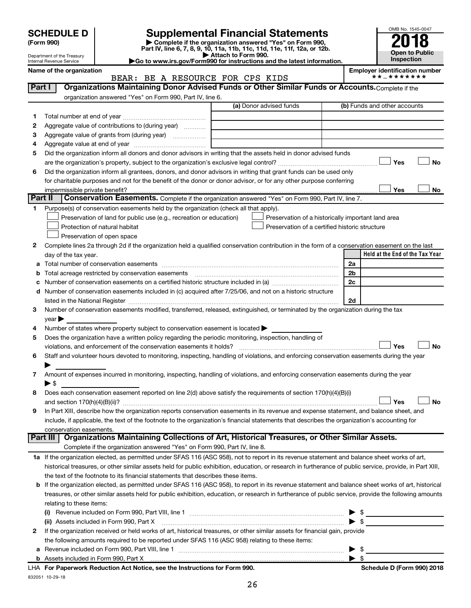| (Form 990) |  |
|------------|--|
|------------|--|

l,

# **SCHEDULE D Supplemental Financial Statements**<br> **Form 990 2018**<br> **Part IV** line 6.7.8.9.10, 11a, 11b, 11d, 11d, 11d, 11d, 11d, 12a, 0r, 12b

**(Form 990) | Complete if the organization answered "Yes" on Form 990, Part IV, line 6, 7, 8, 9, 10, 11a, 11b, 11c, 11d, 11e, 11f, 12a, or 12b.**



Department of the Treasury Internal Revenue Service

**| Attach to Form 990. |Go to www.irs.gov/Form990 for instructions and the latest information.**

| Organizations Maintaining Donor Advised Funds or Other Similar Funds or Accounts. Complete if the<br>Part I<br>organization answered "Yes" on Form 990, Part IV, line 6.<br>(a) Donor advised funds<br>(b) Funds and other accounts<br>1.<br>Aggregate value of contributions to (during year)<br>2<br>Aggregate value of grants from (during year)<br>з<br>4<br>Did the organization inform all donors and donor advisors in writing that the assets held in donor advised funds<br>5<br><b>No</b><br>Yes<br>Did the organization inform all grantees, donors, and donor advisors in writing that grant funds can be used only<br>6<br>for charitable purposes and not for the benefit of the donor or donor advisor, or for any other purpose conferring<br>No<br>impermissible private benefit?<br>Yes<br>Part II<br>Conservation Easements. Complete if the organization answered "Yes" on Form 990, Part IV, line 7.<br>Purpose(s) of conservation easements held by the organization (check all that apply).<br>1.<br>Preservation of land for public use (e.g., recreation or education)<br>Preservation of a historically important land area<br>Protection of natural habitat<br>Preservation of a certified historic structure<br>Preservation of open space<br>2<br>Complete lines 2a through 2d if the organization held a qualified conservation contribution in the form of a conservation easement on the last<br>Held at the End of the Tax Year<br>day of the tax year.<br>2a<br>2b<br>b<br>2c<br>Number of conservation easements included in (c) acquired after 7/25/06, and not on a historic structure<br>d<br>2d<br>Number of conservation easements modified, transferred, released, extinguished, or terminated by the organization during the tax<br>3<br>$year \triangleright$<br>Number of states where property subject to conservation easement is located ><br>4<br>Does the organization have a written policy regarding the periodic monitoring, inspection, handling of<br>5<br>Yes<br><b>No</b><br>violations, and enforcement of the conservation easements it holds?<br>Staff and volunteer hours devoted to monitoring, inspecting, handling of violations, and enforcing conservation easements during the year<br>6<br>Amount of expenses incurred in monitoring, inspecting, handling of violations, and enforcing conservation easements during the year<br>7<br>$\blacktriangleright$ \$<br>Does each conservation easement reported on line 2(d) above satisfy the requirements of section 170(h)(4)(B)(i)<br>8<br>Yes<br>No<br>In Part XIII, describe how the organization reports conservation easements in its revenue and expense statement, and balance sheet, and<br>include, if applicable, the text of the footnote to the organization's financial statements that describes the organization's accounting for<br>conservation easements.<br>Organizations Maintaining Collections of Art, Historical Treasures, or Other Similar Assets.<br>Part III<br>Complete if the organization answered "Yes" on Form 990, Part IV, line 8.<br>1a If the organization elected, as permitted under SFAS 116 (ASC 958), not to report in its revenue statement and balance sheet works of art,<br>historical treasures, or other similar assets held for public exhibition, education, or research in furtherance of public service, provide, in Part XIII,<br>the text of the footnote to its financial statements that describes these items.<br>If the organization elected, as permitted under SFAS 116 (ASC 958), to report in its revenue statement and balance sheet works of art, historical<br>b<br>treasures, or other similar assets held for public exhibition, education, or research in furtherance of public service, provide the following amounts<br>relating to these items:<br>$\frac{1}{2}$<br>▶<br>$\blacktriangleright$ \$<br>(ii) Assets included in Form 990, Part X<br>If the organization received or held works of art, historical treasures, or other similar assets for financial gain, provide<br>2<br>the following amounts required to be reported under SFAS 116 (ASC 958) relating to these items:<br>$\blacktriangleright$ \$<br>$\blacktriangleright$ \$ | Name of the organization<br>BEAR: BE A RESOURCE FOR CPS KIDS | <b>Employer identification number</b><br>* * _ * * * * * * * |  |  |
|---------------------------------------------------------------------------------------------------------------------------------------------------------------------------------------------------------------------------------------------------------------------------------------------------------------------------------------------------------------------------------------------------------------------------------------------------------------------------------------------------------------------------------------------------------------------------------------------------------------------------------------------------------------------------------------------------------------------------------------------------------------------------------------------------------------------------------------------------------------------------------------------------------------------------------------------------------------------------------------------------------------------------------------------------------------------------------------------------------------------------------------------------------------------------------------------------------------------------------------------------------------------------------------------------------------------------------------------------------------------------------------------------------------------------------------------------------------------------------------------------------------------------------------------------------------------------------------------------------------------------------------------------------------------------------------------------------------------------------------------------------------------------------------------------------------------------------------------------------------------------------------------------------------------------------------------------------------------------------------------------------------------------------------------------------------------------------------------------------------------------------------------------------------------------------------------------------------------------------------------------------------------------------------------------------------------------------------------------------------------------------------------------------------------------------------------------------------------------------------------------------------------------------------------------------------------------------------------------------------------------------------------------------------------------------------------------------------------------------------------------------------------------------------------------------------------------------------------------------------------------------------------------------------------------------------------------------------------------------------------------------------------------------------------------------------------------------------------------------------------------------------------------------------------------------------------------------------------------------------------------------------------------------------------------------------------------------------------------------------------------------------------------------------------------------------------------------------------------------------------------------------------------------------------------------------------------------------------------------------------------------------------------------------------------------------------------------------------------------------------------------------------------------------------------------------------------------------------------------------------------------------------------------------------------------------------------------------------------------------------------------------------------------------------------------------------------------------------------------------------------------------------------------------------------------------------------------------------------------------|--------------------------------------------------------------|--------------------------------------------------------------|--|--|
|                                                                                                                                                                                                                                                                                                                                                                                                                                                                                                                                                                                                                                                                                                                                                                                                                                                                                                                                                                                                                                                                                                                                                                                                                                                                                                                                                                                                                                                                                                                                                                                                                                                                                                                                                                                                                                                                                                                                                                                                                                                                                                                                                                                                                                                                                                                                                                                                                                                                                                                                                                                                                                                                                                                                                                                                                                                                                                                                                                                                                                                                                                                                                                                                                                                                                                                                                                                                                                                                                                                                                                                                                                                                                                                                                                                                                                                                                                                                                                                                                                                                                                                                                                                                                                       |                                                              |                                                              |  |  |
|                                                                                                                                                                                                                                                                                                                                                                                                                                                                                                                                                                                                                                                                                                                                                                                                                                                                                                                                                                                                                                                                                                                                                                                                                                                                                                                                                                                                                                                                                                                                                                                                                                                                                                                                                                                                                                                                                                                                                                                                                                                                                                                                                                                                                                                                                                                                                                                                                                                                                                                                                                                                                                                                                                                                                                                                                                                                                                                                                                                                                                                                                                                                                                                                                                                                                                                                                                                                                                                                                                                                                                                                                                                                                                                                                                                                                                                                                                                                                                                                                                                                                                                                                                                                                                       |                                                              |                                                              |  |  |
|                                                                                                                                                                                                                                                                                                                                                                                                                                                                                                                                                                                                                                                                                                                                                                                                                                                                                                                                                                                                                                                                                                                                                                                                                                                                                                                                                                                                                                                                                                                                                                                                                                                                                                                                                                                                                                                                                                                                                                                                                                                                                                                                                                                                                                                                                                                                                                                                                                                                                                                                                                                                                                                                                                                                                                                                                                                                                                                                                                                                                                                                                                                                                                                                                                                                                                                                                                                                                                                                                                                                                                                                                                                                                                                                                                                                                                                                                                                                                                                                                                                                                                                                                                                                                                       |                                                              |                                                              |  |  |
|                                                                                                                                                                                                                                                                                                                                                                                                                                                                                                                                                                                                                                                                                                                                                                                                                                                                                                                                                                                                                                                                                                                                                                                                                                                                                                                                                                                                                                                                                                                                                                                                                                                                                                                                                                                                                                                                                                                                                                                                                                                                                                                                                                                                                                                                                                                                                                                                                                                                                                                                                                                                                                                                                                                                                                                                                                                                                                                                                                                                                                                                                                                                                                                                                                                                                                                                                                                                                                                                                                                                                                                                                                                                                                                                                                                                                                                                                                                                                                                                                                                                                                                                                                                                                                       |                                                              |                                                              |  |  |
|                                                                                                                                                                                                                                                                                                                                                                                                                                                                                                                                                                                                                                                                                                                                                                                                                                                                                                                                                                                                                                                                                                                                                                                                                                                                                                                                                                                                                                                                                                                                                                                                                                                                                                                                                                                                                                                                                                                                                                                                                                                                                                                                                                                                                                                                                                                                                                                                                                                                                                                                                                                                                                                                                                                                                                                                                                                                                                                                                                                                                                                                                                                                                                                                                                                                                                                                                                                                                                                                                                                                                                                                                                                                                                                                                                                                                                                                                                                                                                                                                                                                                                                                                                                                                                       |                                                              |                                                              |  |  |
|                                                                                                                                                                                                                                                                                                                                                                                                                                                                                                                                                                                                                                                                                                                                                                                                                                                                                                                                                                                                                                                                                                                                                                                                                                                                                                                                                                                                                                                                                                                                                                                                                                                                                                                                                                                                                                                                                                                                                                                                                                                                                                                                                                                                                                                                                                                                                                                                                                                                                                                                                                                                                                                                                                                                                                                                                                                                                                                                                                                                                                                                                                                                                                                                                                                                                                                                                                                                                                                                                                                                                                                                                                                                                                                                                                                                                                                                                                                                                                                                                                                                                                                                                                                                                                       |                                                              |                                                              |  |  |
|                                                                                                                                                                                                                                                                                                                                                                                                                                                                                                                                                                                                                                                                                                                                                                                                                                                                                                                                                                                                                                                                                                                                                                                                                                                                                                                                                                                                                                                                                                                                                                                                                                                                                                                                                                                                                                                                                                                                                                                                                                                                                                                                                                                                                                                                                                                                                                                                                                                                                                                                                                                                                                                                                                                                                                                                                                                                                                                                                                                                                                                                                                                                                                                                                                                                                                                                                                                                                                                                                                                                                                                                                                                                                                                                                                                                                                                                                                                                                                                                                                                                                                                                                                                                                                       |                                                              |                                                              |  |  |
|                                                                                                                                                                                                                                                                                                                                                                                                                                                                                                                                                                                                                                                                                                                                                                                                                                                                                                                                                                                                                                                                                                                                                                                                                                                                                                                                                                                                                                                                                                                                                                                                                                                                                                                                                                                                                                                                                                                                                                                                                                                                                                                                                                                                                                                                                                                                                                                                                                                                                                                                                                                                                                                                                                                                                                                                                                                                                                                                                                                                                                                                                                                                                                                                                                                                                                                                                                                                                                                                                                                                                                                                                                                                                                                                                                                                                                                                                                                                                                                                                                                                                                                                                                                                                                       |                                                              |                                                              |  |  |
|                                                                                                                                                                                                                                                                                                                                                                                                                                                                                                                                                                                                                                                                                                                                                                                                                                                                                                                                                                                                                                                                                                                                                                                                                                                                                                                                                                                                                                                                                                                                                                                                                                                                                                                                                                                                                                                                                                                                                                                                                                                                                                                                                                                                                                                                                                                                                                                                                                                                                                                                                                                                                                                                                                                                                                                                                                                                                                                                                                                                                                                                                                                                                                                                                                                                                                                                                                                                                                                                                                                                                                                                                                                                                                                                                                                                                                                                                                                                                                                                                                                                                                                                                                                                                                       |                                                              |                                                              |  |  |
|                                                                                                                                                                                                                                                                                                                                                                                                                                                                                                                                                                                                                                                                                                                                                                                                                                                                                                                                                                                                                                                                                                                                                                                                                                                                                                                                                                                                                                                                                                                                                                                                                                                                                                                                                                                                                                                                                                                                                                                                                                                                                                                                                                                                                                                                                                                                                                                                                                                                                                                                                                                                                                                                                                                                                                                                                                                                                                                                                                                                                                                                                                                                                                                                                                                                                                                                                                                                                                                                                                                                                                                                                                                                                                                                                                                                                                                                                                                                                                                                                                                                                                                                                                                                                                       |                                                              |                                                              |  |  |
|                                                                                                                                                                                                                                                                                                                                                                                                                                                                                                                                                                                                                                                                                                                                                                                                                                                                                                                                                                                                                                                                                                                                                                                                                                                                                                                                                                                                                                                                                                                                                                                                                                                                                                                                                                                                                                                                                                                                                                                                                                                                                                                                                                                                                                                                                                                                                                                                                                                                                                                                                                                                                                                                                                                                                                                                                                                                                                                                                                                                                                                                                                                                                                                                                                                                                                                                                                                                                                                                                                                                                                                                                                                                                                                                                                                                                                                                                                                                                                                                                                                                                                                                                                                                                                       |                                                              |                                                              |  |  |
|                                                                                                                                                                                                                                                                                                                                                                                                                                                                                                                                                                                                                                                                                                                                                                                                                                                                                                                                                                                                                                                                                                                                                                                                                                                                                                                                                                                                                                                                                                                                                                                                                                                                                                                                                                                                                                                                                                                                                                                                                                                                                                                                                                                                                                                                                                                                                                                                                                                                                                                                                                                                                                                                                                                                                                                                                                                                                                                                                                                                                                                                                                                                                                                                                                                                                                                                                                                                                                                                                                                                                                                                                                                                                                                                                                                                                                                                                                                                                                                                                                                                                                                                                                                                                                       |                                                              |                                                              |  |  |
|                                                                                                                                                                                                                                                                                                                                                                                                                                                                                                                                                                                                                                                                                                                                                                                                                                                                                                                                                                                                                                                                                                                                                                                                                                                                                                                                                                                                                                                                                                                                                                                                                                                                                                                                                                                                                                                                                                                                                                                                                                                                                                                                                                                                                                                                                                                                                                                                                                                                                                                                                                                                                                                                                                                                                                                                                                                                                                                                                                                                                                                                                                                                                                                                                                                                                                                                                                                                                                                                                                                                                                                                                                                                                                                                                                                                                                                                                                                                                                                                                                                                                                                                                                                                                                       |                                                              |                                                              |  |  |
|                                                                                                                                                                                                                                                                                                                                                                                                                                                                                                                                                                                                                                                                                                                                                                                                                                                                                                                                                                                                                                                                                                                                                                                                                                                                                                                                                                                                                                                                                                                                                                                                                                                                                                                                                                                                                                                                                                                                                                                                                                                                                                                                                                                                                                                                                                                                                                                                                                                                                                                                                                                                                                                                                                                                                                                                                                                                                                                                                                                                                                                                                                                                                                                                                                                                                                                                                                                                                                                                                                                                                                                                                                                                                                                                                                                                                                                                                                                                                                                                                                                                                                                                                                                                                                       |                                                              |                                                              |  |  |
|                                                                                                                                                                                                                                                                                                                                                                                                                                                                                                                                                                                                                                                                                                                                                                                                                                                                                                                                                                                                                                                                                                                                                                                                                                                                                                                                                                                                                                                                                                                                                                                                                                                                                                                                                                                                                                                                                                                                                                                                                                                                                                                                                                                                                                                                                                                                                                                                                                                                                                                                                                                                                                                                                                                                                                                                                                                                                                                                                                                                                                                                                                                                                                                                                                                                                                                                                                                                                                                                                                                                                                                                                                                                                                                                                                                                                                                                                                                                                                                                                                                                                                                                                                                                                                       |                                                              |                                                              |  |  |
|                                                                                                                                                                                                                                                                                                                                                                                                                                                                                                                                                                                                                                                                                                                                                                                                                                                                                                                                                                                                                                                                                                                                                                                                                                                                                                                                                                                                                                                                                                                                                                                                                                                                                                                                                                                                                                                                                                                                                                                                                                                                                                                                                                                                                                                                                                                                                                                                                                                                                                                                                                                                                                                                                                                                                                                                                                                                                                                                                                                                                                                                                                                                                                                                                                                                                                                                                                                                                                                                                                                                                                                                                                                                                                                                                                                                                                                                                                                                                                                                                                                                                                                                                                                                                                       |                                                              |                                                              |  |  |
|                                                                                                                                                                                                                                                                                                                                                                                                                                                                                                                                                                                                                                                                                                                                                                                                                                                                                                                                                                                                                                                                                                                                                                                                                                                                                                                                                                                                                                                                                                                                                                                                                                                                                                                                                                                                                                                                                                                                                                                                                                                                                                                                                                                                                                                                                                                                                                                                                                                                                                                                                                                                                                                                                                                                                                                                                                                                                                                                                                                                                                                                                                                                                                                                                                                                                                                                                                                                                                                                                                                                                                                                                                                                                                                                                                                                                                                                                                                                                                                                                                                                                                                                                                                                                                       |                                                              |                                                              |  |  |
|                                                                                                                                                                                                                                                                                                                                                                                                                                                                                                                                                                                                                                                                                                                                                                                                                                                                                                                                                                                                                                                                                                                                                                                                                                                                                                                                                                                                                                                                                                                                                                                                                                                                                                                                                                                                                                                                                                                                                                                                                                                                                                                                                                                                                                                                                                                                                                                                                                                                                                                                                                                                                                                                                                                                                                                                                                                                                                                                                                                                                                                                                                                                                                                                                                                                                                                                                                                                                                                                                                                                                                                                                                                                                                                                                                                                                                                                                                                                                                                                                                                                                                                                                                                                                                       |                                                              |                                                              |  |  |
|                                                                                                                                                                                                                                                                                                                                                                                                                                                                                                                                                                                                                                                                                                                                                                                                                                                                                                                                                                                                                                                                                                                                                                                                                                                                                                                                                                                                                                                                                                                                                                                                                                                                                                                                                                                                                                                                                                                                                                                                                                                                                                                                                                                                                                                                                                                                                                                                                                                                                                                                                                                                                                                                                                                                                                                                                                                                                                                                                                                                                                                                                                                                                                                                                                                                                                                                                                                                                                                                                                                                                                                                                                                                                                                                                                                                                                                                                                                                                                                                                                                                                                                                                                                                                                       |                                                              |                                                              |  |  |
|                                                                                                                                                                                                                                                                                                                                                                                                                                                                                                                                                                                                                                                                                                                                                                                                                                                                                                                                                                                                                                                                                                                                                                                                                                                                                                                                                                                                                                                                                                                                                                                                                                                                                                                                                                                                                                                                                                                                                                                                                                                                                                                                                                                                                                                                                                                                                                                                                                                                                                                                                                                                                                                                                                                                                                                                                                                                                                                                                                                                                                                                                                                                                                                                                                                                                                                                                                                                                                                                                                                                                                                                                                                                                                                                                                                                                                                                                                                                                                                                                                                                                                                                                                                                                                       |                                                              |                                                              |  |  |
|                                                                                                                                                                                                                                                                                                                                                                                                                                                                                                                                                                                                                                                                                                                                                                                                                                                                                                                                                                                                                                                                                                                                                                                                                                                                                                                                                                                                                                                                                                                                                                                                                                                                                                                                                                                                                                                                                                                                                                                                                                                                                                                                                                                                                                                                                                                                                                                                                                                                                                                                                                                                                                                                                                                                                                                                                                                                                                                                                                                                                                                                                                                                                                                                                                                                                                                                                                                                                                                                                                                                                                                                                                                                                                                                                                                                                                                                                                                                                                                                                                                                                                                                                                                                                                       |                                                              |                                                              |  |  |
|                                                                                                                                                                                                                                                                                                                                                                                                                                                                                                                                                                                                                                                                                                                                                                                                                                                                                                                                                                                                                                                                                                                                                                                                                                                                                                                                                                                                                                                                                                                                                                                                                                                                                                                                                                                                                                                                                                                                                                                                                                                                                                                                                                                                                                                                                                                                                                                                                                                                                                                                                                                                                                                                                                                                                                                                                                                                                                                                                                                                                                                                                                                                                                                                                                                                                                                                                                                                                                                                                                                                                                                                                                                                                                                                                                                                                                                                                                                                                                                                                                                                                                                                                                                                                                       |                                                              |                                                              |  |  |
|                                                                                                                                                                                                                                                                                                                                                                                                                                                                                                                                                                                                                                                                                                                                                                                                                                                                                                                                                                                                                                                                                                                                                                                                                                                                                                                                                                                                                                                                                                                                                                                                                                                                                                                                                                                                                                                                                                                                                                                                                                                                                                                                                                                                                                                                                                                                                                                                                                                                                                                                                                                                                                                                                                                                                                                                                                                                                                                                                                                                                                                                                                                                                                                                                                                                                                                                                                                                                                                                                                                                                                                                                                                                                                                                                                                                                                                                                                                                                                                                                                                                                                                                                                                                                                       |                                                              |                                                              |  |  |
|                                                                                                                                                                                                                                                                                                                                                                                                                                                                                                                                                                                                                                                                                                                                                                                                                                                                                                                                                                                                                                                                                                                                                                                                                                                                                                                                                                                                                                                                                                                                                                                                                                                                                                                                                                                                                                                                                                                                                                                                                                                                                                                                                                                                                                                                                                                                                                                                                                                                                                                                                                                                                                                                                                                                                                                                                                                                                                                                                                                                                                                                                                                                                                                                                                                                                                                                                                                                                                                                                                                                                                                                                                                                                                                                                                                                                                                                                                                                                                                                                                                                                                                                                                                                                                       |                                                              |                                                              |  |  |
|                                                                                                                                                                                                                                                                                                                                                                                                                                                                                                                                                                                                                                                                                                                                                                                                                                                                                                                                                                                                                                                                                                                                                                                                                                                                                                                                                                                                                                                                                                                                                                                                                                                                                                                                                                                                                                                                                                                                                                                                                                                                                                                                                                                                                                                                                                                                                                                                                                                                                                                                                                                                                                                                                                                                                                                                                                                                                                                                                                                                                                                                                                                                                                                                                                                                                                                                                                                                                                                                                                                                                                                                                                                                                                                                                                                                                                                                                                                                                                                                                                                                                                                                                                                                                                       |                                                              |                                                              |  |  |
|                                                                                                                                                                                                                                                                                                                                                                                                                                                                                                                                                                                                                                                                                                                                                                                                                                                                                                                                                                                                                                                                                                                                                                                                                                                                                                                                                                                                                                                                                                                                                                                                                                                                                                                                                                                                                                                                                                                                                                                                                                                                                                                                                                                                                                                                                                                                                                                                                                                                                                                                                                                                                                                                                                                                                                                                                                                                                                                                                                                                                                                                                                                                                                                                                                                                                                                                                                                                                                                                                                                                                                                                                                                                                                                                                                                                                                                                                                                                                                                                                                                                                                                                                                                                                                       |                                                              |                                                              |  |  |
|                                                                                                                                                                                                                                                                                                                                                                                                                                                                                                                                                                                                                                                                                                                                                                                                                                                                                                                                                                                                                                                                                                                                                                                                                                                                                                                                                                                                                                                                                                                                                                                                                                                                                                                                                                                                                                                                                                                                                                                                                                                                                                                                                                                                                                                                                                                                                                                                                                                                                                                                                                                                                                                                                                                                                                                                                                                                                                                                                                                                                                                                                                                                                                                                                                                                                                                                                                                                                                                                                                                                                                                                                                                                                                                                                                                                                                                                                                                                                                                                                                                                                                                                                                                                                                       |                                                              |                                                              |  |  |
|                                                                                                                                                                                                                                                                                                                                                                                                                                                                                                                                                                                                                                                                                                                                                                                                                                                                                                                                                                                                                                                                                                                                                                                                                                                                                                                                                                                                                                                                                                                                                                                                                                                                                                                                                                                                                                                                                                                                                                                                                                                                                                                                                                                                                                                                                                                                                                                                                                                                                                                                                                                                                                                                                                                                                                                                                                                                                                                                                                                                                                                                                                                                                                                                                                                                                                                                                                                                                                                                                                                                                                                                                                                                                                                                                                                                                                                                                                                                                                                                                                                                                                                                                                                                                                       |                                                              |                                                              |  |  |
|                                                                                                                                                                                                                                                                                                                                                                                                                                                                                                                                                                                                                                                                                                                                                                                                                                                                                                                                                                                                                                                                                                                                                                                                                                                                                                                                                                                                                                                                                                                                                                                                                                                                                                                                                                                                                                                                                                                                                                                                                                                                                                                                                                                                                                                                                                                                                                                                                                                                                                                                                                                                                                                                                                                                                                                                                                                                                                                                                                                                                                                                                                                                                                                                                                                                                                                                                                                                                                                                                                                                                                                                                                                                                                                                                                                                                                                                                                                                                                                                                                                                                                                                                                                                                                       |                                                              |                                                              |  |  |
|                                                                                                                                                                                                                                                                                                                                                                                                                                                                                                                                                                                                                                                                                                                                                                                                                                                                                                                                                                                                                                                                                                                                                                                                                                                                                                                                                                                                                                                                                                                                                                                                                                                                                                                                                                                                                                                                                                                                                                                                                                                                                                                                                                                                                                                                                                                                                                                                                                                                                                                                                                                                                                                                                                                                                                                                                                                                                                                                                                                                                                                                                                                                                                                                                                                                                                                                                                                                                                                                                                                                                                                                                                                                                                                                                                                                                                                                                                                                                                                                                                                                                                                                                                                                                                       |                                                              |                                                              |  |  |
|                                                                                                                                                                                                                                                                                                                                                                                                                                                                                                                                                                                                                                                                                                                                                                                                                                                                                                                                                                                                                                                                                                                                                                                                                                                                                                                                                                                                                                                                                                                                                                                                                                                                                                                                                                                                                                                                                                                                                                                                                                                                                                                                                                                                                                                                                                                                                                                                                                                                                                                                                                                                                                                                                                                                                                                                                                                                                                                                                                                                                                                                                                                                                                                                                                                                                                                                                                                                                                                                                                                                                                                                                                                                                                                                                                                                                                                                                                                                                                                                                                                                                                                                                                                                                                       |                                                              |                                                              |  |  |
|                                                                                                                                                                                                                                                                                                                                                                                                                                                                                                                                                                                                                                                                                                                                                                                                                                                                                                                                                                                                                                                                                                                                                                                                                                                                                                                                                                                                                                                                                                                                                                                                                                                                                                                                                                                                                                                                                                                                                                                                                                                                                                                                                                                                                                                                                                                                                                                                                                                                                                                                                                                                                                                                                                                                                                                                                                                                                                                                                                                                                                                                                                                                                                                                                                                                                                                                                                                                                                                                                                                                                                                                                                                                                                                                                                                                                                                                                                                                                                                                                                                                                                                                                                                                                                       |                                                              |                                                              |  |  |
|                                                                                                                                                                                                                                                                                                                                                                                                                                                                                                                                                                                                                                                                                                                                                                                                                                                                                                                                                                                                                                                                                                                                                                                                                                                                                                                                                                                                                                                                                                                                                                                                                                                                                                                                                                                                                                                                                                                                                                                                                                                                                                                                                                                                                                                                                                                                                                                                                                                                                                                                                                                                                                                                                                                                                                                                                                                                                                                                                                                                                                                                                                                                                                                                                                                                                                                                                                                                                                                                                                                                                                                                                                                                                                                                                                                                                                                                                                                                                                                                                                                                                                                                                                                                                                       |                                                              |                                                              |  |  |
|                                                                                                                                                                                                                                                                                                                                                                                                                                                                                                                                                                                                                                                                                                                                                                                                                                                                                                                                                                                                                                                                                                                                                                                                                                                                                                                                                                                                                                                                                                                                                                                                                                                                                                                                                                                                                                                                                                                                                                                                                                                                                                                                                                                                                                                                                                                                                                                                                                                                                                                                                                                                                                                                                                                                                                                                                                                                                                                                                                                                                                                                                                                                                                                                                                                                                                                                                                                                                                                                                                                                                                                                                                                                                                                                                                                                                                                                                                                                                                                                                                                                                                                                                                                                                                       |                                                              |                                                              |  |  |
|                                                                                                                                                                                                                                                                                                                                                                                                                                                                                                                                                                                                                                                                                                                                                                                                                                                                                                                                                                                                                                                                                                                                                                                                                                                                                                                                                                                                                                                                                                                                                                                                                                                                                                                                                                                                                                                                                                                                                                                                                                                                                                                                                                                                                                                                                                                                                                                                                                                                                                                                                                                                                                                                                                                                                                                                                                                                                                                                                                                                                                                                                                                                                                                                                                                                                                                                                                                                                                                                                                                                                                                                                                                                                                                                                                                                                                                                                                                                                                                                                                                                                                                                                                                                                                       |                                                              |                                                              |  |  |
|                                                                                                                                                                                                                                                                                                                                                                                                                                                                                                                                                                                                                                                                                                                                                                                                                                                                                                                                                                                                                                                                                                                                                                                                                                                                                                                                                                                                                                                                                                                                                                                                                                                                                                                                                                                                                                                                                                                                                                                                                                                                                                                                                                                                                                                                                                                                                                                                                                                                                                                                                                                                                                                                                                                                                                                                                                                                                                                                                                                                                                                                                                                                                                                                                                                                                                                                                                                                                                                                                                                                                                                                                                                                                                                                                                                                                                                                                                                                                                                                                                                                                                                                                                                                                                       |                                                              |                                                              |  |  |
|                                                                                                                                                                                                                                                                                                                                                                                                                                                                                                                                                                                                                                                                                                                                                                                                                                                                                                                                                                                                                                                                                                                                                                                                                                                                                                                                                                                                                                                                                                                                                                                                                                                                                                                                                                                                                                                                                                                                                                                                                                                                                                                                                                                                                                                                                                                                                                                                                                                                                                                                                                                                                                                                                                                                                                                                                                                                                                                                                                                                                                                                                                                                                                                                                                                                                                                                                                                                                                                                                                                                                                                                                                                                                                                                                                                                                                                                                                                                                                                                                                                                                                                                                                                                                                       |                                                              |                                                              |  |  |
|                                                                                                                                                                                                                                                                                                                                                                                                                                                                                                                                                                                                                                                                                                                                                                                                                                                                                                                                                                                                                                                                                                                                                                                                                                                                                                                                                                                                                                                                                                                                                                                                                                                                                                                                                                                                                                                                                                                                                                                                                                                                                                                                                                                                                                                                                                                                                                                                                                                                                                                                                                                                                                                                                                                                                                                                                                                                                                                                                                                                                                                                                                                                                                                                                                                                                                                                                                                                                                                                                                                                                                                                                                                                                                                                                                                                                                                                                                                                                                                                                                                                                                                                                                                                                                       |                                                              |                                                              |  |  |
|                                                                                                                                                                                                                                                                                                                                                                                                                                                                                                                                                                                                                                                                                                                                                                                                                                                                                                                                                                                                                                                                                                                                                                                                                                                                                                                                                                                                                                                                                                                                                                                                                                                                                                                                                                                                                                                                                                                                                                                                                                                                                                                                                                                                                                                                                                                                                                                                                                                                                                                                                                                                                                                                                                                                                                                                                                                                                                                                                                                                                                                                                                                                                                                                                                                                                                                                                                                                                                                                                                                                                                                                                                                                                                                                                                                                                                                                                                                                                                                                                                                                                                                                                                                                                                       |                                                              |                                                              |  |  |
|                                                                                                                                                                                                                                                                                                                                                                                                                                                                                                                                                                                                                                                                                                                                                                                                                                                                                                                                                                                                                                                                                                                                                                                                                                                                                                                                                                                                                                                                                                                                                                                                                                                                                                                                                                                                                                                                                                                                                                                                                                                                                                                                                                                                                                                                                                                                                                                                                                                                                                                                                                                                                                                                                                                                                                                                                                                                                                                                                                                                                                                                                                                                                                                                                                                                                                                                                                                                                                                                                                                                                                                                                                                                                                                                                                                                                                                                                                                                                                                                                                                                                                                                                                                                                                       |                                                              |                                                              |  |  |
|                                                                                                                                                                                                                                                                                                                                                                                                                                                                                                                                                                                                                                                                                                                                                                                                                                                                                                                                                                                                                                                                                                                                                                                                                                                                                                                                                                                                                                                                                                                                                                                                                                                                                                                                                                                                                                                                                                                                                                                                                                                                                                                                                                                                                                                                                                                                                                                                                                                                                                                                                                                                                                                                                                                                                                                                                                                                                                                                                                                                                                                                                                                                                                                                                                                                                                                                                                                                                                                                                                                                                                                                                                                                                                                                                                                                                                                                                                                                                                                                                                                                                                                                                                                                                                       |                                                              |                                                              |  |  |
|                                                                                                                                                                                                                                                                                                                                                                                                                                                                                                                                                                                                                                                                                                                                                                                                                                                                                                                                                                                                                                                                                                                                                                                                                                                                                                                                                                                                                                                                                                                                                                                                                                                                                                                                                                                                                                                                                                                                                                                                                                                                                                                                                                                                                                                                                                                                                                                                                                                                                                                                                                                                                                                                                                                                                                                                                                                                                                                                                                                                                                                                                                                                                                                                                                                                                                                                                                                                                                                                                                                                                                                                                                                                                                                                                                                                                                                                                                                                                                                                                                                                                                                                                                                                                                       |                                                              |                                                              |  |  |
|                                                                                                                                                                                                                                                                                                                                                                                                                                                                                                                                                                                                                                                                                                                                                                                                                                                                                                                                                                                                                                                                                                                                                                                                                                                                                                                                                                                                                                                                                                                                                                                                                                                                                                                                                                                                                                                                                                                                                                                                                                                                                                                                                                                                                                                                                                                                                                                                                                                                                                                                                                                                                                                                                                                                                                                                                                                                                                                                                                                                                                                                                                                                                                                                                                                                                                                                                                                                                                                                                                                                                                                                                                                                                                                                                                                                                                                                                                                                                                                                                                                                                                                                                                                                                                       |                                                              |                                                              |  |  |
|                                                                                                                                                                                                                                                                                                                                                                                                                                                                                                                                                                                                                                                                                                                                                                                                                                                                                                                                                                                                                                                                                                                                                                                                                                                                                                                                                                                                                                                                                                                                                                                                                                                                                                                                                                                                                                                                                                                                                                                                                                                                                                                                                                                                                                                                                                                                                                                                                                                                                                                                                                                                                                                                                                                                                                                                                                                                                                                                                                                                                                                                                                                                                                                                                                                                                                                                                                                                                                                                                                                                                                                                                                                                                                                                                                                                                                                                                                                                                                                                                                                                                                                                                                                                                                       |                                                              |                                                              |  |  |
|                                                                                                                                                                                                                                                                                                                                                                                                                                                                                                                                                                                                                                                                                                                                                                                                                                                                                                                                                                                                                                                                                                                                                                                                                                                                                                                                                                                                                                                                                                                                                                                                                                                                                                                                                                                                                                                                                                                                                                                                                                                                                                                                                                                                                                                                                                                                                                                                                                                                                                                                                                                                                                                                                                                                                                                                                                                                                                                                                                                                                                                                                                                                                                                                                                                                                                                                                                                                                                                                                                                                                                                                                                                                                                                                                                                                                                                                                                                                                                                                                                                                                                                                                                                                                                       |                                                              |                                                              |  |  |
|                                                                                                                                                                                                                                                                                                                                                                                                                                                                                                                                                                                                                                                                                                                                                                                                                                                                                                                                                                                                                                                                                                                                                                                                                                                                                                                                                                                                                                                                                                                                                                                                                                                                                                                                                                                                                                                                                                                                                                                                                                                                                                                                                                                                                                                                                                                                                                                                                                                                                                                                                                                                                                                                                                                                                                                                                                                                                                                                                                                                                                                                                                                                                                                                                                                                                                                                                                                                                                                                                                                                                                                                                                                                                                                                                                                                                                                                                                                                                                                                                                                                                                                                                                                                                                       |                                                              |                                                              |  |  |
|                                                                                                                                                                                                                                                                                                                                                                                                                                                                                                                                                                                                                                                                                                                                                                                                                                                                                                                                                                                                                                                                                                                                                                                                                                                                                                                                                                                                                                                                                                                                                                                                                                                                                                                                                                                                                                                                                                                                                                                                                                                                                                                                                                                                                                                                                                                                                                                                                                                                                                                                                                                                                                                                                                                                                                                                                                                                                                                                                                                                                                                                                                                                                                                                                                                                                                                                                                                                                                                                                                                                                                                                                                                                                                                                                                                                                                                                                                                                                                                                                                                                                                                                                                                                                                       |                                                              |                                                              |  |  |
|                                                                                                                                                                                                                                                                                                                                                                                                                                                                                                                                                                                                                                                                                                                                                                                                                                                                                                                                                                                                                                                                                                                                                                                                                                                                                                                                                                                                                                                                                                                                                                                                                                                                                                                                                                                                                                                                                                                                                                                                                                                                                                                                                                                                                                                                                                                                                                                                                                                                                                                                                                                                                                                                                                                                                                                                                                                                                                                                                                                                                                                                                                                                                                                                                                                                                                                                                                                                                                                                                                                                                                                                                                                                                                                                                                                                                                                                                                                                                                                                                                                                                                                                                                                                                                       |                                                              |                                                              |  |  |
|                                                                                                                                                                                                                                                                                                                                                                                                                                                                                                                                                                                                                                                                                                                                                                                                                                                                                                                                                                                                                                                                                                                                                                                                                                                                                                                                                                                                                                                                                                                                                                                                                                                                                                                                                                                                                                                                                                                                                                                                                                                                                                                                                                                                                                                                                                                                                                                                                                                                                                                                                                                                                                                                                                                                                                                                                                                                                                                                                                                                                                                                                                                                                                                                                                                                                                                                                                                                                                                                                                                                                                                                                                                                                                                                                                                                                                                                                                                                                                                                                                                                                                                                                                                                                                       |                                                              |                                                              |  |  |
|                                                                                                                                                                                                                                                                                                                                                                                                                                                                                                                                                                                                                                                                                                                                                                                                                                                                                                                                                                                                                                                                                                                                                                                                                                                                                                                                                                                                                                                                                                                                                                                                                                                                                                                                                                                                                                                                                                                                                                                                                                                                                                                                                                                                                                                                                                                                                                                                                                                                                                                                                                                                                                                                                                                                                                                                                                                                                                                                                                                                                                                                                                                                                                                                                                                                                                                                                                                                                                                                                                                                                                                                                                                                                                                                                                                                                                                                                                                                                                                                                                                                                                                                                                                                                                       |                                                              |                                                              |  |  |
|                                                                                                                                                                                                                                                                                                                                                                                                                                                                                                                                                                                                                                                                                                                                                                                                                                                                                                                                                                                                                                                                                                                                                                                                                                                                                                                                                                                                                                                                                                                                                                                                                                                                                                                                                                                                                                                                                                                                                                                                                                                                                                                                                                                                                                                                                                                                                                                                                                                                                                                                                                                                                                                                                                                                                                                                                                                                                                                                                                                                                                                                                                                                                                                                                                                                                                                                                                                                                                                                                                                                                                                                                                                                                                                                                                                                                                                                                                                                                                                                                                                                                                                                                                                                                                       |                                                              |                                                              |  |  |
|                                                                                                                                                                                                                                                                                                                                                                                                                                                                                                                                                                                                                                                                                                                                                                                                                                                                                                                                                                                                                                                                                                                                                                                                                                                                                                                                                                                                                                                                                                                                                                                                                                                                                                                                                                                                                                                                                                                                                                                                                                                                                                                                                                                                                                                                                                                                                                                                                                                                                                                                                                                                                                                                                                                                                                                                                                                                                                                                                                                                                                                                                                                                                                                                                                                                                                                                                                                                                                                                                                                                                                                                                                                                                                                                                                                                                                                                                                                                                                                                                                                                                                                                                                                                                                       |                                                              |                                                              |  |  |

832051 10-29-18 **For Paperwork Reduction Act Notice, see the Instructions for Form 990. Schedule D (Form 990) 2018** LHA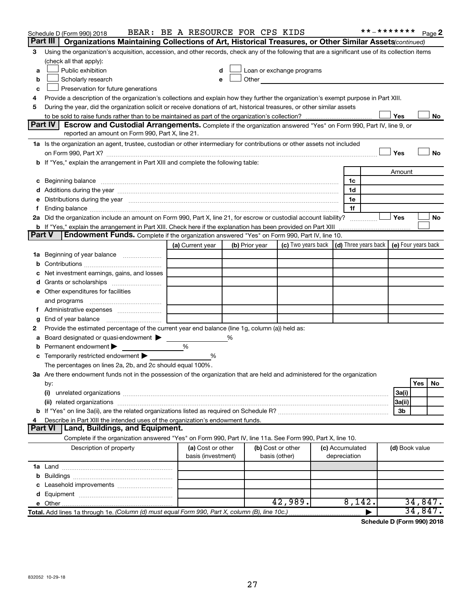|        | Schedule D (Form 990) 2018                                                                                                                                                                                                     | BEAR: BE A RESOURCE FOR CPS KIDS |   |                   |                                                                                                                                                                                                                               |  |                 | **_******* |                | Page 2    |
|--------|--------------------------------------------------------------------------------------------------------------------------------------------------------------------------------------------------------------------------------|----------------------------------|---|-------------------|-------------------------------------------------------------------------------------------------------------------------------------------------------------------------------------------------------------------------------|--|-----------------|------------|----------------|-----------|
|        | Part III  <br>Organizations Maintaining Collections of Art, Historical Treasures, or Other Similar Assets(continued)                                                                                                           |                                  |   |                   |                                                                                                                                                                                                                               |  |                 |            |                |           |
| 3      | Using the organization's acquisition, accession, and other records, check any of the following that are a significant use of its collection items                                                                              |                                  |   |                   |                                                                                                                                                                                                                               |  |                 |            |                |           |
|        | (check all that apply):                                                                                                                                                                                                        |                                  |   |                   |                                                                                                                                                                                                                               |  |                 |            |                |           |
| a      | Public exhibition                                                                                                                                                                                                              |                                  |   |                   | Loan or exchange programs                                                                                                                                                                                                     |  |                 |            |                |           |
| b      | Scholarly research                                                                                                                                                                                                             |                                  |   |                   | Other and the contract of the contract of the contract of the contract of the contract of the contract of the contract of the contract of the contract of the contract of the contract of the contract of the contract of the |  |                 |            |                |           |
| c      | Preservation for future generations                                                                                                                                                                                            |                                  |   |                   |                                                                                                                                                                                                                               |  |                 |            |                |           |
| 4      | Provide a description of the organization's collections and explain how they further the organization's exempt purpose in Part XIII.                                                                                           |                                  |   |                   |                                                                                                                                                                                                                               |  |                 |            |                |           |
| 5      | During the year, did the organization solicit or receive donations of art, historical treasures, or other similar assets                                                                                                       |                                  |   |                   |                                                                                                                                                                                                                               |  |                 |            |                |           |
|        |                                                                                                                                                                                                                                |                                  |   |                   |                                                                                                                                                                                                                               |  |                 |            | Yes            | No        |
|        | Part IV<br><b>Escrow and Custodial Arrangements.</b> Complete if the organization answered "Yes" on Form 990, Part IV, line 9, or                                                                                              |                                  |   |                   |                                                                                                                                                                                                                               |  |                 |            |                |           |
|        | reported an amount on Form 990, Part X, line 21.                                                                                                                                                                               |                                  |   |                   |                                                                                                                                                                                                                               |  |                 |            |                |           |
|        | 1a Is the organization an agent, trustee, custodian or other intermediary for contributions or other assets not included                                                                                                       |                                  |   |                   |                                                                                                                                                                                                                               |  |                 |            |                |           |
|        | on Form 990, Part X? [[[[[[[[[[[[[[[[[[[]]]]]]]]]]]] on Form 990, Part X?                                                                                                                                                      |                                  |   |                   |                                                                                                                                                                                                                               |  |                 |            | Yes            | No        |
|        | b If "Yes," explain the arrangement in Part XIII and complete the following table:                                                                                                                                             |                                  |   |                   |                                                                                                                                                                                                                               |  |                 |            |                |           |
|        |                                                                                                                                                                                                                                |                                  |   |                   |                                                                                                                                                                                                                               |  |                 |            | Amount         |           |
|        |                                                                                                                                                                                                                                |                                  |   |                   |                                                                                                                                                                                                                               |  | 1c              |            |                |           |
|        |                                                                                                                                                                                                                                |                                  |   |                   |                                                                                                                                                                                                                               |  | 1d              |            |                |           |
|        | e Distributions during the year manufactured and contained and contained and the year manufactured and contained and the year manufactured and contained and contained and contained and contained and contained and contained |                                  |   |                   |                                                                                                                                                                                                                               |  | 1е              |            |                |           |
| Ť.     |                                                                                                                                                                                                                                |                                  |   |                   |                                                                                                                                                                                                                               |  | 1f              |            |                |           |
|        | 2a Did the organization include an amount on Form 990, Part X, line 21, for escrow or custodial account liability?                                                                                                             |                                  |   |                   |                                                                                                                                                                                                                               |  |                 |            | Yes            | No        |
|        |                                                                                                                                                                                                                                |                                  |   |                   |                                                                                                                                                                                                                               |  |                 |            |                |           |
| Part V | <b>Endowment Funds.</b> Complete if the organization answered "Yes" on Form 990, Part IV, line 10.                                                                                                                             |                                  |   |                   |                                                                                                                                                                                                                               |  |                 |            |                |           |
|        |                                                                                                                                                                                                                                | (a) Current year                 |   | (b) Prior year    | (c) Two years back $\vert$ (d) Three years back $\vert$ (e) Four years back                                                                                                                                                   |  |                 |            |                |           |
|        | 1a Beginning of year balance                                                                                                                                                                                                   |                                  |   |                   |                                                                                                                                                                                                                               |  |                 |            |                |           |
| b      |                                                                                                                                                                                                                                |                                  |   |                   |                                                                                                                                                                                                                               |  |                 |            |                |           |
|        | Net investment earnings, gains, and losses                                                                                                                                                                                     |                                  |   |                   |                                                                                                                                                                                                                               |  |                 |            |                |           |
| d      | Grants or scholarships                                                                                                                                                                                                         |                                  |   |                   |                                                                                                                                                                                                                               |  |                 |            |                |           |
|        | e Other expenditures for facilities                                                                                                                                                                                            |                                  |   |                   |                                                                                                                                                                                                                               |  |                 |            |                |           |
|        | and programs                                                                                                                                                                                                                   |                                  |   |                   |                                                                                                                                                                                                                               |  |                 |            |                |           |
| Τ.     |                                                                                                                                                                                                                                |                                  |   |                   |                                                                                                                                                                                                                               |  |                 |            |                |           |
| g      |                                                                                                                                                                                                                                |                                  |   |                   |                                                                                                                                                                                                                               |  |                 |            |                |           |
| 2      | Provide the estimated percentage of the current year end balance (line 1g, column (a)) held as:                                                                                                                                |                                  |   |                   |                                                                                                                                                                                                                               |  |                 |            |                |           |
| а      | Board designated or quasi-endowment >                                                                                                                                                                                          |                                  | % |                   |                                                                                                                                                                                                                               |  |                 |            |                |           |
| b      | Permanent endowment                                                                                                                                                                                                            | %                                |   |                   |                                                                                                                                                                                                                               |  |                 |            |                |           |
|        | <b>c</b> Temporarily restricted endowment $\blacktriangleright$                                                                                                                                                                | %                                |   |                   |                                                                                                                                                                                                                               |  |                 |            |                |           |
|        | The percentages on lines 2a, 2b, and 2c should equal 100%.                                                                                                                                                                     |                                  |   |                   |                                                                                                                                                                                                                               |  |                 |            |                |           |
|        | 3a Are there endowment funds not in the possession of the organization that are held and administered for the organization                                                                                                     |                                  |   |                   |                                                                                                                                                                                                                               |  |                 |            |                |           |
|        | by:                                                                                                                                                                                                                            |                                  |   |                   |                                                                                                                                                                                                                               |  |                 |            |                | Yes<br>No |
|        | (i)                                                                                                                                                                                                                            |                                  |   |                   |                                                                                                                                                                                                                               |  |                 |            | 3a(i)          |           |
|        |                                                                                                                                                                                                                                |                                  |   |                   |                                                                                                                                                                                                                               |  |                 |            | 3a(ii)         |           |
|        |                                                                                                                                                                                                                                |                                  |   |                   |                                                                                                                                                                                                                               |  |                 |            | 3b             |           |
| 4      | Describe in Part XIII the intended uses of the organization's endowment funds.                                                                                                                                                 |                                  |   |                   |                                                                                                                                                                                                                               |  |                 |            |                |           |
|        | <b>Part VI</b><br>Land, Buildings, and Equipment.                                                                                                                                                                              |                                  |   |                   |                                                                                                                                                                                                                               |  |                 |            |                |           |
|        | Complete if the organization answered "Yes" on Form 990, Part IV, line 11a. See Form 990, Part X, line 10.                                                                                                                     |                                  |   |                   |                                                                                                                                                                                                                               |  |                 |            |                |           |
|        | Description of property                                                                                                                                                                                                        | (a) Cost or other                |   | (b) Cost or other |                                                                                                                                                                                                                               |  | (c) Accumulated |            | (d) Book value |           |
|        |                                                                                                                                                                                                                                | basis (investment)               |   | basis (other)     |                                                                                                                                                                                                                               |  | depreciation    |            |                |           |
|        |                                                                                                                                                                                                                                |                                  |   |                   |                                                                                                                                                                                                                               |  |                 |            |                |           |
|        |                                                                                                                                                                                                                                |                                  |   |                   |                                                                                                                                                                                                                               |  |                 |            |                |           |
|        |                                                                                                                                                                                                                                |                                  |   |                   |                                                                                                                                                                                                                               |  |                 |            |                |           |
|        |                                                                                                                                                                                                                                |                                  |   |                   |                                                                                                                                                                                                                               |  |                 |            |                |           |
|        |                                                                                                                                                                                                                                |                                  |   |                   | 42,989.                                                                                                                                                                                                                       |  | 8,142.          |            |                | 34,847.   |
|        | Total. Add lines 1a through 1e. (Column (d) must equal Form 990, Part X, column (B), line 10c.)                                                                                                                                |                                  |   |                   |                                                                                                                                                                                                                               |  |                 |            |                | 34,847.   |

**Schedule D (Form 990) 2018**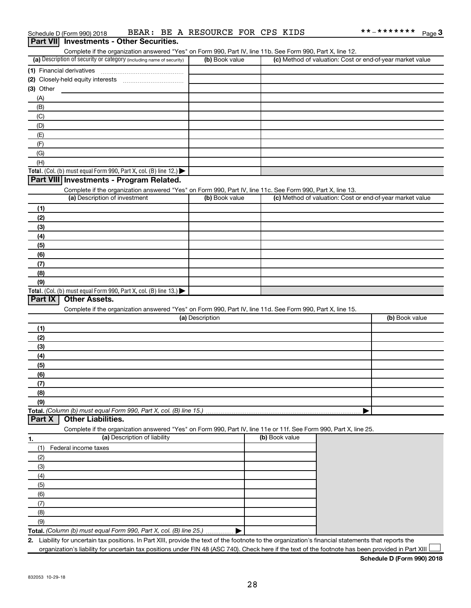| BEAR: BE A RESOURCE FOR CPS KIDS<br>Schedule D (Form 990) 2018                                                                                       |                 |                | **_******* Page 3                                         |
|------------------------------------------------------------------------------------------------------------------------------------------------------|-----------------|----------------|-----------------------------------------------------------|
| <b>Part VII</b> Investments - Other Securities.                                                                                                      |                 |                |                                                           |
| Complete if the organization answered "Yes" on Form 990, Part IV, line 11b. See Form 990, Part X, line 12.                                           |                 |                |                                                           |
| (a) Description of security or category (including name of security)                                                                                 | (b) Book value  |                | (c) Method of valuation: Cost or end-of-year market value |
|                                                                                                                                                      |                 |                |                                                           |
|                                                                                                                                                      |                 |                |                                                           |
| (3) Other                                                                                                                                            |                 |                |                                                           |
| (A)                                                                                                                                                  |                 |                |                                                           |
| (B)<br>(C)                                                                                                                                           |                 |                |                                                           |
| (D)                                                                                                                                                  |                 |                |                                                           |
| (E)                                                                                                                                                  |                 |                |                                                           |
| (F)                                                                                                                                                  |                 |                |                                                           |
| (G)                                                                                                                                                  |                 |                |                                                           |
| (H)                                                                                                                                                  |                 |                |                                                           |
| Total. (Col. (b) must equal Form 990, Part X, col. (B) line 12.) $\blacktriangleright$                                                               |                 |                |                                                           |
| Part VIII Investments - Program Related.                                                                                                             |                 |                |                                                           |
| Complete if the organization answered "Yes" on Form 990, Part IV, line 11c. See Form 990, Part X, line 13.                                           |                 |                |                                                           |
| (a) Description of investment                                                                                                                        | (b) Book value  |                | (c) Method of valuation: Cost or end-of-year market value |
| (1)                                                                                                                                                  |                 |                |                                                           |
| (2)                                                                                                                                                  |                 |                |                                                           |
| (3)                                                                                                                                                  |                 |                |                                                           |
| (4)                                                                                                                                                  |                 |                |                                                           |
| (5)                                                                                                                                                  |                 |                |                                                           |
| (6)                                                                                                                                                  |                 |                |                                                           |
| (7)                                                                                                                                                  |                 |                |                                                           |
| (8)                                                                                                                                                  |                 |                |                                                           |
| (9)<br>Total. (Col. (b) must equal Form 990, Part X, col. (B) line 13.)                                                                              |                 |                |                                                           |
| Part IX<br><b>Other Assets.</b>                                                                                                                      |                 |                |                                                           |
| Complete if the organization answered "Yes" on Form 990, Part IV, line 11d. See Form 990, Part X, line 15.                                           |                 |                |                                                           |
|                                                                                                                                                      | (a) Description |                | (b) Book value                                            |
| (1)                                                                                                                                                  |                 |                |                                                           |
| (2)                                                                                                                                                  |                 |                |                                                           |
| (3)                                                                                                                                                  |                 |                |                                                           |
| (4)                                                                                                                                                  |                 |                |                                                           |
| (5)                                                                                                                                                  |                 |                |                                                           |
| (6)                                                                                                                                                  |                 |                |                                                           |
| (7)                                                                                                                                                  |                 |                |                                                           |
| (8)                                                                                                                                                  |                 |                |                                                           |
| (9)                                                                                                                                                  |                 |                |                                                           |
| Total. (Column (b) must equal Form 990, Part X, col. (B) line 15.)                                                                                   |                 |                |                                                           |
| <b>Other Liabilities.</b><br>Part X                                                                                                                  |                 |                |                                                           |
| Complete if the organization answered "Yes" on Form 990, Part IV, line 11e or 11f. See Form 990, Part X, line 25.<br>(a) Description of liability    |                 | (b) Book value |                                                           |
| 1.                                                                                                                                                   |                 |                |                                                           |
| Federal income taxes<br>(1)                                                                                                                          |                 |                |                                                           |
| (2)                                                                                                                                                  |                 |                |                                                           |
| (3)                                                                                                                                                  |                 |                |                                                           |
| (4)<br>(5)                                                                                                                                           |                 |                |                                                           |
| (6)                                                                                                                                                  |                 |                |                                                           |
| (7)                                                                                                                                                  |                 |                |                                                           |
| (8)                                                                                                                                                  |                 |                |                                                           |
| (9)                                                                                                                                                  |                 |                |                                                           |
| Total. (Column (b) must equal Form 990, Part X, col. (B) line 25.)                                                                                   |                 |                |                                                           |
| 2. Liability for uncertain tax positions. In Part XIII, provide the text of the footnote to the organization's financial statements that reports the |                 |                |                                                           |

organization's liability for uncertain tax positions under FIN 48 (ASC 740). Check here if the text of the footnote has been provided in Part XIII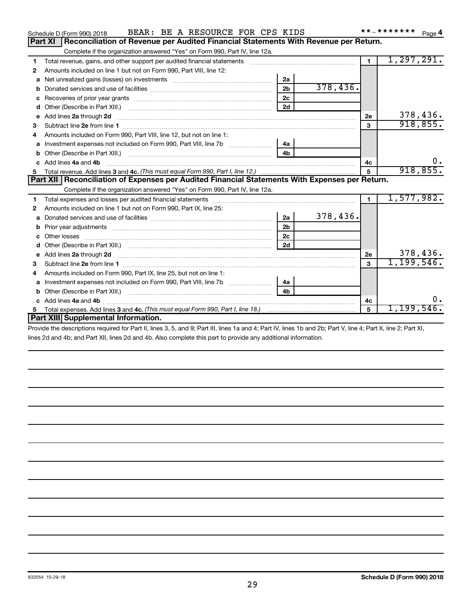|    | BEAR: BE A RESOURCE FOR CPS KIDS<br>Schedule D (Form 990) 2018                                                                                                                                                                      |                |          |                | * * _ * * * * * * * | Page 4   |
|----|-------------------------------------------------------------------------------------------------------------------------------------------------------------------------------------------------------------------------------------|----------------|----------|----------------|---------------------|----------|
|    | Reconciliation of Revenue per Audited Financial Statements With Revenue per Return.<br>Part XI                                                                                                                                      |                |          |                |                     |          |
|    | Complete if the organization answered "Yes" on Form 990, Part IV, line 12a.                                                                                                                                                         |                |          |                |                     |          |
| 1  | Total revenue, gains, and other support per audited financial statements [11] [11] Total revenue, gains, and other support per audited financial statements                                                                         |                |          | $\blacksquare$ | 1, 297, 291.        |          |
| 2  | Amounts included on line 1 but not on Form 990, Part VIII, line 12:                                                                                                                                                                 |                |          |                |                     |          |
| a  | Net unrealized gains (losses) on investments [111] Net unrealized mains (losses) on investments [11] Metamana                                                                                                                       | 2a             |          |                |                     |          |
| b  |                                                                                                                                                                                                                                     | 2 <sub>b</sub> | 378,436. |                |                     |          |
| c  |                                                                                                                                                                                                                                     | 2c             |          |                |                     |          |
| d  | Other (Describe in Part XIII.) <b>Construction Contract Construction</b> Chemistry Chemistry Chemistry Chemistry Chemistry                                                                                                          | 2d             |          |                |                     |          |
| е  | Add lines 2a through 2d <b>continuum continuum contract and continuum contract a</b> through 2d continuum contract and continuum contract a term of the contract and contract a term of the contract and contract a term of the con |                |          | 2e             |                     | 378,436. |
| 3  |                                                                                                                                                                                                                                     |                |          | 3              |                     | 918,855. |
|    | Amounts included on Form 990, Part VIII, line 12, but not on line 1:                                                                                                                                                                |                |          |                |                     |          |
| а  |                                                                                                                                                                                                                                     | 4a             |          |                |                     |          |
| b  |                                                                                                                                                                                                                                     | 4 <sub>h</sub> |          |                |                     |          |
| C. | Add lines 4a and 4b                                                                                                                                                                                                                 |                |          | 4с             |                     | υ.       |
| 5  |                                                                                                                                                                                                                                     |                |          | $\overline{5}$ |                     | 918,855. |
|    | Part XII   Reconciliation of Expenses per Audited Financial Statements With Expenses per Return.                                                                                                                                    |                |          |                |                     |          |
|    | Complete if the organization answered "Yes" on Form 990, Part IV, line 12a.                                                                                                                                                         |                |          |                |                     |          |
|    |                                                                                                                                                                                                                                     |                |          |                |                     |          |
| 1  |                                                                                                                                                                                                                                     |                |          | $\mathbf{1}$   | 1,577,982.          |          |
| 2  | Amounts included on line 1 but not on Form 990, Part IX, line 25:                                                                                                                                                                   |                |          |                |                     |          |
| a  |                                                                                                                                                                                                                                     | 2a             | 378,436. |                |                     |          |
| b  | Prior year adjustments [11,111] Prior year adjustments [11,111] Prior year adjustments [11,111] Prior year adjustments [11,111] Prior (11,111] Prior (11,111) Prior (11,111) Prior (11,111) Prior (11,111) Prior (11,111) Prio      | 2 <sub>b</sub> |          |                |                     |          |
| c  |                                                                                                                                                                                                                                     | 2c             |          |                |                     |          |
| d  |                                                                                                                                                                                                                                     | 2d             |          |                |                     |          |
| e  | Add lines 2a through 2d                                                                                                                                                                                                             |                |          | 2е             |                     | 378,436. |
| 3  |                                                                                                                                                                                                                                     |                |          | 3              | 1,199,546.          |          |
| 4  | Amounts included on Form 990, Part IX, line 25, but not on line 1:                                                                                                                                                                  |                |          |                |                     |          |
| a  |                                                                                                                                                                                                                                     | 4a             |          |                |                     |          |
| b  |                                                                                                                                                                                                                                     | 4 <sub>h</sub> |          |                |                     |          |
| c  | Add lines 4a and 4b                                                                                                                                                                                                                 |                |          | 4c             |                     | υ.       |
| 5  | Part XIII Supplemental Information.                                                                                                                                                                                                 |                |          | 5              | $1,199,546$ .       |          |

Provide the descriptions required for Part II, lines 3, 5, and 9; Part III, lines 1a and 4; Part IV, lines 1b and 2b; Part V, line 4; Part X, line 2; Part XI, lines 2d and 4b; and Part XII, lines 2d and 4b. Also complete this part to provide any additional information.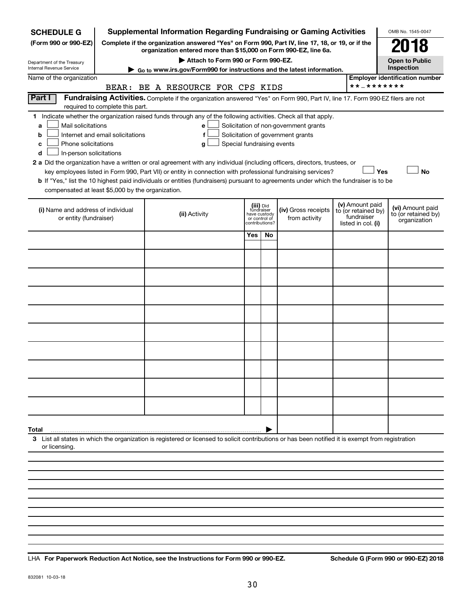| <b>SCHEDULE G</b>                                                                                                                                   |                                                                                         | <b>Supplemental Information Regarding Fundraising or Gaming Activities</b>                                                                                                                                                                                                                                                                                                                                                                                                                                                                              |     |                                                                            |                                                                            |  |                                                                            | OMB No. 1545-0047                                       |
|-----------------------------------------------------------------------------------------------------------------------------------------------------|-----------------------------------------------------------------------------------------|---------------------------------------------------------------------------------------------------------------------------------------------------------------------------------------------------------------------------------------------------------------------------------------------------------------------------------------------------------------------------------------------------------------------------------------------------------------------------------------------------------------------------------------------------------|-----|----------------------------------------------------------------------------|----------------------------------------------------------------------------|--|----------------------------------------------------------------------------|---------------------------------------------------------|
| (Form 990 or 990-EZ)                                                                                                                                |                                                                                         | Complete if the organization answered "Yes" on Form 990, Part IV, line 17, 18, or 19, or if the<br>organization entered more than \$15,000 on Form 990-EZ, line 6a.                                                                                                                                                                                                                                                                                                                                                                                     |     |                                                                            |                                                                            |  |                                                                            |                                                         |
| Department of the Treasury                                                                                                                          |                                                                                         | Attach to Form 990 or Form 990-EZ.                                                                                                                                                                                                                                                                                                                                                                                                                                                                                                                      |     |                                                                            |                                                                            |  |                                                                            | <b>Open to Public</b>                                   |
| <b>Internal Revenue Service</b>                                                                                                                     |                                                                                         | Go to www.irs.gov/Form990 for instructions and the latest information.                                                                                                                                                                                                                                                                                                                                                                                                                                                                                  |     |                                                                            |                                                                            |  |                                                                            | Inspection                                              |
| Name of the organization                                                                                                                            | <b>Employer identification number</b><br>**_*******<br>BEAR: BE A RESOURCE FOR CPS KIDS |                                                                                                                                                                                                                                                                                                                                                                                                                                                                                                                                                         |     |                                                                            |                                                                            |  |                                                                            |                                                         |
| <b>Part I</b>                                                                                                                                       | required to complete this part.                                                         | Fundraising Activities. Complete if the organization answered "Yes" on Form 990, Part IV, line 17. Form 990-EZ filers are not                                                                                                                                                                                                                                                                                                                                                                                                                           |     |                                                                            |                                                                            |  |                                                                            |                                                         |
| 1.<br>Mail solicitations<br>a<br>b<br>Phone solicitations<br>c<br>In-person solicitations<br>d<br>compensated at least \$5,000 by the organization. | Internet and email solicitations                                                        | Indicate whether the organization raised funds through any of the following activities. Check all that apply.<br>e<br>f<br>Special fundraising events<br>g<br>2 a Did the organization have a written or oral agreement with any individual (including officers, directors, trustees, or<br>key employees listed in Form 990, Part VII) or entity in connection with professional fundraising services?<br><b>b</b> If "Yes," list the 10 highest paid individuals or entities (fundraisers) pursuant to agreements under which the fundraiser is to be |     |                                                                            | Solicitation of non-government grants<br>Solicitation of government grants |  |                                                                            | Yes<br><b>No</b>                                        |
| (i) Name and address of individual<br>or entity (fundraiser)                                                                                        |                                                                                         | (ii) Activity                                                                                                                                                                                                                                                                                                                                                                                                                                                                                                                                           |     | (iii) Did<br>fundraiser<br>have custody<br>or control of<br>contributions? | (iv) Gross receipts<br>from activity                                       |  | (v) Amount paid<br>to (or retained by)<br>fundraiser<br>listed in col. (i) | (vi) Amount paid<br>to (or retained by)<br>organization |
|                                                                                                                                                     |                                                                                         |                                                                                                                                                                                                                                                                                                                                                                                                                                                                                                                                                         | Yes | No                                                                         |                                                                            |  |                                                                            |                                                         |
|                                                                                                                                                     |                                                                                         |                                                                                                                                                                                                                                                                                                                                                                                                                                                                                                                                                         |     |                                                                            |                                                                            |  |                                                                            |                                                         |
|                                                                                                                                                     |                                                                                         |                                                                                                                                                                                                                                                                                                                                                                                                                                                                                                                                                         |     |                                                                            |                                                                            |  |                                                                            |                                                         |
|                                                                                                                                                     |                                                                                         |                                                                                                                                                                                                                                                                                                                                                                                                                                                                                                                                                         |     |                                                                            |                                                                            |  |                                                                            |                                                         |
|                                                                                                                                                     |                                                                                         |                                                                                                                                                                                                                                                                                                                                                                                                                                                                                                                                                         |     |                                                                            |                                                                            |  |                                                                            |                                                         |
|                                                                                                                                                     |                                                                                         |                                                                                                                                                                                                                                                                                                                                                                                                                                                                                                                                                         |     |                                                                            |                                                                            |  |                                                                            |                                                         |
|                                                                                                                                                     |                                                                                         |                                                                                                                                                                                                                                                                                                                                                                                                                                                                                                                                                         |     |                                                                            |                                                                            |  |                                                                            |                                                         |
|                                                                                                                                                     |                                                                                         |                                                                                                                                                                                                                                                                                                                                                                                                                                                                                                                                                         |     |                                                                            |                                                                            |  |                                                                            |                                                         |
|                                                                                                                                                     |                                                                                         |                                                                                                                                                                                                                                                                                                                                                                                                                                                                                                                                                         |     |                                                                            |                                                                            |  |                                                                            |                                                         |
|                                                                                                                                                     |                                                                                         |                                                                                                                                                                                                                                                                                                                                                                                                                                                                                                                                                         |     |                                                                            |                                                                            |  |                                                                            |                                                         |
| Total                                                                                                                                               |                                                                                         |                                                                                                                                                                                                                                                                                                                                                                                                                                                                                                                                                         |     |                                                                            |                                                                            |  |                                                                            |                                                         |
| or licensing.                                                                                                                                       |                                                                                         | 3 List all states in which the organization is registered or licensed to solicit contributions or has been notified it is exempt from registration                                                                                                                                                                                                                                                                                                                                                                                                      |     |                                                                            |                                                                            |  |                                                                            |                                                         |
|                                                                                                                                                     |                                                                                         |                                                                                                                                                                                                                                                                                                                                                                                                                                                                                                                                                         |     |                                                                            |                                                                            |  |                                                                            |                                                         |
|                                                                                                                                                     |                                                                                         |                                                                                                                                                                                                                                                                                                                                                                                                                                                                                                                                                         |     |                                                                            |                                                                            |  |                                                                            |                                                         |
|                                                                                                                                                     |                                                                                         |                                                                                                                                                                                                                                                                                                                                                                                                                                                                                                                                                         |     |                                                                            |                                                                            |  |                                                                            |                                                         |
|                                                                                                                                                     |                                                                                         |                                                                                                                                                                                                                                                                                                                                                                                                                                                                                                                                                         |     |                                                                            |                                                                            |  |                                                                            |                                                         |

**For Paperwork Reduction Act Notice, see the Instructions for Form 990 or 990-EZ. Schedule G (Form 990 or 990-EZ) 2018** LHA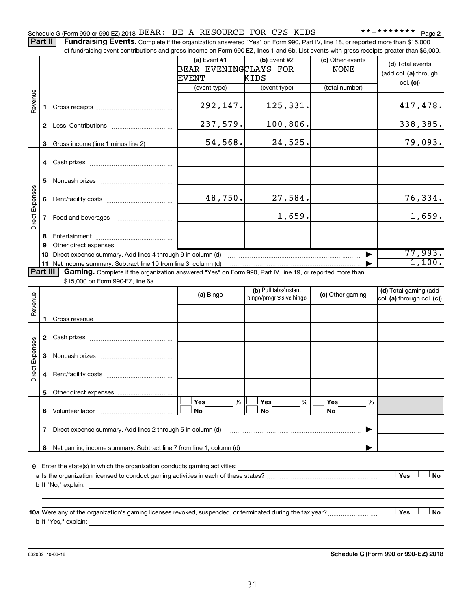Part II | Fundraising Events. Complete if the organization answered "Yes" on Form 990, Part IV, line 18, or reported more than \$15,000 of fundraising event contributions and gross income on Form 990-EZ, lines 1 and 6b. List events with gross receipts greater than \$5,000.

|                        |    | 01 Turidiaishiy event contributions and gross income on Form 990-EZ, illies T and OD. Elst events with gross receipts greater than \$0,000. |                       |                         |                  |                            |
|------------------------|----|---------------------------------------------------------------------------------------------------------------------------------------------|-----------------------|-------------------------|------------------|----------------------------|
|                        |    |                                                                                                                                             | $(a)$ Event #1        | (b) Event #2            | (c) Other events | (d) Total events           |
|                        |    |                                                                                                                                             | BEAR EVENINGCLAYS FOR |                         | <b>NONE</b>      |                            |
|                        |    |                                                                                                                                             | <b>EVENT</b>          | KIDS                    |                  | (add col. (a) through      |
|                        |    |                                                                                                                                             | (event type)          | (event type)            | (total number)   | col. (c)                   |
| Revenue                |    |                                                                                                                                             |                       |                         |                  |                            |
|                        |    |                                                                                                                                             | 292,147.              | 125,331.                |                  | 417,478.                   |
|                        |    |                                                                                                                                             |                       |                         |                  |                            |
|                        |    |                                                                                                                                             |                       |                         |                  |                            |
|                        |    |                                                                                                                                             | 237,579.              | 100,806.                |                  | 338,385.                   |
|                        |    |                                                                                                                                             |                       |                         |                  |                            |
|                        | 3  | Gross income (line 1 minus line 2)                                                                                                          | 54,568.               | 24,525.                 |                  | 79,093.                    |
|                        |    |                                                                                                                                             |                       |                         |                  |                            |
|                        |    |                                                                                                                                             |                       |                         |                  |                            |
|                        |    |                                                                                                                                             |                       |                         |                  |                            |
|                        | 5  |                                                                                                                                             |                       |                         |                  |                            |
|                        |    |                                                                                                                                             |                       |                         |                  |                            |
|                        | 6  |                                                                                                                                             | 48,750.               | 27,584.                 |                  | 76,334.                    |
| <b>Direct Expenses</b> |    |                                                                                                                                             |                       |                         |                  |                            |
|                        |    |                                                                                                                                             |                       | 1,659.                  |                  | 1,659.                     |
|                        |    |                                                                                                                                             |                       |                         |                  |                            |
|                        | 8  |                                                                                                                                             |                       |                         |                  |                            |
|                        | 9  |                                                                                                                                             |                       |                         |                  |                            |
|                        | 10 | Direct expense summary. Add lines 4 through 9 in column (d)                                                                                 |                       |                         |                  | 77,993.                    |
|                        |    | 11 Net income summary. Subtract line 10 from line 3, column (d)                                                                             |                       |                         |                  | 1,100.                     |
| <b>Part III</b>        |    | Gaming. Complete if the organization answered "Yes" on Form 990, Part IV, line 19, or reported more than                                    |                       |                         |                  |                            |
|                        |    | \$15,000 on Form 990-EZ, line 6a.                                                                                                           |                       |                         |                  |                            |
|                        |    |                                                                                                                                             |                       | (b) Pull tabs/instant   |                  | (d) Total gaming (add      |
|                        |    |                                                                                                                                             | (a) Bingo             | bingo/progressive bingo | (c) Other gaming | col. (a) through col. (c)) |
| Revenue                |    |                                                                                                                                             |                       |                         |                  |                            |
|                        |    |                                                                                                                                             |                       |                         |                  |                            |
|                        | 1. |                                                                                                                                             |                       |                         |                  |                            |
|                        |    |                                                                                                                                             |                       |                         |                  |                            |
|                        |    |                                                                                                                                             |                       |                         |                  |                            |
| <b>Direct Expenses</b> |    |                                                                                                                                             |                       |                         |                  |                            |
|                        | 3  |                                                                                                                                             |                       |                         |                  |                            |
|                        |    |                                                                                                                                             |                       |                         |                  |                            |
|                        | 4  |                                                                                                                                             |                       |                         |                  |                            |
|                        |    |                                                                                                                                             |                       |                         |                  |                            |
|                        |    |                                                                                                                                             |                       |                         |                  |                            |
|                        |    |                                                                                                                                             | Yes<br>%              | Yes<br>%                | Yes<br>%         |                            |
|                        | 6  | Volunteer labor                                                                                                                             | No                    | No                      | No               |                            |
|                        |    |                                                                                                                                             |                       |                         |                  |                            |
|                        | 7  | Direct expense summary. Add lines 2 through 5 in column (d)                                                                                 |                       |                         |                  |                            |
|                        |    |                                                                                                                                             |                       |                         |                  |                            |
|                        | 8  |                                                                                                                                             |                       |                         |                  |                            |
|                        |    |                                                                                                                                             |                       |                         |                  |                            |
| 9                      |    | Enter the state(s) in which the organization conducts gaming activities:                                                                    |                       |                         |                  |                            |
|                        |    |                                                                                                                                             |                       |                         |                  | Yes<br>No                  |
|                        |    | <b>b</b> If "No," explain:                                                                                                                  |                       |                         |                  |                            |
|                        |    |                                                                                                                                             |                       |                         |                  |                            |
|                        |    |                                                                                                                                             |                       |                         |                  |                            |
|                        |    | 10a Were any of the organization's gaming licenses revoked, suspended, or terminated during the tax year?                                   |                       |                         |                  | Yes<br><b>No</b>           |
|                        |    | <b>b</b> If "Yes," explain:                                                                                                                 |                       |                         |                  |                            |
|                        |    |                                                                                                                                             |                       |                         |                  |                            |
|                        |    |                                                                                                                                             |                       |                         |                  |                            |

832082 10-03-18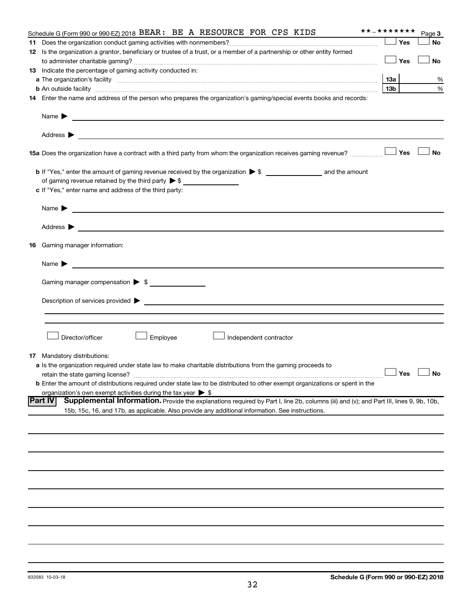| **_*******<br>Schedule G (Form 990 or 990-EZ) 2018 BEAR: BE A RESOURCE FOR CPS KIDS                                                                |                 |     | Page 3 |
|----------------------------------------------------------------------------------------------------------------------------------------------------|-----------------|-----|--------|
|                                                                                                                                                    |                 | Yes | No     |
| 12 Is the organization a grantor, beneficiary or trustee of a trust, or a member of a partnership or other entity formed                           |                 |     |        |
|                                                                                                                                                    |                 | Yes | No     |
| 13 Indicate the percentage of gaming activity conducted in:                                                                                        |                 |     |        |
|                                                                                                                                                    | 13a             |     | %      |
|                                                                                                                                                    | 13 <sub>b</sub> |     | %      |
| 14 Enter the name and address of the person who prepares the organization's gaming/special events books and records:                               |                 |     |        |
|                                                                                                                                                    |                 |     |        |
|                                                                                                                                                    |                 |     |        |
| 15a Does the organization have a contract with a third party from whom the organization receives gaming revenue?                                   |                 | Yes | No     |
|                                                                                                                                                    |                 |     |        |
|                                                                                                                                                    |                 |     |        |
| c If "Yes," enter name and address of the third party:                                                                                             |                 |     |        |
|                                                                                                                                                    |                 |     |        |
|                                                                                                                                                    |                 |     |        |
|                                                                                                                                                    |                 |     |        |
| 16 Gaming manager information:                                                                                                                     |                 |     |        |
|                                                                                                                                                    |                 |     |        |
| Gaming manager compensation > \$                                                                                                                   |                 |     |        |
|                                                                                                                                                    |                 |     |        |
|                                                                                                                                                    |                 |     |        |
|                                                                                                                                                    |                 |     |        |
| Director/officer<br>Employee<br>Independent contractor                                                                                             |                 |     |        |
| 17 Mandatory distributions:                                                                                                                        |                 |     |        |
| a Is the organization required under state law to make charitable distributions from the gaming proceeds to                                        |                 |     |        |
| retain the state gaming license? $\Box$ No                                                                                                         |                 |     |        |
| <b>b</b> Enter the amount of distributions required under state law to be distributed to other exempt organizations or spent in the                |                 |     |        |
| organization's own exempt activities during the tax year $\triangleright$ \$                                                                       |                 |     |        |
| Supplemental Information. Provide the explanations required by Part I, line 2b, columns (iii) and (v); and Part III, lines 9, 9b, 10b,<br> Part IV |                 |     |        |
| 15b, 15c, 16, and 17b, as applicable. Also provide any additional information. See instructions.                                                   |                 |     |        |
|                                                                                                                                                    |                 |     |        |
|                                                                                                                                                    |                 |     |        |
|                                                                                                                                                    |                 |     |        |
|                                                                                                                                                    |                 |     |        |
|                                                                                                                                                    |                 |     |        |
|                                                                                                                                                    |                 |     |        |
|                                                                                                                                                    |                 |     |        |
|                                                                                                                                                    |                 |     |        |
|                                                                                                                                                    |                 |     |        |
|                                                                                                                                                    |                 |     |        |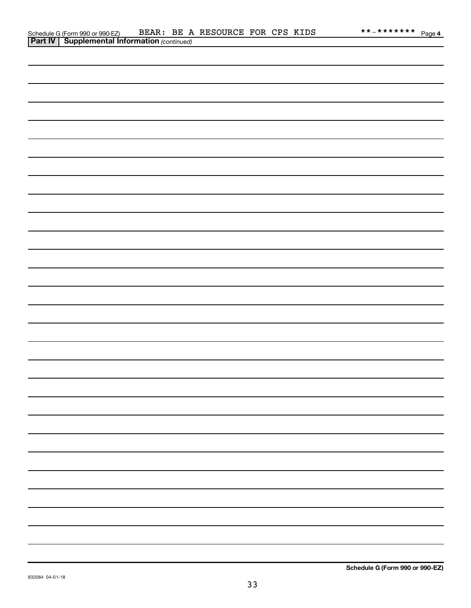| <b>Part IV   Supplemental Information</b> (continued) |  |
|-------------------------------------------------------|--|
|                                                       |  |
|                                                       |  |
|                                                       |  |
|                                                       |  |
|                                                       |  |
|                                                       |  |
|                                                       |  |
|                                                       |  |
|                                                       |  |
|                                                       |  |
|                                                       |  |
|                                                       |  |
|                                                       |  |
|                                                       |  |
|                                                       |  |
|                                                       |  |
|                                                       |  |
|                                                       |  |
|                                                       |  |
|                                                       |  |
|                                                       |  |
|                                                       |  |
|                                                       |  |
|                                                       |  |
|                                                       |  |
|                                                       |  |
|                                                       |  |
|                                                       |  |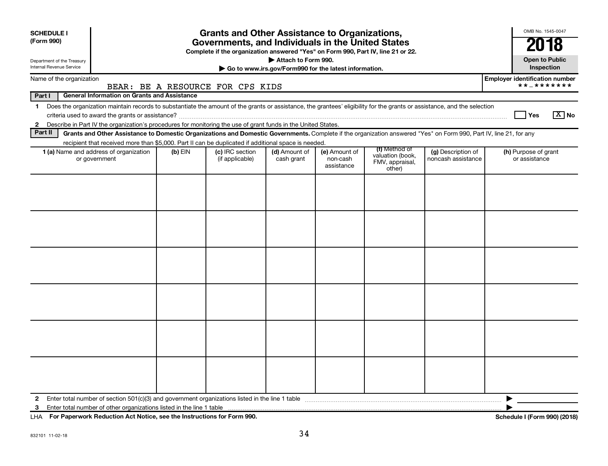| <b>SCHEDULE I</b>                                             |                                                                                                                                                                          |           | <b>Grants and Other Assistance to Organizations,</b>                                                                                  |                             |                                                       |                                                                |                                          | OMB No. 1545-0047                                   |
|---------------------------------------------------------------|--------------------------------------------------------------------------------------------------------------------------------------------------------------------------|-----------|---------------------------------------------------------------------------------------------------------------------------------------|-----------------------------|-------------------------------------------------------|----------------------------------------------------------------|------------------------------------------|-----------------------------------------------------|
| (Form 990)                                                    |                                                                                                                                                                          |           | Governments, and Individuals in the United States<br>Complete if the organization answered "Yes" on Form 990, Part IV, line 21 or 22. |                             |                                                       |                                                                |                                          | 2018                                                |
| Department of the Treasury<br><b>Internal Revenue Service</b> |                                                                                                                                                                          |           |                                                                                                                                       | Attach to Form 990.         | Go to www.irs.gov/Form990 for the latest information. |                                                                |                                          | <b>Open to Public</b><br>Inspection                 |
| Name of the organization                                      |                                                                                                                                                                          |           | BEAR: BE A RESOURCE FOR CPS KIDS                                                                                                      |                             |                                                       |                                                                |                                          | <b>Employer identification number</b><br>**_******* |
| Part I                                                        | <b>General Information on Grants and Assistance</b>                                                                                                                      |           |                                                                                                                                       |                             |                                                       |                                                                |                                          |                                                     |
| $\mathbf 1$                                                   | Does the organization maintain records to substantiate the amount of the grants or assistance, the grantees' eligibility for the grants or assistance, and the selection |           |                                                                                                                                       |                             |                                                       |                                                                |                                          | $\boxed{X}$ No<br>l Yes                             |
|                                                               | 2 Describe in Part IV the organization's procedures for monitoring the use of grant funds in the United States.                                                          |           |                                                                                                                                       |                             |                                                       |                                                                |                                          |                                                     |
| Part II                                                       | Grants and Other Assistance to Domestic Organizations and Domestic Governments. Complete if the organization answered "Yes" on Form 990, Part IV, line 21, for any       |           |                                                                                                                                       |                             |                                                       |                                                                |                                          |                                                     |
|                                                               | recipient that received more than \$5,000. Part II can be duplicated if additional space is needed.<br>1 (a) Name and address of organization<br>or government           | $(b)$ EIN | (c) IRC section<br>(if applicable)                                                                                                    | (d) Amount of<br>cash grant | (e) Amount of<br>non-cash<br>assistance               | (f) Method of<br>valuation (book,<br>FMV, appraisal,<br>other) | (g) Description of<br>noncash assistance | (h) Purpose of grant<br>or assistance               |
|                                                               |                                                                                                                                                                          |           |                                                                                                                                       |                             |                                                       |                                                                |                                          |                                                     |
| $\mathbf{2}$                                                  |                                                                                                                                                                          |           |                                                                                                                                       |                             |                                                       |                                                                |                                          | ▶                                                   |
| 3                                                             |                                                                                                                                                                          |           |                                                                                                                                       |                             |                                                       |                                                                |                                          |                                                     |

**For Paperwork Reduction Act Notice, see the Instructions for Form 990. Schedule I (Form 990) (2018)** LHA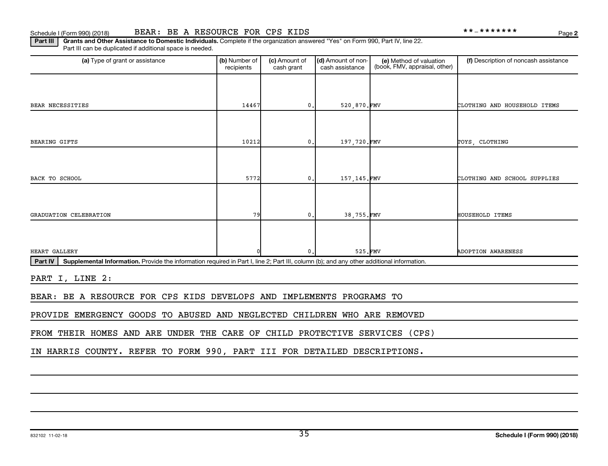**2**

Part III | Grants and Other Assistance to Domestic Individuals. Complete if the organization answered "Yes" on Form 990, Part IV, line 22. Part III can be duplicated if additional space is needed.

| (a) Type of grant or assistance                                                                                                                             | (b) Number of<br>recipients | (c) Amount of<br>cash grant | (d) Amount of non-<br>cash assistance | (e) Method of valuation<br>(book, FMV, appraisal, other) | (f) Description of noncash assistance |
|-------------------------------------------------------------------------------------------------------------------------------------------------------------|-----------------------------|-----------------------------|---------------------------------------|----------------------------------------------------------|---------------------------------------|
|                                                                                                                                                             |                             |                             |                                       |                                                          |                                       |
| BEAR NECESSITIES                                                                                                                                            | 14467                       | 0.                          | 520,870.FMV                           |                                                          | CLOTHING AND HOUSEHOLD ITEMS          |
|                                                                                                                                                             |                             |                             |                                       |                                                          |                                       |
| <b>BEARING GIFTS</b>                                                                                                                                        | 10212                       | 0.                          | 197,720.FMV                           |                                                          | TOYS, CLOTHING                        |
|                                                                                                                                                             |                             |                             |                                       |                                                          |                                       |
| BACK TO SCHOOL                                                                                                                                              | 5772                        | 0.                          | 157, 145.FMV                          |                                                          | CLOTHING AND SCHOOL SUPPLIES          |
|                                                                                                                                                             |                             |                             |                                       |                                                          |                                       |
| GRADUATION CELEBRATION                                                                                                                                      | 79                          | 0.                          | 38,755.FMV                            |                                                          | HOUSEHOLD ITEMS                       |
|                                                                                                                                                             |                             |                             |                                       |                                                          |                                       |
| HEART GALLERY                                                                                                                                               |                             | 0.                          | 525.FMV                               |                                                          | <b>ADOPTION AWARENESS</b>             |
| Supplemental Information. Provide the information required in Part I, line 2; Part III, column (b); and any other additional information.<br><b>Part IV</b> |                             |                             |                                       |                                                          |                                       |
| PART I, LINE 2:                                                                                                                                             |                             |                             |                                       |                                                          |                                       |
| BEAR: BE A RESOURCE FOR CPS KIDS DEVELOPS AND IMPLEMENTS PROGRAMS TO                                                                                        |                             |                             |                                       |                                                          |                                       |

PROVIDE EMERGENCY GOODS TO ABUSED AND NEGLECTED CHILDREN WHO ARE REMOVED

FROM THEIR HOMES AND ARE UNDER THE CARE OF CHILD PROTECTIVE SERVICES (CPS)

IN HARRIS COUNTY. REFER TO FORM 990, PART III FOR DETAILED DESCRIPTIONS.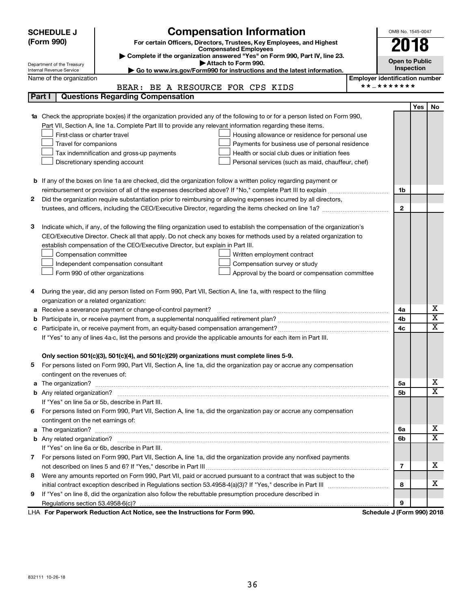|        | <b>Compensation Information</b><br><b>SCHEDULE J</b>                                                                                                                                                                      |                                                     | OMB No. 1545-0047     |                         |
|--------|---------------------------------------------------------------------------------------------------------------------------------------------------------------------------------------------------------------------------|-----------------------------------------------------|-----------------------|-------------------------|
|        | (Form 990)<br>For certain Officers, Directors, Trustees, Key Employees, and Highest                                                                                                                                       |                                                     | 2018                  |                         |
|        | <b>Compensated Employees</b><br>Complete if the organization answered "Yes" on Form 990, Part IV, line 23.                                                                                                                |                                                     |                       |                         |
|        | Attach to Form 990.<br>Department of the Treasury                                                                                                                                                                         |                                                     | <b>Open to Public</b> |                         |
|        | Go to www.irs.gov/Form990 for instructions and the latest information.<br>Internal Revenue Service                                                                                                                        |                                                     | Inspection            |                         |
|        | Name of the organization                                                                                                                                                                                                  | <b>Employer identification number</b><br>**_******* |                       |                         |
|        | BEAR: BE A RESOURCE FOR CPS KIDS                                                                                                                                                                                          |                                                     |                       |                         |
| Part I | <b>Questions Regarding Compensation</b>                                                                                                                                                                                   |                                                     |                       |                         |
|        |                                                                                                                                                                                                                           |                                                     | Yes                   | No                      |
| 1a     | Check the appropriate box(es) if the organization provided any of the following to or for a person listed on Form 990,                                                                                                    |                                                     |                       |                         |
|        | Part VII, Section A, line 1a. Complete Part III to provide any relevant information regarding these items.                                                                                                                |                                                     |                       |                         |
|        | First-class or charter travel<br>Housing allowance or residence for personal use                                                                                                                                          |                                                     |                       |                         |
|        | Travel for companions<br>Payments for business use of personal residence                                                                                                                                                  |                                                     |                       |                         |
|        | Tax indemnification and gross-up payments<br>Health or social club dues or initiation fees                                                                                                                                |                                                     |                       |                         |
|        | Discretionary spending account<br>Personal services (such as maid, chauffeur, chef)                                                                                                                                       |                                                     |                       |                         |
|        |                                                                                                                                                                                                                           |                                                     |                       |                         |
|        | <b>b</b> If any of the boxes on line 1a are checked, did the organization follow a written policy regarding payment or                                                                                                    |                                                     |                       |                         |
| 2      |                                                                                                                                                                                                                           |                                                     | 1b                    |                         |
|        | Did the organization require substantiation prior to reimbursing or allowing expenses incurred by all directors,<br>trustees, and officers, including the CEO/Executive Director, regarding the items checked on line 1a? |                                                     | $\mathbf{2}$          |                         |
|        |                                                                                                                                                                                                                           |                                                     |                       |                         |
| з      | Indicate which, if any, of the following the filing organization used to establish the compensation of the organization's                                                                                                 |                                                     |                       |                         |
|        | CEO/Executive Director. Check all that apply. Do not check any boxes for methods used by a related organization to                                                                                                        |                                                     |                       |                         |
|        | establish compensation of the CEO/Executive Director, but explain in Part III.                                                                                                                                            |                                                     |                       |                         |
|        | Compensation committee<br>Written employment contract                                                                                                                                                                     |                                                     |                       |                         |
|        | Independent compensation consultant<br>Compensation survey or study                                                                                                                                                       |                                                     |                       |                         |
|        | Form 990 of other organizations<br>Approval by the board or compensation committee                                                                                                                                        |                                                     |                       |                         |
|        |                                                                                                                                                                                                                           |                                                     |                       |                         |
| 4      | During the year, did any person listed on Form 990, Part VII, Section A, line 1a, with respect to the filing                                                                                                              |                                                     |                       |                         |
|        | organization or a related organization:                                                                                                                                                                                   |                                                     |                       |                         |
| а      | Receive a severance payment or change-of-control payment?                                                                                                                                                                 |                                                     | 4a                    | х                       |
| b      |                                                                                                                                                                                                                           |                                                     | 4b                    | $\overline{\mathbf{x}}$ |
| c      |                                                                                                                                                                                                                           |                                                     | 4c                    | $\overline{\textbf{x}}$ |
|        | If "Yes" to any of lines 4a-c, list the persons and provide the applicable amounts for each item in Part III.                                                                                                             |                                                     |                       |                         |
|        |                                                                                                                                                                                                                           |                                                     |                       |                         |
|        | Only section 501(c)(3), 501(c)(4), and 501(c)(29) organizations must complete lines 5-9.                                                                                                                                  |                                                     |                       |                         |
|        | For persons listed on Form 990, Part VII, Section A, line 1a, did the organization pay or accrue any compensation                                                                                                         |                                                     |                       |                         |
|        | contingent on the revenues of:                                                                                                                                                                                            |                                                     |                       |                         |
|        |                                                                                                                                                                                                                           |                                                     | 5a                    | х                       |
|        |                                                                                                                                                                                                                           |                                                     | 5b                    | $\overline{\mathbf{X}}$ |
|        | If "Yes" on line 5a or 5b, describe in Part III.                                                                                                                                                                          |                                                     |                       |                         |
| 6.     | For persons listed on Form 990, Part VII, Section A, line 1a, did the organization pay or accrue any compensation                                                                                                         |                                                     |                       |                         |
|        | contingent on the net earnings of:                                                                                                                                                                                        |                                                     |                       |                         |
|        |                                                                                                                                                                                                                           |                                                     | 6a                    | х                       |
|        |                                                                                                                                                                                                                           |                                                     | 6b                    | $\overline{\mathbf{X}}$ |
|        | If "Yes" on line 6a or 6b, describe in Part III.                                                                                                                                                                          |                                                     |                       |                         |
|        | 7 For persons listed on Form 990, Part VII, Section A, line 1a, did the organization provide any nonfixed payments                                                                                                        |                                                     |                       |                         |
|        |                                                                                                                                                                                                                           |                                                     | 7                     | х                       |
| 8      | Were any amounts reported on Form 990, Part VII, paid or accrued pursuant to a contract that was subject to the                                                                                                           |                                                     |                       |                         |
|        |                                                                                                                                                                                                                           |                                                     | 8                     | х                       |
| 9      | If "Yes" on line 8, did the organization also follow the rebuttable presumption procedure described in                                                                                                                    |                                                     |                       |                         |
|        |                                                                                                                                                                                                                           |                                                     | 9                     |                         |
|        | LHA For Paperwork Reduction Act Notice, see the Instructions for Form 990.                                                                                                                                                | Schedule J (Form 990) 2018                          |                       |                         |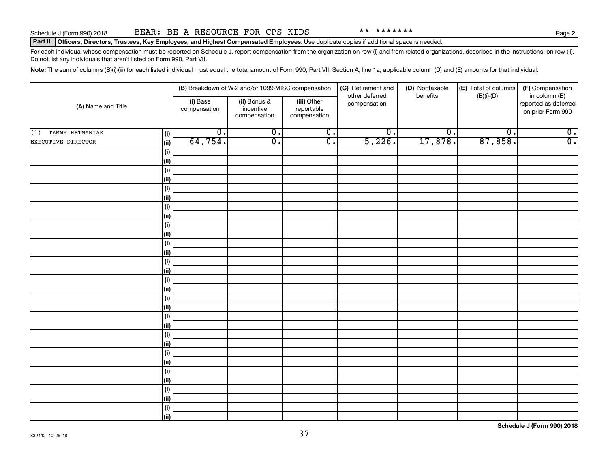832112 10-26-18

# Part II | Officers, Directors, Trustees, Key Employees, and Highest Compensated Employees. Use duplicate copies if additional space is needed.

For each individual whose compensation must be reported on Schedule J, report compensation from the organization on row (i) and from related organizations, described in the instructions, on row (ii). Do not list any individuals that aren't listed on Form 990, Part VII.

Note: The sum of columns (B)(i)-(iii) for each listed individual must equal the total amount of Form 990, Part VII, Section A, line 1a, applicable column (D) and (E) amounts for that individual.

| (A) Name and Title     |                                      |                          | (B) Breakdown of W-2 and/or 1099-MISC compensation |                                           | (C) Retirement and             | (D) Nontaxable              | (E) Total of columns | (F) Compensation                                           |
|------------------------|--------------------------------------|--------------------------|----------------------------------------------------|-------------------------------------------|--------------------------------|-----------------------------|----------------------|------------------------------------------------------------|
|                        |                                      | (i) Base<br>compensation | (ii) Bonus &<br>incentive<br>compensation          | (iii) Other<br>reportable<br>compensation | other deferred<br>compensation | benefits                    | $(B)(i)$ - $(D)$     | in column (B)<br>reported as deferred<br>on prior Form 990 |
| TAMMY HETMANIAK<br>(1) | (i)                                  | $\overline{0}$ .         | $\overline{0}$ .                                   | $\overline{0}$ .                          | $\overline{0}$ .               | $\overline{\mathfrak{o}}$ . | $\overline{0}$ .     | $\overline{\mathbf{0}}$ .                                  |
| EXECUTIVE DIRECTOR     | (ii)                                 | 64,754.                  | $\overline{\mathfrak{o}}$ .                        | $\overline{0}$ .                          | 5,226.                         | 17,878.                     | 87,858.              | $\overline{0}$ .                                           |
|                        | (i)                                  |                          |                                                    |                                           |                                |                             |                      |                                                            |
|                        | (ii)                                 |                          |                                                    |                                           |                                |                             |                      |                                                            |
|                        | (i)                                  |                          |                                                    |                                           |                                |                             |                      |                                                            |
|                        | (ii)                                 |                          |                                                    |                                           |                                |                             |                      |                                                            |
|                        | (i)                                  |                          |                                                    |                                           |                                |                             |                      |                                                            |
|                        | (ii)                                 |                          |                                                    |                                           |                                |                             |                      |                                                            |
|                        | (i)                                  |                          |                                                    |                                           |                                |                             |                      |                                                            |
|                        | (ii)                                 |                          |                                                    |                                           |                                |                             |                      |                                                            |
|                        | $\qquad \qquad \textbf{(i)}$         |                          |                                                    |                                           |                                |                             |                      |                                                            |
|                        | (ii)                                 |                          |                                                    |                                           |                                |                             |                      |                                                            |
|                        | $\qquad \qquad \textbf{(i)}$         |                          |                                                    |                                           |                                |                             |                      |                                                            |
|                        | (ii)                                 |                          |                                                    |                                           |                                |                             |                      |                                                            |
|                        | $\qquad \qquad \textbf{(i)}$<br>(ii) |                          |                                                    |                                           |                                |                             |                      |                                                            |
|                        | (i)                                  |                          |                                                    |                                           |                                |                             |                      |                                                            |
|                        | (ii)                                 |                          |                                                    |                                           |                                |                             |                      |                                                            |
|                        | $\qquad \qquad \textbf{(i)}$         |                          |                                                    |                                           |                                |                             |                      |                                                            |
|                        | (ii)                                 |                          |                                                    |                                           |                                |                             |                      |                                                            |
|                        | $\qquad \qquad \textbf{(i)}$         |                          |                                                    |                                           |                                |                             |                      |                                                            |
|                        | (ii)                                 |                          |                                                    |                                           |                                |                             |                      |                                                            |
|                        | $\qquad \qquad \textbf{(i)}$         |                          |                                                    |                                           |                                |                             |                      |                                                            |
|                        | (ii)                                 |                          |                                                    |                                           |                                |                             |                      |                                                            |
|                        | $(\mathsf{i})$                       |                          |                                                    |                                           |                                |                             |                      |                                                            |
|                        | (ii)                                 |                          |                                                    |                                           |                                |                             |                      |                                                            |
|                        | $\qquad \qquad \textbf{(i)}$         |                          |                                                    |                                           |                                |                             |                      |                                                            |
|                        | (ii)                                 |                          |                                                    |                                           |                                |                             |                      |                                                            |
|                        | $\qquad \qquad \textbf{(i)}$         |                          |                                                    |                                           |                                |                             |                      |                                                            |
|                        | (ii)                                 |                          |                                                    |                                           |                                |                             |                      |                                                            |
|                        | (i)                                  |                          |                                                    |                                           |                                |                             |                      |                                                            |
|                        | (ii)                                 |                          |                                                    |                                           |                                |                             |                      |                                                            |

**Schedule J (Form 990) 2018**

37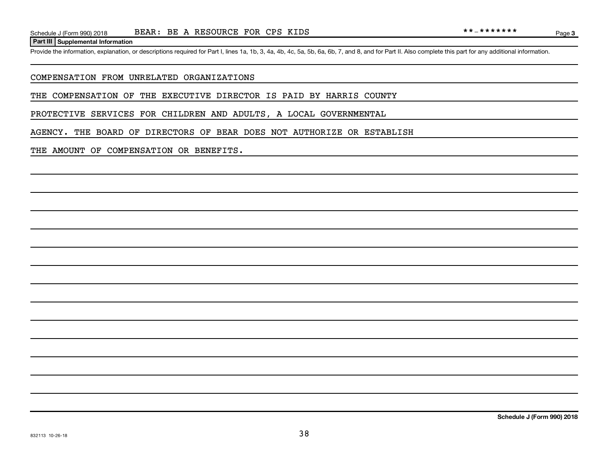#### **Part III Supplemental Information**

Provide the information, explanation, or descriptions required for Part I, lines 1a, 1b, 3, 4a, 4b, 4c, 5a, 5b, 6a, 6b, 7, and 8, and for Part II. Also complete this part for any additional information.

#### COMPENSATION FROM UNRELATED ORGANIZATIONS

THE COMPENSATION OF THE EXECUTIVE DIRECTOR IS PAID BY HARRIS COUNTY

PROTECTIVE SERVICES FOR CHILDREN AND ADULTS, A LOCAL GOVERNMENTAL

AGENCY. THE BOARD OF DIRECTORS OF BEAR DOES NOT AUTHORIZE OR ESTABLISH

### THE AMOUNT OF COMPENSATION OR BENEFITS.

Page 3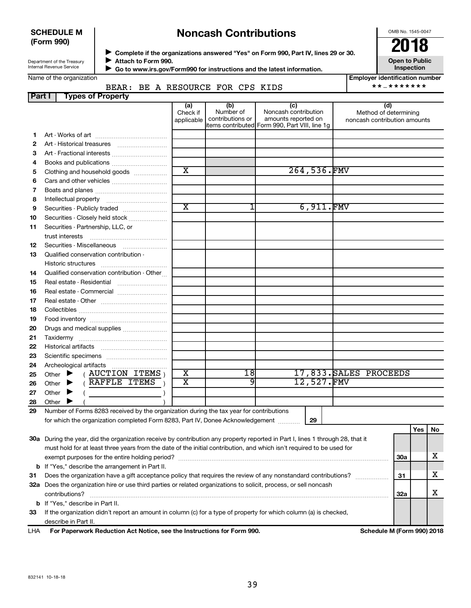## **SCHEDULE M (Form 990)**

# **Noncash Contributions**

OMB No. 1545-0047

| Department of the Treasury |
|----------------------------|
| Internal Revenue Service   |

◆ Complete if the organizations answered "Yes" on Form 990, Part IV, lines 29 or 30.<br>▶ Complete if the organizations answered "Yes" on Form 990, Part IV, lines 29 or 30. **Attach to Form 990.**  $\blacktriangleright$ 

 **Go to www.irs.gov/Form990 for instructions and the latest information.** J

**Inspection Employer identification number**

**Open to Public**

|        | Name of the organization         |                               |                                      |                                                                                                       | <b>Employer identification num</b>                    |
|--------|----------------------------------|-------------------------------|--------------------------------------|-------------------------------------------------------------------------------------------------------|-------------------------------------------------------|
|        | BEAR: BE A RESOURCE FOR CPS KIDS |                               |                                      |                                                                                                       | $** - * * * * * * * *$                                |
| Part I | <b>Types of Property</b>         |                               |                                      |                                                                                                       |                                                       |
|        |                                  | (a)<br>Check if<br>applicable | (b)<br>Number of<br>contributions or | (C)<br>Noncash contribution<br>amounts reported on<br>litems contributed Form 990, Part VIII, line 1q | Method of determining<br>noncash contribution amounts |
|        | Art - Works of art               |                               |                                      |                                                                                                       |                                                       |
|        | Art - Historical treasures       |                               |                                      |                                                                                                       |                                                       |
|        | Art - Fractional interests       |                               |                                      |                                                                                                       |                                                       |
|        | A Doolco and publications        |                               |                                      |                                                                                                       |                                                       |

| 4               |                                                                                                                                                                                                                                                                                                                                                                                                                                                                                       |                                                                                                                                                                                                                                |    |                                           |                        |
|-----------------|---------------------------------------------------------------------------------------------------------------------------------------------------------------------------------------------------------------------------------------------------------------------------------------------------------------------------------------------------------------------------------------------------------------------------------------------------------------------------------------|--------------------------------------------------------------------------------------------------------------------------------------------------------------------------------------------------------------------------------|----|-------------------------------------------|------------------------|
| 5               | Clothing and household goods                                                                                                                                                                                                                                                                                                                                                                                                                                                          | $\overline{\text{x}}$                                                                                                                                                                                                          |    | 264,536.FMV                               |                        |
| 6               |                                                                                                                                                                                                                                                                                                                                                                                                                                                                                       |                                                                                                                                                                                                                                |    |                                           |                        |
| 7               |                                                                                                                                                                                                                                                                                                                                                                                                                                                                                       |                                                                                                                                                                                                                                |    |                                           |                        |
| 8               |                                                                                                                                                                                                                                                                                                                                                                                                                                                                                       |                                                                                                                                                                                                                                |    |                                           |                        |
| 9               | Securities - Publicly traded                                                                                                                                                                                                                                                                                                                                                                                                                                                          | $\overline{\mathtt{x}}$                                                                                                                                                                                                        |    | 6,911.FMV                                 |                        |
| 10              | Securities - Closely held stock                                                                                                                                                                                                                                                                                                                                                                                                                                                       |                                                                                                                                                                                                                                |    |                                           |                        |
| 11              | Securities - Partnership, LLC, or                                                                                                                                                                                                                                                                                                                                                                                                                                                     |                                                                                                                                                                                                                                |    |                                           |                        |
|                 |                                                                                                                                                                                                                                                                                                                                                                                                                                                                                       |                                                                                                                                                                                                                                |    |                                           |                        |
| 12 <sup>2</sup> | Securities - Miscellaneous                                                                                                                                                                                                                                                                                                                                                                                                                                                            |                                                                                                                                                                                                                                |    |                                           |                        |
| 13              | Qualified conservation contribution -                                                                                                                                                                                                                                                                                                                                                                                                                                                 |                                                                                                                                                                                                                                |    |                                           |                        |
|                 |                                                                                                                                                                                                                                                                                                                                                                                                                                                                                       |                                                                                                                                                                                                                                |    |                                           |                        |
| 14              | Qualified conservation contribution - Other                                                                                                                                                                                                                                                                                                                                                                                                                                           |                                                                                                                                                                                                                                |    |                                           |                        |
| 15              |                                                                                                                                                                                                                                                                                                                                                                                                                                                                                       |                                                                                                                                                                                                                                |    |                                           |                        |
| 16              | Real estate - Commercial                                                                                                                                                                                                                                                                                                                                                                                                                                                              |                                                                                                                                                                                                                                |    |                                           |                        |
| 17              |                                                                                                                                                                                                                                                                                                                                                                                                                                                                                       |                                                                                                                                                                                                                                |    |                                           |                        |
| 18              |                                                                                                                                                                                                                                                                                                                                                                                                                                                                                       |                                                                                                                                                                                                                                |    |                                           |                        |
| 19              |                                                                                                                                                                                                                                                                                                                                                                                                                                                                                       |                                                                                                                                                                                                                                |    |                                           |                        |
| 20              | Drugs and medical supplies                                                                                                                                                                                                                                                                                                                                                                                                                                                            |                                                                                                                                                                                                                                |    |                                           |                        |
| 21              |                                                                                                                                                                                                                                                                                                                                                                                                                                                                                       |                                                                                                                                                                                                                                |    |                                           |                        |
| 22              |                                                                                                                                                                                                                                                                                                                                                                                                                                                                                       |                                                                                                                                                                                                                                |    |                                           |                        |
| 23              |                                                                                                                                                                                                                                                                                                                                                                                                                                                                                       |                                                                                                                                                                                                                                |    |                                           |                        |
| 24              |                                                                                                                                                                                                                                                                                                                                                                                                                                                                                       |                                                                                                                                                                                                                                |    |                                           |                        |
| 25              | $($ AUCTION ITEMS $)$<br>Other $\blacktriangleright$                                                                                                                                                                                                                                                                                                                                                                                                                                  | $\overline{\text{x}}$                                                                                                                                                                                                          | 18 |                                           | 17,833. SALES PROCEEDS |
| 26              | RAFFLE ITEMS<br>Other $\blacktriangleright$                                                                                                                                                                                                                                                                                                                                                                                                                                           | X                                                                                                                                                                                                                              | 9  | 12,527.FMV                                |                        |
| 27              | Other $\blacktriangleright$                                                                                                                                                                                                                                                                                                                                                                                                                                                           |                                                                                                                                                                                                                                |    |                                           |                        |
| 28              | Other                                                                                                                                                                                                                                                                                                                                                                                                                                                                                 |                                                                                                                                                                                                                                |    |                                           |                        |
|                 | $\mathbf{a} \cdot \mathbf{a} \cdot \mathbf{a} \cdot \mathbf{b} \cdot \mathbf{b} \cdot \mathbf{c} \cdot \mathbf{b} \cdot \mathbf{b} \cdot \mathbf{c} \cdot \mathbf{c} \cdot \mathbf{c} \cdot \mathbf{c} \cdot \mathbf{c} \cdot \mathbf{c} \cdot \mathbf{c} \cdot \mathbf{c} \cdot \mathbf{c} \cdot \mathbf{c} \cdot \mathbf{c} \cdot \mathbf{c} \cdot \mathbf{c} \cdot \mathbf{c} \cdot \mathbf{c} \cdot \mathbf{c} \cdot \mathbf{c} \cdot \mathbf{c} \cdot \mathbf{c} \cdot \mathbf{$ | a contract and contract the contract of the contract of the contract of the contract of the contract of the contract of the contract of the contract of the contract of the contract of the contract of the contract of the co |    | $\sim$ $\sim$ $\sim$ $\sim$ $\sim$ $\sim$ |                        |

**29** Number of Forms 8283 received by the organization during the tax year for contributions for which the organization completed Form 8283, Part IV, Donee Acknowledgement ............

**29**

|     |                                                                                                                                 |            | Yes | No |
|-----|---------------------------------------------------------------------------------------------------------------------------------|------------|-----|----|
| 30a | During the year, did the organization receive by contribution any property reported in Part I, lines 1 through 28, that it      |            |     |    |
|     | must hold for at least three years from the date of the initial contribution, and which isn't required to be used for           |            |     |    |
|     |                                                                                                                                 | <b>30a</b> |     | х  |
|     | <b>b</b> If "Yes," describe the arrangement in Part II.                                                                         |            |     |    |
| 31  | Does the organization have a gift acceptance policy that requires the review of any nonstandard contributions?                  | 31         |     | х  |
| 32a | Does the organization hire or use third parties or related organizations to solicit, process, or sell noncash<br>contributions? | 32a        |     |    |
|     | <b>b</b> If "Yes." describe in Part II.                                                                                         |            |     |    |
| 33  | If the organization didn't report an amount in column (c) for a type of property for which column (a) is checked,               |            |     |    |
|     | describe in Part II.                                                                                                            |            |     |    |
| .   | For Boroman Bodieston Ast Netter and the bottom for for Form AAA                                                                |            |     |    |

**For Paperwork Reduction Act Notice, see the Instructions for Form 990. Schedule M (Form 990) 2018** LHA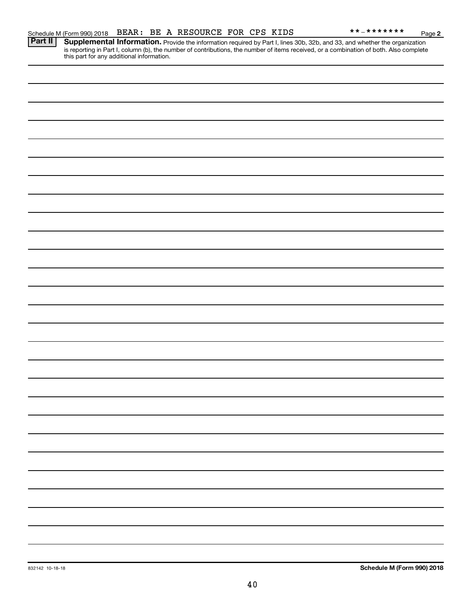**2**

Provide the information required by Part I, lines 30b, 32b, and 33, and whether the organization is reporting in Part I, column (b), the number of contributions, the number of items received, or a combination of both. Also complete this part for any additional information. **Part II Supplemental Information.**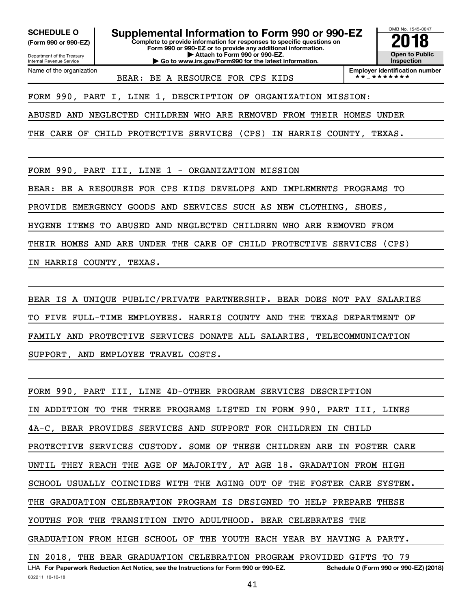Department of the Treasury **(Form 990 or 990-EZ)**

Name of the organization

Internal Revenue Service

SCHEDULE O **Supplemental Information to Form 990 or 990-EZ 2018**<br>(Form 990 or 990-EZ) Complete to provide information for responses to specific questions on

**Complete to provide information for responses to specific questions on Form 990 or 990-EZ or to provide any additional information. | Attach to Form 990 or 990-EZ.**

**| Go to www.irs.gov/Form990 for the latest information.**



BEAR: BE A RESOURCE FOR CPS KIDS

**Employer identification number**<br> $\star \star = \star \star \star \star \star \star \star$ 

FORM 990, PART I, LINE 1, DESCRIPTION OF ORGANIZATION MISSION:

ABUSED AND NEGLECTED CHILDREN WHO ARE REMOVED FROM THEIR HOMES UNDER

THE CARE OF CHILD PROTECTIVE SERVICES (CPS) IN HARRIS COUNTY, TEXAS.

FORM 990, PART III, LINE 1 - ORGANIZATION MISSION

BEAR: BE A RESOURSE FOR CPS KIDS DEVELOPS AND IMPLEMENTS PROGRAMS TO

PROVIDE EMERGENCY GOODS AND SERVICES SUCH AS NEW CLOTHING, SHOES,

HYGENE ITEMS TO ABUSED AND NEGLECTED CHILDREN WHO ARE REMOVED FROM

THEIR HOMES AND ARE UNDER THE CARE OF CHILD PROTECTIVE SERVICES (CPS)

IN HARRIS COUNTY, TEXAS.

BEAR IS A UNIQUE PUBLIC/PRIVATE PARTNERSHIP. BEAR DOES NOT PAY SALARIES TO FIVE FULL-TIME EMPLOYEES. HARRIS COUNTY AND THE TEXAS DEPARTMENT OF FAMILY AND PROTECTIVE SERVICES DONATE ALL SALARIES, TELECOMMUNICATION SUPPORT, AND EMPLOYEE TRAVEL COSTS.

LHA For Paperwork Reduction Act Notice, see the Instructions for Form 990 or 990-EZ. Schedule O (Form 990 or 990-EZ) (2018) FORM 990, PART III, LINE 4D-OTHER PROGRAM SERVICES DESCRIPTION IN ADDITION TO THE THREE PROGRAMS LISTED IN FORM 990, PART III, LINES 4A-C, BEAR PROVIDES SERVICES AND SUPPORT FOR CHILDREN IN CHILD PROTECTIVE SERVICES CUSTODY. SOME OF THESE CHILDREN ARE IN FOSTER CARE UNTIL THEY REACH THE AGE OF MAJORITY, AT AGE 18. GRADATION FROM HIGH SCHOOL USUALLY COINCIDES WITH THE AGING OUT OF THE FOSTER CARE SYSTEM. THE GRADUATION CELEBRATION PROGRAM IS DESIGNED TO HELP PREPARE THESE YOUTHS FOR THE TRANSITION INTO ADULTHOOD. BEAR CELEBRATES THE GRADUATION FROM HIGH SCHOOL OF THE YOUTH EACH YEAR BY HAVING A PARTY. IN 2018, THE BEAR GRADUATION CELEBRATION PROGRAM PROVIDED GIFTS TO 79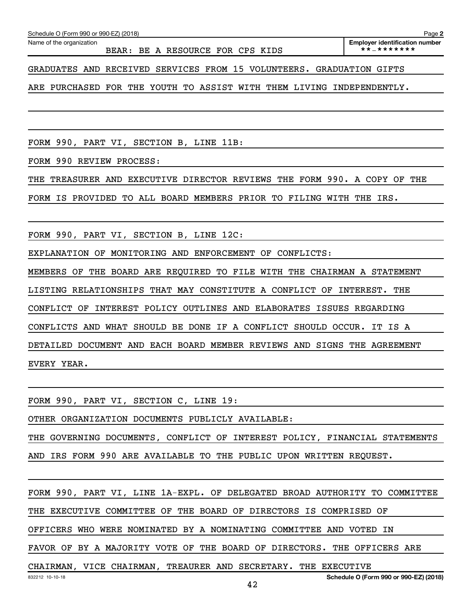**2**

GRADUATES AND RECEIVED SERVICES FROM 15 VOLUNTEERS. GRADUATION GIFTS

ARE PURCHASED FOR THE YOUTH TO ASSIST WITH THEM LIVING INDEPENDENTLY.

FORM 990, PART VI, SECTION B, LINE 11B:

FORM 990 REVIEW PROCESS:

THE TREASURER AND EXECUTIVE DIRECTOR REVIEWS THE FORM 990. A COPY OF THE

FORM IS PROVIDED TO ALL BOARD MEMBERS PRIOR TO FILING WITH THE IRS.

FORM 990, PART VI, SECTION B, LINE 12C:

EXPLANATION OF MONITORING AND ENFORCEMENT OF CONFLICTS:

MEMBERS OF THE BOARD ARE REQUIRED TO FILE WITH THE CHAIRMAN A STATEMENT

LISTING RELATIONSHIPS THAT MAY CONSTITUTE A CONFLICT OF INTEREST. THE

CONFLICT OF INTEREST POLICY OUTLINES AND ELABORATES ISSUES REGARDING

CONFLICTS AND WHAT SHOULD BE DONE IF A CONFLICT SHOULD OCCUR. IT IS A

DETAILED DOCUMENT AND EACH BOARD MEMBER REVIEWS AND SIGNS THE AGREEMENT EVERY YEAR.

FORM 990, PART VI, SECTION C, LINE 19:

OTHER ORGANIZATION DOCUMENTS PUBLICLY AVAILABLE:

THE GOVERNING DOCUMENTS, CONFLICT OF INTEREST POLICY, FINANCIAL STATEMENTS

AND IRS FORM 990 ARE AVAILABLE TO THE PUBLIC UPON WRITTEN REQUEST.

FORM 990, PART VI, LINE 1A-EXPL. OF DELEGATED BROAD AUTHORITY TO COMMITTEE

THE EXECUTIVE COMMITTEE OF THE BOARD OF DIRECTORS IS COMPRISED OF

OFFICERS WHO WERE NOMINATED BY A NOMINATING COMMITTEE AND VOTED IN

FAVOR OF BY A MAJORITY VOTE OF THE BOARD OF DIRECTORS. THE OFFICERS ARE

CHAIRMAN, VICE CHAIRMAN, TREAURER AND SECRETARY. THE EXECUTIVE

42

**Schedule O (Form 990 or 990-EZ) (2018)**